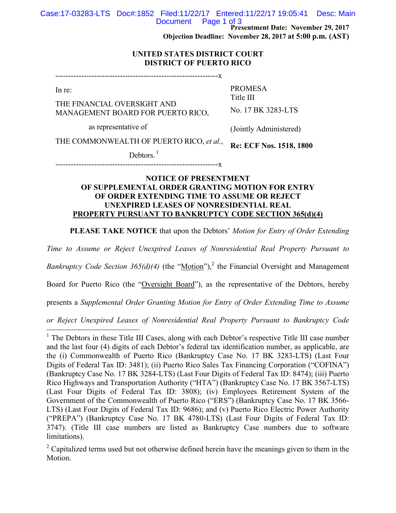Case:17-03283-LTS Doc#:1852 Filed:11/22/17 Entered:11/22/17 19:05:41 Desc: Main Page 1 of 3

**Presentment Date: November 29, 2017**

**Objection Deadline: November 28, 2017 at 5:00 p.m. (AST)**

PROMESA Title III

#### **UNITED STATES DISTRICT COURT DISTRICT OF PUERTO RICO**

---------------------------------------------------------------x

In re:

 $\overline{a}$ 

THE FINANCIAL OVERSIGHT AND MANAGEMENT BOARD FOR PUERTO RICO,

as representative of

(Jointly Administered)

No. 17 BK 3283-LTS

THE COMMONWEALTH OF PUERTO RICO, *et al.*,

Debtors. $<sup>1</sup>$ </sup>

**Re: ECF Nos. 1518, 1800**

---------------------------------------------------------------x

## **NOTICE OF PRESENTMENT OF SUPPLEMENTAL ORDER GRANTING MOTION FOR ENTRY OF ORDER EXTENDING TIME TO ASSUME OR REJECT UNEXPIRED LEASES OF NONRESIDENTIAL REAL PROPERTY PURSUANT TO BANKRUPTCY CODE SECTION 365(d)(4)**

**PLEASE TAKE NOTICE** that upon the Debtors' *Motion for Entry of Order Extending* 

*Time to Assume or Reject Unexpired Leases of Nonresidential Real Property Pursuant to* 

*Bankruptcy Code Section 365(d)(4)* (the "Motion"),<sup>2</sup> the Financial Oversight and Management

Board for Puerto Rico (the "Oversight Board"), as the representative of the Debtors, hereby

presents a *Supplemental Order Granting Motion for Entry of Order Extending Time to Assume* 

*or Reject Unexpired Leases of Nonresidential Real Property Pursuant to Bankruptcy Code* 

<sup>&</sup>lt;sup>1</sup> The Debtors in these Title III Cases, along with each Debtor's respective Title III case number and the last four (4) digits of each Debtor's federal tax identification number, as applicable, are the (i) Commonwealth of Puerto Rico (Bankruptcy Case No. 17 BK 3283-LTS) (Last Four Digits of Federal Tax ID: 3481); (ii) Puerto Rico Sales Tax Financing Corporation ("COFINA") (Bankruptcy Case No. 17 BK 3284-LTS) (Last Four Digits of Federal Tax ID: 8474); (iii) Puerto Rico Highways and Transportation Authority ("HTA") (Bankruptcy Case No. 17 BK 3567-LTS) (Last Four Digits of Federal Tax ID: 3808); (iv) Employees Retirement System of the Government of the Commonwealth of Puerto Rico ("ERS") (Bankruptcy Case No. 17 BK 3566- LTS) (Last Four Digits of Federal Tax ID: 9686); and (v) Puerto Rico Electric Power Authority ("PREPA") (Bankruptcy Case No. 17 BK 4780-LTS) (Last Four Digits of Federal Tax ID: 3747). (Title III case numbers are listed as Bankruptcy Case numbers due to software limitations).

<sup>&</sup>lt;sup>2</sup> Capitalized terms used but not otherwise defined herein have the meanings given to them in the Motion.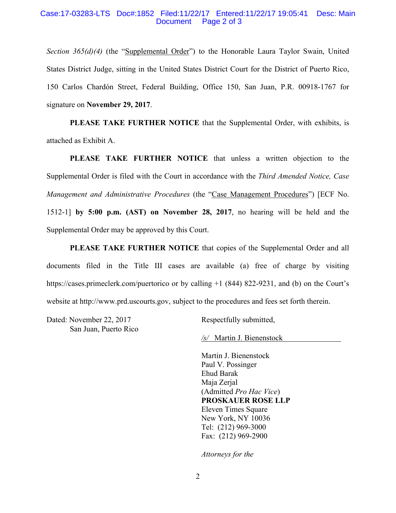#### Case:17-03283-LTS Doc#:1852 Filed:11/22/17 Entered:11/22/17 19:05:41 Desc: Main Document Page 2 of 3

*Section 365(d)(4)* (the "Supplemental Order") to the Honorable Laura Taylor Swain, United States District Judge, sitting in the United States District Court for the District of Puerto Rico, 150 Carlos Chardón Street, Federal Building, Office 150, San Juan, P.R. 00918-1767 for signature on **November 29, 2017**.

**PLEASE TAKE FURTHER NOTICE** that the Supplemental Order, with exhibits, is attached as Exhibit A.

**PLEASE TAKE FURTHER NOTICE** that unless a written objection to the Supplemental Order is filed with the Court in accordance with the *Third Amended Notice, Case Management and Administrative Procedures* (the "Case Management Procedures") [ECF No. 1512-1] **by 5:00 p.m. (AST) on November 28, 2017**, no hearing will be held and the Supplemental Order may be approved by this Court.

**PLEASE TAKE FURTHER NOTICE** that copies of the Supplemental Order and all documents filed in the Title III cases are available (a) free of charge by visiting https://cases.primeclerk.com/puertorico or by calling +1 (844) 822-9231, and (b) on the Court's website at http://www.prd.uscourts.gov, subject to the procedures and fees set forth therein.

Dated: November 22, 2017 San Juan, Puerto Rico Respectfully submitted,

*/s/* Martin J. Bienenstock

Martin J. Bienenstock Paul V. Possinger Ehud Barak Maja Zerjal (Admitted *Pro Hac Vice*) **PROSKAUER ROSE LLP** Eleven Times Square New York, NY 10036 Tel: (212) 969-3000 Fax: (212) 969-2900

*Attorneys for the*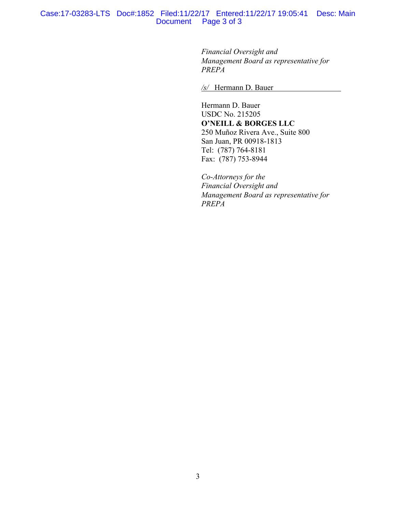#### Case:17-03283-LTS Doc#:1852 Filed:11/22/17 Entered:11/22/17 19:05:41 Desc: Main Document Page 3 of 3

*Financial Oversight and Management Board as representative for PREPA*

*/s/* Hermann D. Bauer

Hermann D. Bauer USDC No. 215205 **O'NEILL & BORGES LLC** 250 Muñoz Rivera Ave., Suite 800 San Juan, PR 00918-1813 Tel: (787) 764-8181 Fax: (787) 753-8944

*Co-Attorneys for the Financial Oversight and Management Board as representative for PREPA*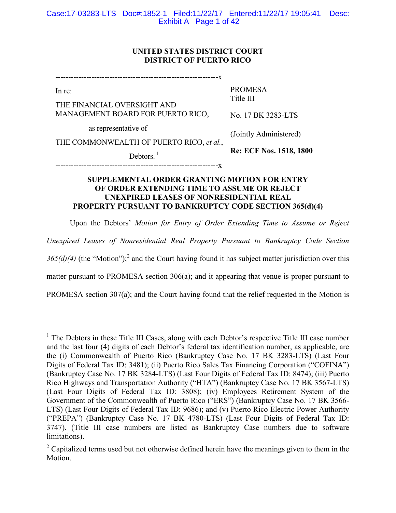# **UNITED STATES DISTRICT COURT DISTRICT OF PUERTO RICO**

---------------------------------------------------------------x

In re:

 $\overline{a}$ 

THE FINANCIAL OVERSIGHT AND MANAGEMENT BOARD FOR PUERTO RICO, PROMESA Title III

No. 17 BK 3283-LTS

as representative of

(Jointly Administered)

THE COMMONWEALTH OF PUERTO RICO, *et al.*,

Debtors. $<sup>1</sup>$ </sup>

**Re: ECF Nos. 1518, 1800**

---------------------------------------------------------------x

#### **SUPPLEMENTAL ORDER GRANTING MOTION FOR ENTRY OF ORDER EXTENDING TIME TO ASSUME OR REJECT UNEXPIRED LEASES OF NONRESIDENTIAL REAL PROPERTY PURSUANT TO BANKRUPTCY CODE SECTION 365(d)(4)**

Upon the Debtors' *Motion for Entry of Order Extending Time to Assume or Reject* 

*Unexpired Leases of Nonresidential Real Property Pursuant to Bankruptcy Code Section* 

 $365(d)(4)$  (the "<u>Motion</u>");<sup>2</sup> and the Court having found it has subject matter jurisdiction over this

matter pursuant to PROMESA section 306(a); and it appearing that venue is proper pursuant to

PROMESA section 307(a); and the Court having found that the relief requested in the Motion is

<sup>&</sup>lt;sup>1</sup> The Debtors in these Title III Cases, along with each Debtor's respective Title III case number and the last four (4) digits of each Debtor's federal tax identification number, as applicable, are the (i) Commonwealth of Puerto Rico (Bankruptcy Case No. 17 BK 3283-LTS) (Last Four Digits of Federal Tax ID: 3481); (ii) Puerto Rico Sales Tax Financing Corporation ("COFINA") (Bankruptcy Case No. 17 BK 3284-LTS) (Last Four Digits of Federal Tax ID: 8474); (iii) Puerto Rico Highways and Transportation Authority ("HTA") (Bankruptcy Case No. 17 BK 3567-LTS) (Last Four Digits of Federal Tax ID: 3808); (iv) Employees Retirement System of the Government of the Commonwealth of Puerto Rico ("ERS") (Bankruptcy Case No. 17 BK 3566- LTS) (Last Four Digits of Federal Tax ID: 9686); and (v) Puerto Rico Electric Power Authority ("PREPA") (Bankruptcy Case No. 17 BK 4780-LTS) (Last Four Digits of Federal Tax ID: 3747). (Title III case numbers are listed as Bankruptcy Case numbers due to software limitations).

<sup>&</sup>lt;sup>2</sup> Capitalized terms used but not otherwise defined herein have the meanings given to them in the Motion.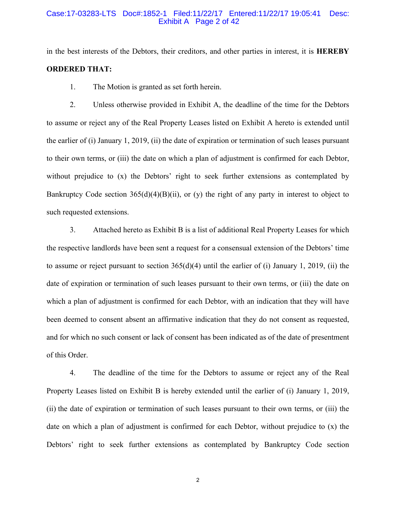#### Case:17-03283-LTS Doc#:1852-1 Filed:11/22/17 Entered:11/22/17 19:05:41 Desc: Exhibit A Page 2 of 42

in the best interests of the Debtors, their creditors, and other parties in interest, it is **HEREBY ORDERED THAT:**

1. The Motion is granted as set forth herein.

2. Unless otherwise provided in Exhibit A, the deadline of the time for the Debtors to assume or reject any of the Real Property Leases listed on Exhibit A hereto is extended until the earlier of (i) January 1, 2019, (ii) the date of expiration or termination of such leases pursuant to their own terms, or (iii) the date on which a plan of adjustment is confirmed for each Debtor, without prejudice to (x) the Debtors' right to seek further extensions as contemplated by Bankruptcy Code section  $365(d)(4)(B)(ii)$ , or (y) the right of any party in interest to object to such requested extensions.

3. Attached hereto as Exhibit B is a list of additional Real Property Leases for which the respective landlords have been sent a request for a consensual extension of the Debtors' time to assume or reject pursuant to section 365(d)(4) until the earlier of (i) January 1, 2019, (ii) the date of expiration or termination of such leases pursuant to their own terms, or (iii) the date on which a plan of adjustment is confirmed for each Debtor, with an indication that they will have been deemed to consent absent an affirmative indication that they do not consent as requested, and for which no such consent or lack of consent has been indicated as of the date of presentment of this Order.

4. The deadline of the time for the Debtors to assume or reject any of the Real Property Leases listed on Exhibit B is hereby extended until the earlier of (i) January 1, 2019, (ii) the date of expiration or termination of such leases pursuant to their own terms, or (iii) the date on which a plan of adjustment is confirmed for each Debtor, without prejudice to (x) the Debtors' right to seek further extensions as contemplated by Bankruptcy Code section

2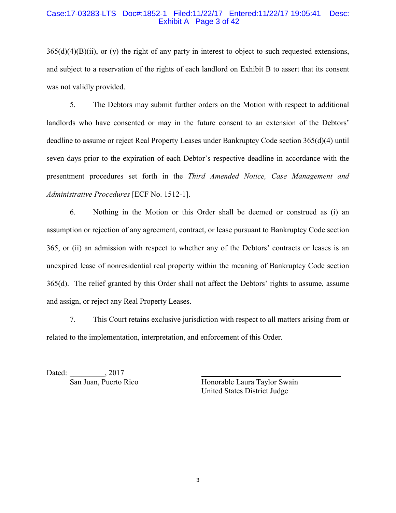#### Case:17-03283-LTS Doc#:1852-1 Filed:11/22/17 Entered:11/22/17 19:05:41 Desc: Exhibit A Page 3 of 42

 $365(d)(4)(B)(ii)$ , or (y) the right of any party in interest to object to such requested extensions, and subject to a reservation of the rights of each landlord on Exhibit B to assert that its consent was not validly provided.

5. The Debtors may submit further orders on the Motion with respect to additional landlords who have consented or may in the future consent to an extension of the Debtors' deadline to assume or reject Real Property Leases under Bankruptcy Code section 365(d)(4) until seven days prior to the expiration of each Debtor's respective deadline in accordance with the presentment procedures set forth in the *Third Amended Notice, Case Management and Administrative Procedures* [ECF No. 1512-1].

6. Nothing in the Motion or this Order shall be deemed or construed as (i) an assumption or rejection of any agreement, contract, or lease pursuant to Bankruptcy Code section 365, or (ii) an admission with respect to whether any of the Debtors' contracts or leases is an unexpired lease of nonresidential real property within the meaning of Bankruptcy Code section 365(d). The relief granted by this Order shall not affect the Debtors' rights to assume, assume and assign, or reject any Real Property Leases.

7. This Court retains exclusive jurisdiction with respect to all matters arising from or related to the implementation, interpretation, and enforcement of this Order.

Dated: \_\_\_\_\_\_\_\_\_, 2017

San Juan, Puerto Rico Honorable Laura Taylor Swain United States District Judge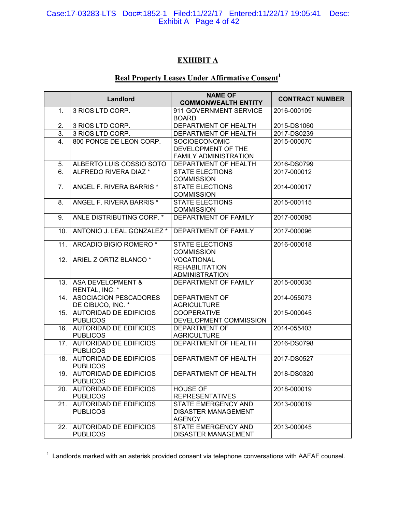#### Case:17-03283-LTS Doc#:1852-1 Filed:11/22/17 Entered:11/22/17 19:05:41 Desc: Exhibit A Page 4 of 42

# **EXHIBIT A**

# **Real Property Leases Under Affirmative Consent<sup>1</sup>**

|     |                                                  | <b>NAME OF</b>                       | <b>CONTRACT NUMBER</b> |
|-----|--------------------------------------------------|--------------------------------------|------------------------|
|     | Landlord                                         | <b>COMMONWEALTH ENTITY</b>           |                        |
| 1.  | 3 RIOS LTD CORP.                                 | 911 GOVERNMENT SERVICE               | 2016-000109            |
|     |                                                  | <b>BOARD</b>                         |                        |
| 2.  | 3 RIOS LTD CORP.                                 | DEPARTMENT OF HEALTH                 | 2015-DS1060            |
| 3.  | 3 RIOS LTD CORP.                                 | DEPARTMENT OF HEALTH                 | 2017-DS0239            |
| 4.  | 800 PONCE DE LEON CORP.                          | SOCIOECONOMIC                        | 2015-000070            |
|     |                                                  | DEVELOPMENT OF THE                   |                        |
|     |                                                  | FAMILY ADMINISTRATION                |                        |
| 5.  | ALBERTO LUIS COSSIO SOTO                         | <b>DEPARTMENT OF HEALTH</b>          | 2016-DS0799            |
| 6.  | ALFREDO RIVERA DIAZ *                            | <b>STATE ELECTIONS</b>               | 2017-000012            |
|     |                                                  | <b>COMMISSION</b>                    |                        |
| 7.  | ANGEL F. RIVERA BARRIS *                         | <b>STATE ELECTIONS</b>               | 2014-000017            |
|     |                                                  | <b>COMMISSION</b>                    |                        |
| 8.  | ANGEL F. RIVERA BARRIS *                         | <b>STATE ELECTIONS</b>               | 2015-000115            |
|     |                                                  | <b>COMMISSION</b>                    |                        |
| 9.  | ANLE DISTRIBUTING CORP. *                        | DEPARTMENT OF FAMILY                 | 2017-000095            |
| 10. | ANTONIO J. LEAL GONZALEZ *                       | DEPARTMENT OF FAMILY                 | 2017-000096            |
| 11. | ARCADIO BIGIO ROMERO <sup>*</sup>                | <b>STATE ELECTIONS</b>               | 2016-000018            |
|     |                                                  | <b>COMMISSION</b>                    |                        |
| 12. | ARIEL Z ORTIZ BLANCO <sup>*</sup>                | <b>VOCATIONAL</b>                    |                        |
|     |                                                  | <b>REHABILITATION</b>                |                        |
|     |                                                  | <b>ADMINISTRATION</b>                |                        |
| 13. | <b>ASA DEVELOPMENT &amp;</b><br>RENTAL, INC. *   | <b>DEPARTMENT OF FAMILY</b>          | 2015-000035            |
| 14. | <b>ASOCIACION PESCADORES</b>                     | <b>DEPARTMENT OF</b>                 | 2014-055073            |
|     | DE CIBUCO, INC. *                                | <b>AGRICULTURE</b>                   |                        |
| 15. | <b>AUTORIDAD DE EDIFICIOS</b>                    | <b>COOPERATIVE</b>                   | 2015-000045            |
|     | <b>PUBLICOS</b>                                  | DEVELOPMENT COMMISSION               |                        |
| 16. | <b>AUTORIDAD DE EDIFICIOS</b>                    | <b>DEPARTMENT OF</b>                 | 2014-055403            |
|     | <b>PUBLICOS</b>                                  | <b>AGRICULTURE</b>                   |                        |
| 17. | <b>AUTORIDAD DE EDIFICIOS</b><br><b>PUBLICOS</b> | <b>DEPARTMENT OF HEALTH</b>          | 2016-DS0798            |
| 18. | <b>AUTORIDAD DE EDIFICIOS</b>                    | DEPARTMENT OF HEALTH                 | 2017-DS0527            |
|     | <b>PUBLICOS</b>                                  |                                      |                        |
| 19. | <b>AUTORIDAD DE EDIFICIOS</b>                    | <b>DEPARTMENT OF HEALTH</b>          | 2018-DS0320            |
|     | <b>PUBLICOS</b>                                  |                                      |                        |
| 20. | <b>AUTORIDAD DE EDIFICIOS</b>                    | <b>HOUSE OF</b>                      | 2018-000019            |
|     | <b>PUBLICOS</b>                                  | <b>REPRESENTATIVES</b>               |                        |
| 21. | <b>AUTORIDAD DE EDIFICIOS</b>                    | <b>STATE EMERGENCY AND</b>           | 2013-000019            |
|     | <b>PUBLICOS</b>                                  | <b>DISASTER MANAGEMENT</b>           |                        |
|     | <b>AUTORIDAD DE EDIFICIOS</b>                    | <b>AGENCY</b><br>STATE EMERGENCY AND |                        |
| 22. | <b>PUBLICOS</b>                                  |                                      | 2013-000045            |
|     |                                                  | DISASTER MANAGEMENT                  |                        |

 1 Landlords marked with an asterisk provided consent via telephone conversations with AAFAF counsel.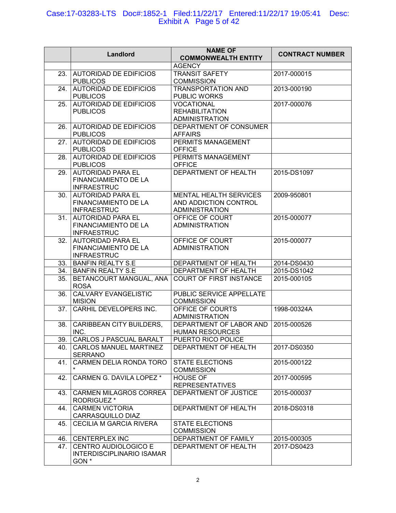## Case:17-03283-LTS Doc#:1852-1 Filed:11/22/17 Entered:11/22/17 19:05:41 Desc: Exhibit A Page 5 of 42

|     | Landlord                                                                      | <b>NAME OF</b><br><b>COMMONWEALTH ENTITY</b>                                    | <b>CONTRACT NUMBER</b> |
|-----|-------------------------------------------------------------------------------|---------------------------------------------------------------------------------|------------------------|
|     |                                                                               | <b>AGENCY</b>                                                                   |                        |
| 23. | <b>AUTORIDAD DE EDIFICIOS</b><br><b>PUBLICOS</b>                              | <b>TRANSIT SAFETY</b><br><b>COMMISSION</b>                                      | 2017-000015            |
| 24. | <b>AUTORIDAD DE EDIFICIOS</b><br><b>PUBLICOS</b>                              | <b>TRANSPORTATION AND</b><br>PUBLIC WORKS                                       | 2013-000190            |
| 25. | <b>AUTORIDAD DE EDIFICIOS</b><br><b>PUBLICOS</b>                              | <b>VOCATIONAL</b><br><b>REHABILITATION</b>                                      | 2017-000076            |
|     |                                                                               | <b>ADMINISTRATION</b>                                                           |                        |
| 26. | <b>AUTORIDAD DE EDIFICIOS</b><br><b>PUBLICOS</b>                              | DEPARTMENT OF CONSUMER<br><b>AFFAIRS</b>                                        |                        |
| 27. | <b>AUTORIDAD DE EDIFICIOS</b><br><b>PUBLICOS</b>                              | PERMITS MANAGEMENT<br><b>OFFICE</b>                                             |                        |
| 28. | AUTORIDAD DE EDIFICIOS<br><b>PUBLICOS</b>                                     | PERMITS MANAGEMENT<br><b>OFFICE</b>                                             |                        |
| 29. | <b>AUTORIDAD PARA EL</b><br>FINANCIAMIENTO DE LA<br><b>INFRAESTRUC</b>        | DEPARTMENT OF HEALTH                                                            | 2015-DS1097            |
| 30. | <b>AUTORIDAD PARA EL</b><br>FINANCIAMIENTO DE LA<br><b>INFRAESTRUC</b>        | <b>MENTAL HEALTH SERVICES</b><br>AND ADDICTION CONTROL<br><b>ADMINISTRATION</b> | 2009-950801            |
| 31. | <b>AUTORIDAD PARA EL</b><br><b>FINANCIAMIENTO DE LA</b><br><b>INFRAESTRUC</b> | OFFICE OF COURT<br><b>ADMINISTRATION</b>                                        | 2015-000077            |
| 32. | <b>AUTORIDAD PARA EL</b><br>FINANCIAMIENTO DE LA<br><b>INFRAESTRUC</b>        | OFFICE OF COURT<br><b>ADMINISTRATION</b>                                        | 2015-000077            |
|     | 33. BANFIN REALTY S.E                                                         | DEPARTMENT OF HEALTH                                                            | 2014-DS0430            |
|     | 34. BANFIN REALTY S.E                                                         | DEPARTMENT OF HEALTH                                                            | 2015-DS1042            |
| 35. | BETANCOURT MANGUAL, ANA<br><b>ROSA</b>                                        | <b>COURT OF FIRST INSTANCE</b>                                                  | 2015-000105            |
| 36. | <b>CALVARY EVANGELISTIC</b><br><b>MISION</b>                                  | PUBLIC SERVICE APPELLATE<br><b>COMMISSION</b>                                   |                        |
| 37. | CARHIL DEVELOPERS INC.                                                        | OFFICE OF COURTS<br><b>ADMINISTRATION</b>                                       | 1998-00324A            |
| 38. | <b>CARIBBEAN CITY BUILDERS,</b><br>INC.                                       | DEPARTMENT OF LABOR AND<br><b>HUMAN RESOURCES</b>                               | 2015-000526            |
| 39. | CARLOS J PASCUAL BARALT                                                       | PUERTO RICO POLICE                                                              |                        |
| 40. | <b>CARLOS MANUEL MARTINEZ</b><br><b>SERRANO</b>                               | DEPARTMENT OF HEALTH                                                            | 2017-DS0350            |
| 41. | CARMEN DELIA RONDA TORO<br>$\star$                                            | <b>STATE ELECTIONS</b><br><b>COMMISSION</b>                                     | 2015-000122            |
| 42. | CARMEN G. DAVILA LOPEZ *                                                      | <b>HOUSE OF</b><br><b>REPRESENTATIVES</b>                                       | 2017-000595            |
| 43. | <b>CARMEN MILAGROS CORREA</b><br><b>RODRIGUEZ*</b>                            | DEPARTMENT OF JUSTICE                                                           | 2015-000037            |
| 44. | <b>CARMEN VICTORIA</b><br>CARRASQUILLO DIAZ                                   | DEPARTMENT OF HEALTH                                                            | 2018-DS0318            |
| 45. | <b>CECILIA M GARCIA RIVERA</b>                                                | <b>STATE ELECTIONS</b><br><b>COMMISSION</b>                                     |                        |
| 46. | <b>CENTERPLEX INC</b>                                                         | DEPARTMENT OF FAMILY                                                            | 2015-000305            |
| 47. | CENTRO AUDIOLOGICO E<br><b>INTERDISCIPLINARIO ISAMAR</b><br>GON <sup>*</sup>  | DEPARTMENT OF HEALTH                                                            | 2017-DS0423            |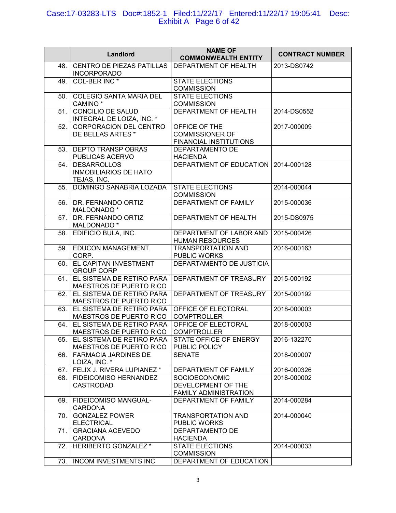## Case:17-03283-LTS Doc#:1852-1 Filed:11/22/17 Entered:11/22/17 19:05:41 Desc: Exhibit A Page 6 of 42

|     | Landlord                                                          | <b>NAME OF</b><br><b>COMMONWEALTH ENTITY</b>                        | <b>CONTRACT NUMBER</b> |
|-----|-------------------------------------------------------------------|---------------------------------------------------------------------|------------------------|
| 48. | CENTRO DE PIEZAS PATILLAS<br><b>INCORPORADO</b>                   | DEPARTMENT OF HEALTH                                                | 2013-DS0742            |
| 49. | COL-BER INC <sup>*</sup>                                          | <b>STATE ELECTIONS</b><br><b>COMMISSION</b>                         |                        |
| 50. | COLEGIO SANTA MARIA DEL<br>CAMINO <sup>*</sup>                    | <b>STATE ELECTIONS</b><br><b>COMMISSION</b>                         |                        |
| 51. | CONCILIO DE SALUD<br>INTEGRAL DE LOIZA, INC. *                    | DEPARTMENT OF HEALTH                                                | 2014-DS0552            |
| 52. | <b>CORPORACION DEL CENTRO</b><br>DE BELLAS ARTES *                | OFFICE OF THE<br><b>COMMISSIONER OF</b><br>FINANCIAL INSTITUTIONS   | 2017-000009            |
| 53. | DEPTO TRANSP OBRAS<br>PUBLICAS ACERVO                             | DEPARTAMENTO DE<br><b>HACIENDA</b>                                  |                        |
| 54. | <b>DESARROLLOS</b><br><b>INMOBILIARIOS DE HATO</b><br>TEJAS, INC. | DEPARTMENT OF EDUCATION 2014-000128                                 |                        |
| 55. | DOMINGO SANABRIA LOZADA                                           | <b>STATE ELECTIONS</b><br><b>COMMISSION</b>                         | 2014-000044            |
| 56. | DR. FERNANDO ORTIZ<br>MALDONADO *                                 | DEPARTMENT OF FAMILY                                                | 2015-000036            |
| 57. | DR. FERNANDO ORTIZ<br>MALDONADO *                                 | DEPARTMENT OF HEALTH                                                | 2015-DS0975            |
| 58. | EDIFICIO BULA, INC.                                               | DEPARTMENT OF LABOR AND<br><b>HUMAN RESOURCES</b>                   | 2015-000426            |
| 59. | EDUCON MANAGEMENT,<br>CORP.                                       | <b>TRANSPORTATION AND</b><br>PUBLIC WORKS                           | 2016-000163            |
| 60. | EL CAPITAN INVESTMENT<br><b>GROUP CORP</b>                        | DEPARTAMENTO DE JUSTICIA                                            |                        |
| 61. | EL SISTEMA DE RETIRO PARA<br>MAESTROS DE PUERTO RICO              | DEPARTMENT OF TREASURY                                              | 2015-000192            |
| 62. | EL SISTEMA DE RETIRO PARA<br>MAESTROS DE PUERTO RICO              | DEPARTMENT OF TREASURY                                              | 2015-000192            |
| 63. | EL SISTEMA DE RETIRO PARA<br>MAESTROS DE PUERTO RICO              | OFFICE OF ELECTORAL<br><b>COMPTROLLER</b>                           | 2018-000003            |
| 64. | EL SISTEMA DE RETIRO PARA<br>MAESTROS DE PUERTO RICO              | OFFICE OF ELECTORAL<br><b>COMPTROLLER</b>                           | 2018-000003            |
| 65. | EL SISTEMA DE RETIRO PARA<br>MAESTROS DE PUERTO RICO              | STATE OFFICE OF ENERGY<br>PUBLIC POLICY                             | 2016-132270            |
| 66. | <b>FARMACIA JARDINES DE</b><br>LOIZA, INC. *                      | <b>SENATE</b>                                                       | 2018-000007            |
| 67. | FELIX J. RIVERA LUPIANEZ *                                        | DEPARTMENT OF FAMILY                                                | 2016-000326            |
| 68. | FIDEICOMISO HERNANDEZ<br><b>CASTRODAD</b>                         | SOCIOECONOMIC<br>DEVELOPMENT OF THE<br><b>FAMILY ADMINISTRATION</b> | 2018-000002            |
| 69. | FIDEICOMISO MANGUAL-<br><b>CARDONA</b>                            | DEPARTMENT OF FAMILY                                                | 2014-000284            |
| 70. | <b>GONZALEZ POWER</b><br><b>ELECTRICAL</b>                        | <b>TRANSPORTATION AND</b><br><b>PUBLIC WORKS</b>                    | 2014-000040            |
| 71. | <b>GRACIANA ACEVEDO</b><br><b>CARDONA</b>                         | DEPARTAMENTO DE<br><b>HACIENDA</b>                                  |                        |
| 72. | <b>HERIBERTO GONZALEZ*</b>                                        | <b>STATE ELECTIONS</b><br><b>COMMISSION</b>                         | 2014-000033            |
|     | 73.   INCOM INVESTMENTS INC                                       | DEPARTMENT OF EDUCATION                                             |                        |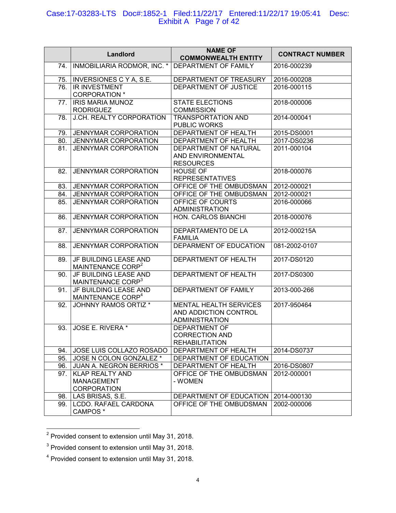#### Case:17-03283-LTS Doc#:1852-1 Filed:11/22/17 Entered:11/22/17 19:05:41 Desc: Exhibit A Page 7 of 42

|     | Landlord                       | <b>NAME OF</b><br><b>COMMONWEALTH ENTITY</b> | <b>CONTRACT NUMBER</b> |
|-----|--------------------------------|----------------------------------------------|------------------------|
| 74. | INMOBILIARIA RODMOR, INC. *    | DEPARTMENT OF FAMILY                         | 2016-000239            |
| 75. | <b>INVERSIONES C Y A, S.E.</b> | DEPARTMENT OF TREASURY                       | 2016-000208            |
| 76. | <b>IR INVESTMENT</b>           | DEPARTMENT OF JUSTICE                        | 2016-000115            |
|     | <b>CORPORATION</b> *           |                                              |                        |
| 77. | <b>IRIS MARIA MUNOZ</b>        | <b>STATE ELECTIONS</b>                       | 2018-000006            |
|     | <b>RODRIGUEZ</b>               | <b>COMMISSION</b>                            |                        |
| 78. | J.CH. REALTY CORPORATION       | <b>TRANSPORTATION AND</b>                    | 2014-000041            |
|     |                                | PUBLIC WORKS                                 |                        |
| 79. | <b>JENNYMAR CORPORATION</b>    | <b>DEPARTMENT OF HEALTH</b>                  | 2015-DS0001            |
| 80. | <b>JENNYMAR CORPORATION</b>    | DEPARTMENT OF HEALTH                         | 2017-DS0236            |
| 81. | <b>JENNYMAR CORPORATION</b>    | DEPARTMENT OF NATURAL                        | 2011-000104            |
|     |                                | AND ENVIRONMENTAL                            |                        |
|     |                                | <b>RESOURCES</b>                             |                        |
| 82. | <b>JENNYMAR CORPORATION</b>    | <b>HOUSE OF</b><br><b>REPRESENTATIVES</b>    | 2018-000076            |
| 83. | JENNYMAR CORPORATION           | OFFICE OF THE OMBUDSMAN                      | 2012-000021            |
| 84. | JENNYMAR CORPORATION           | OFFICE OF THE OMBUDSMAN                      | 2012-000021            |
| 85. | <b>JENNYMAR CORPORATION</b>    | OFFICE OF COURTS                             | 2016-000066            |
|     |                                | <b>ADMINISTRATION</b>                        |                        |
| 86. | <b>JENNYMAR CORPORATION</b>    | <b>HON. CARLOS BIANCHI</b>                   | 2018-000076            |
|     |                                |                                              |                        |
| 87. | <b>JENNYMAR CORPORATION</b>    | DEPARTAMENTO DE LA                           | 2012-000215A           |
|     |                                | <b>FAMILIA</b>                               |                        |
| 88. | <b>JENNYMAR CORPORATION</b>    | DEPARMENT OF EDUCATION                       | 081-2002-0107          |
| 89. | JF BUILDING LEASE AND          | DEPARTMENT OF HEALTH                         | 2017-DS0120            |
|     | MAINTENANCE CORP <sup>2</sup>  |                                              |                        |
| 90. | JF BUILDING LEASE AND          | DEPARTMENT OF HEALTH                         | 2017-DS0300            |
|     | MAINTENANCE CORP <sup>3</sup>  |                                              |                        |
| 91. | JF BUILDING LEASE AND          | DEPARTMENT OF FAMILY                         | 2013-000-266           |
|     | MAINTENANCE CORP <sup>4</sup>  |                                              |                        |
| 92. | <b>JOHNNY RAMOS ORTIZ *</b>    | <b>MENTAL HEALTH SERVICES</b>                | 2017-950464            |
|     |                                | AND ADDICTION CONTROL                        |                        |
|     |                                | <b>ADMINISTRATION</b>                        |                        |
| 93. | JOSE E. RIVERA *               | <b>DEPARTMENT OF</b>                         |                        |
|     |                                | <b>CORRECTION AND</b>                        |                        |
|     |                                | <b>REHABILITATION</b>                        |                        |
| 94. | JOSE LUIS COLLAZO ROSADO       | DEPARTMENT OF HEALTH                         | 2014-DS0737            |
| 95. | JOSE N COLON GONZALEZ *        | DEPARTMENT OF EDUCATION                      |                        |
| 96. | JUAN A. NEGRON BERRIOS *       | DEPARTMENT OF HEALTH                         | 2016-DS0807            |
| 97. | <b>KLAP REALTY AND</b>         | OFFICE OF THE OMBUDSMAN                      | 2012-000001            |
|     | MANAGEMENT                     | - WOMEN                                      |                        |
|     | <b>CORPORATION</b>             |                                              |                        |
| 98. | LAS BRISAS, S.E.               | DEPARTMENT OF EDUCATION   2014-000130        |                        |
| 99. | <b>LCDO. RAFAEL CARDONA</b>    | OFFICE OF THE OMBUDSMAN                      | 2002-000006            |
|     | CAMPOS *                       |                                              |                        |

 2 Provided consent to extension until May 31, 2018.

 $3$  Provided consent to extension until May 31, 2018.

<sup>&</sup>lt;sup>4</sup> Provided consent to extension until May 31, 2018.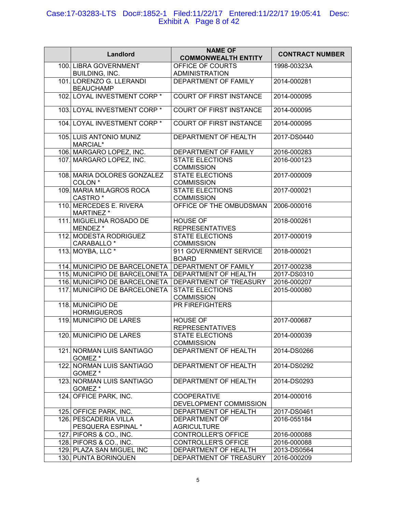## Case:17-03283-LTS Doc#:1852-1 Filed:11/22/17 Entered:11/22/17 19:05:41 Desc: Exhibit A Page 8 of 42

| Landlord                                          | <b>NAME OF</b><br><b>COMMONWEALTH ENTITY</b> | <b>CONTRACT NUMBER</b> |
|---------------------------------------------------|----------------------------------------------|------------------------|
| 100. LIBRA GOVERNMENT<br>BUILDING, INC.           | OFFICE OF COURTS<br><b>ADMINISTRATION</b>    | 1998-00323A            |
| 101. LORENZO G. LLERANDI<br><b>BEAUCHAMP</b>      | DEPARTMENT OF FAMILY                         | 2014-000281            |
| 102. LOYAL INVESTMENT CORP *                      | <b>COURT OF FIRST INSTANCE</b>               | 2014-000095            |
| 103. LOYAL INVESTMENT CORP *                      | <b>COURT OF FIRST INSTANCE</b>               | 2014-000095            |
| 104. LOYAL INVESTMENT CORP *                      | <b>COURT OF FIRST INSTANCE</b>               | 2014-000095            |
| 105. LUIS ANTONIO MUNIZ<br>MARCIAL*               | DEPARTMENT OF HEALTH                         | 2017-DS0440            |
| 106. MARGARO LOPEZ, INC.                          | DEPARTMENT OF FAMILY                         | 2016-000283            |
| 107. MARGARO LOPEZ, INC.                          | <b>STATE ELECTIONS</b><br><b>COMMISSION</b>  | 2016-000123            |
| 108. MARIA DOLORES GONZALEZ<br>COLON <sup>*</sup> | <b>STATE ELECTIONS</b><br><b>COMMISSION</b>  | 2017-000009            |
| 109. MARIA MILAGROS ROCA<br>CASTRO <sup>*</sup>   | <b>STATE ELECTIONS</b><br><b>COMMISSION</b>  | 2017-000021            |
| 110. MERCEDES E. RIVERA<br>MARTINEZ *             | OFFICE OF THE OMBUDSMAN                      | 2006-000016            |
| 111. MIGUELINA ROSADO DE<br>MENDEZ *              | <b>HOUSE OF</b><br><b>REPRESENTATIVES</b>    | 2018-000261            |
| 112. MODESTA RODRIGUEZ<br>CARABALLO <sup>*</sup>  | <b>STATE ELECTIONS</b><br><b>COMMISSION</b>  | 2017-000019            |
| 113. MOYBA, LLC *                                 | 911 GOVERNMENT SERVICE<br><b>BOARD</b>       | 2018-000021            |
| 114. MUNICIPIO DE BARCELONETA                     | DEPARTMENT OF FAMILY                         | 2017-000238            |
| 115. MUNICIPIO DE BARCELONETA                     | DEPARTMENT OF HEALTH                         | 2017-DS0310            |
| 116. MUNICIPIO DE BARCELONETA                     | DEPARTMENT OF TREASURY                       | 2016-000207            |
| 117. MUNICIPIO DE BARCELONETA                     | <b>STATE ELECTIONS</b>                       | 2015-000080            |
|                                                   | <b>COMMISSION</b>                            |                        |
| 118. MUNICIPIO DE                                 | PR FIREFIGHTERS                              |                        |
| <b>HORMIGUEROS</b>                                |                                              |                        |
| 119. MUNICIPIO DE LARES                           | <b>HOUSE OF</b>                              | 2017-000687            |
|                                                   | <b>REPRESENTATIVES</b>                       |                        |
| 120. MUNICIPIO DE LARES                           | STATE ELECTIONS                              | 2014-000039            |
|                                                   | <b>COMMISSION</b>                            |                        |
| 121. NORMAN LUIS SANTIAGO                         | DEPARTMENT OF HEALTH                         | 2014-DS0266            |
| GOMEZ *                                           |                                              |                        |
| 122. NORMAN LUIS SANTIAGO<br>GOMEZ *              | DEPARTMENT OF HEALTH                         | 2014-DS0292            |
| 123. NORMAN LUIS SANTIAGO<br>GOMEZ *              | DEPARTMENT OF HEALTH                         | 2014-DS0293            |
| 124. OFFICE PARK, INC.                            | <b>COOPERATIVE</b><br>DEVELOPMENT COMMISSION | 2014-000016            |
| 125. OFFICE PARK, INC.                            | DEPARTMENT OF HEALTH                         | 2017-DS0461            |
| 126. PESCADERIA VILLA                             | DEPARTMENT OF                                | 2016-055184            |
| PESQUERA ESPINAL *                                | <b>AGRICULTURE</b>                           |                        |
| 127. PIFORS & CO., INC.                           | <b>CONTROLLER'S OFFICE</b>                   | 2016-000088            |
| 128. PIFORS & CO., INC.                           | <b>CONTROLLER'S OFFICE</b>                   | 2016-000088            |
| 129. PLAZA SAN MIGUEL INC                         | DEPARTMENT OF HEALTH                         | 2013-DS0564            |
| 130. PUNTA BORINQUEN                              | DEPARTMENT OF TREASURY                       | 2016-000209            |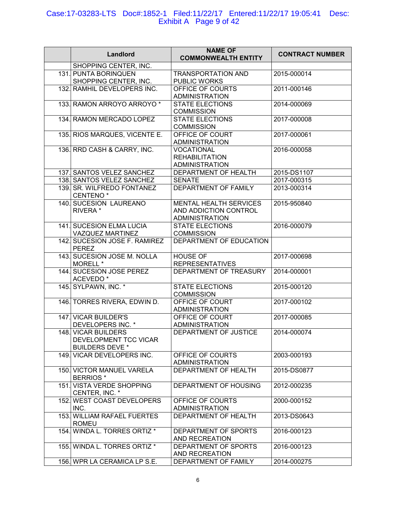## Case:17-03283-LTS Doc#:1852-1 Filed:11/22/17 Entered:11/22/17 19:05:41 Desc: Exhibit A Page 9 of 42

| Landlord                                                               | <b>NAME OF</b><br><b>COMMONWEALTH ENTITY</b>                             | <b>CONTRACT NUMBER</b> |
|------------------------------------------------------------------------|--------------------------------------------------------------------------|------------------------|
| SHOPPING CENTER, INC.                                                  |                                                                          |                        |
| 131. PUNTA BORINQUEN<br>SHOPPING CENTER, INC.                          | <b>TRANSPORTATION AND</b><br>PUBLIC WORKS                                | 2015-000014            |
| 132. RAMHIL DEVELOPERS INC.                                            | OFFICE OF COURTS<br><b>ADMINISTRATION</b>                                | 2011-000146            |
| 133. RAMON ARROYO ARROYO *                                             | <b>STATE ELECTIONS</b><br><b>COMMISSION</b>                              | 2014-000069            |
| 134. RAMON MERCADO LOPEZ                                               | <b>STATE ELECTIONS</b><br><b>COMMISSION</b>                              | 2017-000008            |
| 135. RIOS MARQUES, VICENTE E.                                          | OFFICE OF COURT<br><b>ADMINISTRATION</b>                                 | 2017-000061            |
| 136. RRD CASH & CARRY, INC.                                            | <b>VOCATIONAL</b><br><b>REHABILITATION</b><br><b>ADMINISTRATION</b>      | 2016-000058            |
| 137. SANTOS VELEZ SANCHEZ                                              | DEPARTMENT OF HEALTH                                                     | 2015-DS1107            |
| 138. SANTOS VELEZ SANCHEZ                                              | <b>SENATE</b>                                                            | 2017-000315            |
| 139. SR. WILFREDO FONTANEZ<br>CENTENO <sup>*</sup>                     | DEPARTMENT OF FAMILY                                                     | 2013-000314            |
| 140. SUCESION LAUREANO<br>RIVERA *                                     | MENTAL HEALTH SERVICES<br>AND ADDICTION CONTROL<br><b>ADMINISTRATION</b> | 2015-950840            |
| 141. SUCESION ELMA LUCIA<br>VAZQUEZ MARTINEZ                           | <b>STATE ELECTIONS</b><br><b>COMMISSION</b>                              | 2016-000079            |
| 142. SUCESION JOSE F. RAMIREZ<br><b>PEREZ</b>                          | DEPARTMENT OF EDUCATION                                                  |                        |
| 143. SUCESION JOSE M. NOLLA<br>MORELL *                                | <b>HOUSE OF</b><br><b>REPRESENTATIVES</b>                                | 2017-000698            |
| 144. SUCESION JOSE PEREZ<br>ACEVEDO <sup>*</sup>                       | DEPARTMENT OF TREASURY                                                   | 2014-000001            |
| 145. SYLPAWN, INC. *                                                   | <b>STATE ELECTIONS</b><br><b>COMMISSION</b>                              | 2015-000120            |
| 146. TORRES RIVERA, EDWIN D.                                           | OFFICE OF COURT<br><b>ADMINISTRATION</b>                                 | 2017-000102            |
| 147. VICAR BUILDER'S<br>DEVELOPERS INC. *                              | OFFICE OF COURT<br>ADMINISTRATION                                        | 2017-000085            |
| 148. VICAR BUILDERS<br>DEVELOPMENT TCC VICAR<br><b>BUILDERS DEVE *</b> | DEPARTMENT OF JUSTICE                                                    | 2014-000074            |
| 149. VICAR DEVELOPERS INC.                                             | OFFICE OF COURTS<br><b>ADMINISTRATION</b>                                | 2003-000193            |
| 150. VICTOR MANUEL VARELA<br><b>BERRIOS</b> *                          | DEPARTMENT OF HEALTH                                                     | 2015-DS0877            |
| 151. VISTA VERDE SHOPPING<br>CENTER, INC. *                            | DEPARTMENT OF HOUSING                                                    | 2012-000235            |
| 152. WEST COAST DEVELOPERS<br>INC.                                     | OFFICE OF COURTS<br><b>ADMINISTRATION</b>                                | 2000-000152            |
| <b>153. WILLIAM RAFAEL FUERTES</b><br><b>ROMEU</b>                     | DEPARTMENT OF HEALTH                                                     | 2013-DS0643            |
| 154. WINDA L. TORRES ORTIZ *                                           | DEPARTMENT OF SPORTS<br>AND RECREATION                                   | 2016-000123            |
| 155. WINDA L. TORRES ORTIZ *                                           | DEPARTMENT OF SPORTS<br>AND RECREATION                                   | 2016-000123            |
| 156. WPR LA CERAMICA LP S.E.                                           | DEPARTMENT OF FAMILY                                                     | 2014-000275            |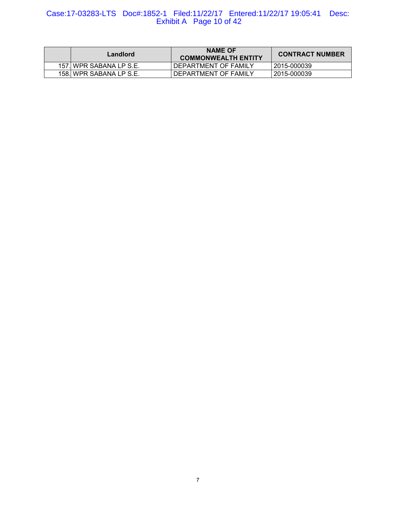# Case:17-03283-LTS Doc#:1852-1 Filed:11/22/17 Entered:11/22/17 19:05:41 Desc: Exhibit A Page 10 of 42

| Landlord                | <b>NAME OF</b><br><b>COMMONWEALTH ENTITY</b> | <b>CONTRACT NUMBER</b> |
|-------------------------|----------------------------------------------|------------------------|
| 157. WPR SABANA LP S.E. | DEPARTMENT OF FAMILY                         | 2015-000039            |
| 158. WPR SABANA LP S.E. | DEPARTMENT OF FAMILY                         | 2015-000039            |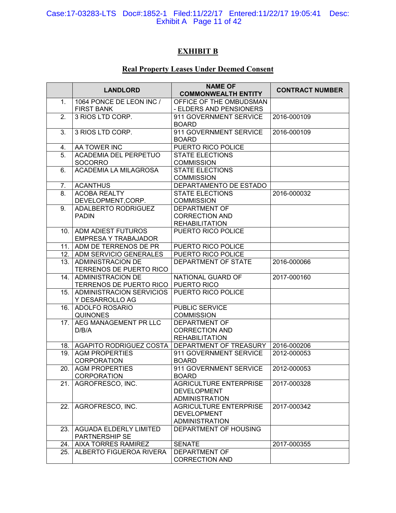#### Case:17-03283-LTS Doc#:1852-1 Filed:11/22/17 Entered:11/22/17 19:05:41 Desc: Exhibit A Page 11 of 42

# **EXHIBIT B**

# **Real Property Leases Under Deemed Consent**

|                  | <b>LANDLORD</b>                                  | <b>NAME OF</b>                                 | <b>CONTRACT NUMBER</b> |
|------------------|--------------------------------------------------|------------------------------------------------|------------------------|
|                  |                                                  | <b>COMMONWEALTH ENTITY</b>                     |                        |
| $\mathbf{1}$ .   | 1064 PONCE DE LEON INC /                         | OFFICE OF THE OMBUDSMAN                        |                        |
|                  | <b>FIRST BANK</b>                                | - ELDERS AND PENSIONERS                        |                        |
| $\overline{2}$ . | 3 RIOS LTD CORP.                                 | 911 GOVERNMENT SERVICE                         | 2016-000109            |
|                  |                                                  | <b>BOARD</b>                                   |                        |
| 3.               | 3 RIOS LTD CORP.                                 | 911 GOVERNMENT SERVICE                         | 2016-000109            |
|                  |                                                  | <b>BOARD</b>                                   |                        |
| 4.               | AA TOWER INC                                     | PUERTO RICO POLICE                             |                        |
| 5.               | <b>ACADEMIA DEL PERPETUO</b>                     | <b>STATE ELECTIONS</b>                         |                        |
|                  | <b>SOCORRO</b>                                   | <b>COMMISSION</b>                              |                        |
| 6.               | <b>ACADEMIA LA MILAGROSA</b>                     | <b>STATE ELECTIONS</b>                         |                        |
|                  |                                                  | <b>COMMISSION</b>                              |                        |
| 7.               | <b>ACANTHUS</b>                                  | DEPARTAMENTO DE ESTADO                         |                        |
| 8.               | <b>ACOBA REALTY</b>                              | <b>STATE ELECTIONS</b>                         | 2016-000032            |
|                  | DEVELOPMENT, CORP.                               | <b>COMMISSION</b>                              |                        |
| 9.               | ADALBERTO RODRIGUEZ                              | <b>DEPARTMENT OF</b>                           |                        |
|                  | <b>PADIN</b>                                     | <b>CORRECTION AND</b>                          |                        |
|                  |                                                  | <b>REHABILITATION</b>                          |                        |
|                  | 10. ADM ADIEST FUTUROS                           | PUERTO RICO POLICE                             |                        |
|                  | <b>EMPRESA Y TRABAJADOR</b>                      |                                                |                        |
|                  | 11. ADM DE TERRENOS DE PR                        | PUERTO RICO POLICE                             |                        |
|                  | 12. ADM SERVICIO GENERALES                       | PUERTO RICO POLICE                             |                        |
| 13.              | <b>ADMINISTRACION DE</b>                         | DEPARTMENT OF STATE                            | 2016-000066            |
|                  | TERRENOS DE PUERTO RICO                          |                                                |                        |
| 14 <sup>1</sup>  | <b>ADMINISTRACION DE</b>                         | NATIONAL GUARD OF                              | 2017-000160            |
|                  | TERRENOS DE PUERTO RICO                          | PUERTO RICO                                    |                        |
| 15.              | <b>ADMINISTRACION SERVICIOS</b>                  | <b>PUERTO RICO POLICE</b>                      |                        |
|                  | Y DESARROLLO AG                                  |                                                |                        |
| 16.              | <b>ADOLFO ROSARIO</b>                            | <b>PUBLIC SERVICE</b>                          |                        |
|                  | <b>QUINONES</b>                                  | <b>COMMISSION</b>                              |                        |
| 17.              | AEG MANAGEMENT PR LLC                            | DEPARTMENT OF                                  |                        |
|                  | D/B/A                                            | <b>CORRECTION AND</b><br><b>REHABILITATION</b> |                        |
|                  |                                                  | DEPARTMENT OF TREASURY                         | 2016-000206            |
| 18.              | AGAPITO RODRIGUEZ COSTA<br><b>AGM PROPERTIES</b> | 911 GOVERNMENT SERVICE                         |                        |
| 19.              | <b>CORPORATION</b>                               | <b>BOARD</b>                                   | 2012-000053            |
|                  | 20. AGM PROPERTIES                               | 911 GOVERNMENT SERVICE                         | 2012-000053            |
|                  | <b>CORPORATION</b>                               | <b>BOARD</b>                                   |                        |
| 21.              | AGROFRESCO, INC.                                 | <b>AGRICULTURE ENTERPRISE</b>                  | 2017-000328            |
|                  |                                                  | <b>DEVELOPMENT</b>                             |                        |
|                  |                                                  | <b>ADMINISTRATION</b>                          |                        |
| 22.              | AGROFRESCO, INC.                                 | <b>AGRICULTURE ENTERPRISE</b>                  | 2017-000342            |
|                  |                                                  | <b>DEVELOPMENT</b>                             |                        |
|                  |                                                  | <b>ADMINISTRATION</b>                          |                        |
| 23.              | <b>AGUADA ELDERLY LIMITED</b>                    | DEPARTMENT OF HOUSING                          |                        |
|                  | PARTNERSHIP SE                                   |                                                |                        |
| 24.              | <b>AIXA TORRES RAMIREZ</b>                       | <b>SENATE</b>                                  | 2017-000355            |
| 25.              | ALBERTO FIGUEROA RIVERA                          | DEPARTMENT OF                                  |                        |
|                  |                                                  | <b>CORRECTION AND</b>                          |                        |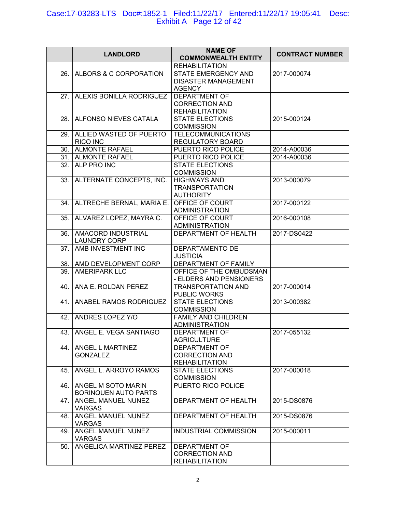## Case:17-03283-LTS Doc#:1852-1 Filed:11/22/17 Entered:11/22/17 19:05:41 Desc: Exhibit A Page 12 of 42

|     | <b>LANDLORD</b>                                   | <b>NAME OF</b><br><b>COMMONWEALTH ENTITY</b>                           | <b>CONTRACT NUMBER</b> |
|-----|---------------------------------------------------|------------------------------------------------------------------------|------------------------|
|     |                                                   | <b>REHABILITATION</b>                                                  |                        |
| 26. | ALBORS & C CORPORATION                            | STATE EMERGENCY AND<br><b>DISASTER MANAGEMENT</b><br><b>AGENCY</b>     | 2017-000074            |
| 27. | ALEXIS BONILLA RODRIGUEZ                          | <b>DEPARTMENT OF</b><br><b>CORRECTION AND</b><br><b>REHABILITATION</b> |                        |
| 28. | ALFONSO NIEVES CATALA                             | <b>STATE ELECTIONS</b><br><b>COMMISSION</b>                            | 2015-000124            |
| 29. | ALLIED WASTED OF PUERTO<br>RICO INC               | <b>TELECOMMUNICATIONS</b><br>REGULATORY BOARD                          |                        |
|     | 30. ALMONTE RAFAEL                                | PUERTO RICO POLICE                                                     | 2014-A00036            |
|     | 31. ALMONTE RAFAEL                                | PUERTO RICO POLICE                                                     | 2014-A00036            |
| 32. | ALP PRO INC                                       | <b>STATE ELECTIONS</b><br><b>COMMISSION</b>                            |                        |
|     | 33. ALTERNATE CONCEPTS, INC.                      | <b>HIGHWAYS AND</b><br><b>TRANSPORTATION</b><br><b>AUTHORITY</b>       | 2013-000079            |
| 34. | ALTRECHE BERNAL, MARIA E.                         | OFFICE OF COURT<br><b>ADMINISTRATION</b>                               | 2017-000122            |
| 35. | ALVAREZ LOPEZ, MAYRA C.                           | OFFICE OF COURT<br><b>ADMINISTRATION</b>                               | 2016-000108            |
| 36. | AMACORD INDUSTRIAL<br><b>LAUNDRY CORP</b>         | DEPARTMENT OF HEALTH                                                   | 2017-DS0422            |
| 37. | AMB INVESTMENT INC                                | DEPARTAMENTO DE<br><b>JUSTICIA</b>                                     |                        |
|     | 38. AMD DEVELOPMENT CORP                          | DEPARTMENT OF FAMILY                                                   |                        |
| 39. | <b>AMERIPARK LLC</b>                              | OFFICE OF THE OMBUDSMAN<br>- ELDERS AND PENSIONERS                     |                        |
| 40. | ANA E. ROLDAN PEREZ                               | <b>TRANSPORTATION AND</b><br>PUBLIC WORKS                              | 2017-000014            |
| 41. | ANABEL RAMOS RODRIGUEZ                            | <b>STATE ELECTIONS</b><br><b>COMMISSION</b>                            | 2013-000382            |
| 42. | ANDRES LOPEZ Y/O                                  | <b>FAMILY AND CHILDREN</b><br><b>ADMINISTRATION</b>                    |                        |
|     | 43. ANGEL E. VEGA SANTIAGO                        | DEPARTMENT OF<br><b>AGRICULTURE</b>                                    | 2017-055132            |
| 44. | ANGEL L MARTINEZ<br><b>GONZALEZ</b>               | <b>DEPARTMENT OF</b><br><b>CORRECTION AND</b><br><b>REHABILITATION</b> |                        |
| 45. | ANGEL L. ARROYO RAMOS                             | <b>STATE ELECTIONS</b><br><b>COMMISSION</b>                            | 2017-000018            |
| 46. | ANGEL M SOTO MARIN<br><b>BORINQUEN AUTO PARTS</b> | PUERTO RICO POLICE                                                     |                        |
| 47. | ANGEL MANUEL NUNEZ<br><b>VARGAS</b>               | DEPARTMENT OF HEALTH                                                   | 2015-DS0876            |
| 48. | ANGEL MANUEL NUNEZ<br><b>VARGAS</b>               | DEPARTMENT OF HEALTH                                                   | 2015-DS0876            |
| 49. | ANGEL MANUEL NUNEZ<br><b>VARGAS</b>               | <b>INDUSTRIAL COMMISSION</b>                                           | 2015-000011            |
| 50. | ANGELICA MARTINEZ PEREZ                           | <b>DEPARTMENT OF</b><br><b>CORRECTION AND</b><br><b>REHABILITATION</b> |                        |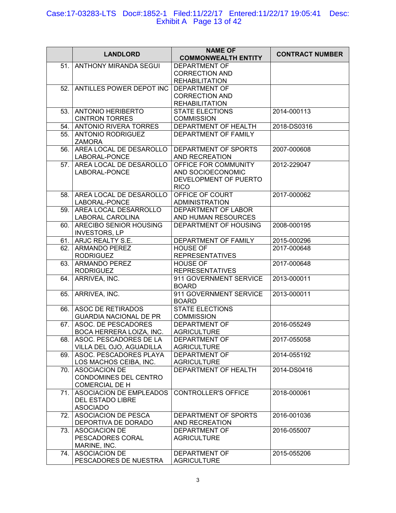#### Case:17-03283-LTS Doc#:1852-1 Filed:11/22/17 Entered:11/22/17 19:05:41 Desc: Exhibit A Page 13 of 42

| 51.<br><b>ANTHONY MIRANDA SEGUI</b><br><b>DEPARTMENT OF</b><br><b>CORRECTION AND</b><br><b>REHABILITATION</b><br>52. ANTILLES POWER DEPOT INC<br><b>DEPARTMENT OF</b><br><b>CORRECTION AND</b><br><b>REHABILITATION</b><br>53.<br><b>ANTONIO HERIBERTO</b><br><b>STATE ELECTIONS</b><br>2014-000113<br><b>CINTRON TORRES</b><br><b>COMMISSION</b><br>54. ANTONIO RIVERA TORRES<br>DEPARTMENT OF HEALTH<br>2018-DS0316<br>55.<br><b>ANTONIO RODRIGUEZ</b><br>DEPARTMENT OF FAMILY<br><b>ZAMORA</b><br>AREA LOCAL DE DESAROLLO<br>DEPARTMENT OF SPORTS<br>2007-000608<br>56.<br>LABORAL-PONCE<br>AND RECREATION<br>AREA LOCAL DE DESAROLLO<br>OFFICE FOR COMMUNITY<br>2012-229047<br>57.<br>LABORAL-PONCE<br>AND SOCIOECONOMIC<br>DEVELOPMENT OF PUERTO<br><b>RICO</b><br>OFFICE OF COURT<br>AREA LOCAL DE DESAROLLO<br>2017-000062<br>58.<br>LABORAL-PONCE<br><b>ADMINISTRATION</b><br>AREA LOCAL DESARROLLO<br>DEPARTMENT OF LABOR<br>59.<br>LABORAL CAROLINA<br>AND HUMAN RESOURCES<br>ARECIBO SENIOR HOUSING<br>DEPARTMENT OF HOUSING<br>2008-000195<br>60.<br><b>INVESTORS, LP</b><br>61. ARJC REALTY S.E.<br>DEPARTMENT OF FAMILY<br>2015-000296<br><b>ARMANDO PEREZ</b><br><b>HOUSE OF</b><br>62.<br>2017-000648<br><b>RODRIGUEZ</b><br><b>REPRESENTATIVES</b><br><b>HOUSE OF</b><br><b>ARMANDO PEREZ</b><br>63.<br>2017-000648<br><b>RODRIGUEZ</b><br><b>REPRESENTATIVES</b><br>ARRIVEA, INC.<br>911 GOVERNMENT SERVICE<br>2013-000011<br>64.<br><b>BOARD</b><br>ARRIVEA, INC.<br>911 GOVERNMENT SERVICE<br>65.<br>2013-000011<br><b>BOARD</b><br><b>ASOC DE RETIRADOS</b><br><b>STATE ELECTIONS</b><br>66.<br><b>GUARDIA NACIONAL DE PR</b><br><b>COMMISSION</b><br>ASOC. DE PESCADORES<br><b>DEPARTMENT OF</b><br>2016-055249<br>67.<br>BOCA HERRERA LOIZA, INC.<br><b>AGRICULTURE</b><br>ASOC. PESCADORES DE LA<br>DEPARTMENT OF<br>68.<br>2017-055058<br><b>AGRICULTURE</b><br>VILLA DEL OJO, AGUADILLA<br>ASOC. PESCADORES PLAYA<br><b>DEPARTMENT OF</b><br>2014-055192<br>69.<br><b>AGRICULTURE</b><br>LOS MACHOS CEIBA, INC.<br><b>ASOCIACION DE</b><br>DEPARTMENT OF HEALTH<br>2014-DS0416<br>70.<br>CONDOMINES DEL CENTRO<br><b>COMERCIAL DE H</b> |     | <b>LANDLORD</b>                | <b>NAME OF</b><br><b>COMMONWEALTH ENTITY</b> | <b>CONTRACT NUMBER</b> |
|-------------------------------------------------------------------------------------------------------------------------------------------------------------------------------------------------------------------------------------------------------------------------------------------------------------------------------------------------------------------------------------------------------------------------------------------------------------------------------------------------------------------------------------------------------------------------------------------------------------------------------------------------------------------------------------------------------------------------------------------------------------------------------------------------------------------------------------------------------------------------------------------------------------------------------------------------------------------------------------------------------------------------------------------------------------------------------------------------------------------------------------------------------------------------------------------------------------------------------------------------------------------------------------------------------------------------------------------------------------------------------------------------------------------------------------------------------------------------------------------------------------------------------------------------------------------------------------------------------------------------------------------------------------------------------------------------------------------------------------------------------------------------------------------------------------------------------------------------------------------------------------------------------------------------------------------------------------------------------------------------------------------------------------------------------------------------------------------------------------------------------------------------------------------|-----|--------------------------------|----------------------------------------------|------------------------|
|                                                                                                                                                                                                                                                                                                                                                                                                                                                                                                                                                                                                                                                                                                                                                                                                                                                                                                                                                                                                                                                                                                                                                                                                                                                                                                                                                                                                                                                                                                                                                                                                                                                                                                                                                                                                                                                                                                                                                                                                                                                                                                                                                                   |     |                                |                                              |                        |
|                                                                                                                                                                                                                                                                                                                                                                                                                                                                                                                                                                                                                                                                                                                                                                                                                                                                                                                                                                                                                                                                                                                                                                                                                                                                                                                                                                                                                                                                                                                                                                                                                                                                                                                                                                                                                                                                                                                                                                                                                                                                                                                                                                   |     |                                |                                              |                        |
|                                                                                                                                                                                                                                                                                                                                                                                                                                                                                                                                                                                                                                                                                                                                                                                                                                                                                                                                                                                                                                                                                                                                                                                                                                                                                                                                                                                                                                                                                                                                                                                                                                                                                                                                                                                                                                                                                                                                                                                                                                                                                                                                                                   |     |                                |                                              |                        |
|                                                                                                                                                                                                                                                                                                                                                                                                                                                                                                                                                                                                                                                                                                                                                                                                                                                                                                                                                                                                                                                                                                                                                                                                                                                                                                                                                                                                                                                                                                                                                                                                                                                                                                                                                                                                                                                                                                                                                                                                                                                                                                                                                                   |     |                                |                                              |                        |
|                                                                                                                                                                                                                                                                                                                                                                                                                                                                                                                                                                                                                                                                                                                                                                                                                                                                                                                                                                                                                                                                                                                                                                                                                                                                                                                                                                                                                                                                                                                                                                                                                                                                                                                                                                                                                                                                                                                                                                                                                                                                                                                                                                   |     |                                |                                              |                        |
|                                                                                                                                                                                                                                                                                                                                                                                                                                                                                                                                                                                                                                                                                                                                                                                                                                                                                                                                                                                                                                                                                                                                                                                                                                                                                                                                                                                                                                                                                                                                                                                                                                                                                                                                                                                                                                                                                                                                                                                                                                                                                                                                                                   |     |                                |                                              |                        |
|                                                                                                                                                                                                                                                                                                                                                                                                                                                                                                                                                                                                                                                                                                                                                                                                                                                                                                                                                                                                                                                                                                                                                                                                                                                                                                                                                                                                                                                                                                                                                                                                                                                                                                                                                                                                                                                                                                                                                                                                                                                                                                                                                                   |     |                                |                                              |                        |
|                                                                                                                                                                                                                                                                                                                                                                                                                                                                                                                                                                                                                                                                                                                                                                                                                                                                                                                                                                                                                                                                                                                                                                                                                                                                                                                                                                                                                                                                                                                                                                                                                                                                                                                                                                                                                                                                                                                                                                                                                                                                                                                                                                   |     |                                |                                              |                        |
|                                                                                                                                                                                                                                                                                                                                                                                                                                                                                                                                                                                                                                                                                                                                                                                                                                                                                                                                                                                                                                                                                                                                                                                                                                                                                                                                                                                                                                                                                                                                                                                                                                                                                                                                                                                                                                                                                                                                                                                                                                                                                                                                                                   |     |                                |                                              |                        |
|                                                                                                                                                                                                                                                                                                                                                                                                                                                                                                                                                                                                                                                                                                                                                                                                                                                                                                                                                                                                                                                                                                                                                                                                                                                                                                                                                                                                                                                                                                                                                                                                                                                                                                                                                                                                                                                                                                                                                                                                                                                                                                                                                                   |     |                                |                                              |                        |
|                                                                                                                                                                                                                                                                                                                                                                                                                                                                                                                                                                                                                                                                                                                                                                                                                                                                                                                                                                                                                                                                                                                                                                                                                                                                                                                                                                                                                                                                                                                                                                                                                                                                                                                                                                                                                                                                                                                                                                                                                                                                                                                                                                   |     |                                |                                              |                        |
|                                                                                                                                                                                                                                                                                                                                                                                                                                                                                                                                                                                                                                                                                                                                                                                                                                                                                                                                                                                                                                                                                                                                                                                                                                                                                                                                                                                                                                                                                                                                                                                                                                                                                                                                                                                                                                                                                                                                                                                                                                                                                                                                                                   |     |                                |                                              |                        |
|                                                                                                                                                                                                                                                                                                                                                                                                                                                                                                                                                                                                                                                                                                                                                                                                                                                                                                                                                                                                                                                                                                                                                                                                                                                                                                                                                                                                                                                                                                                                                                                                                                                                                                                                                                                                                                                                                                                                                                                                                                                                                                                                                                   |     |                                |                                              |                        |
|                                                                                                                                                                                                                                                                                                                                                                                                                                                                                                                                                                                                                                                                                                                                                                                                                                                                                                                                                                                                                                                                                                                                                                                                                                                                                                                                                                                                                                                                                                                                                                                                                                                                                                                                                                                                                                                                                                                                                                                                                                                                                                                                                                   |     |                                |                                              |                        |
|                                                                                                                                                                                                                                                                                                                                                                                                                                                                                                                                                                                                                                                                                                                                                                                                                                                                                                                                                                                                                                                                                                                                                                                                                                                                                                                                                                                                                                                                                                                                                                                                                                                                                                                                                                                                                                                                                                                                                                                                                                                                                                                                                                   |     |                                |                                              |                        |
|                                                                                                                                                                                                                                                                                                                                                                                                                                                                                                                                                                                                                                                                                                                                                                                                                                                                                                                                                                                                                                                                                                                                                                                                                                                                                                                                                                                                                                                                                                                                                                                                                                                                                                                                                                                                                                                                                                                                                                                                                                                                                                                                                                   |     |                                |                                              |                        |
|                                                                                                                                                                                                                                                                                                                                                                                                                                                                                                                                                                                                                                                                                                                                                                                                                                                                                                                                                                                                                                                                                                                                                                                                                                                                                                                                                                                                                                                                                                                                                                                                                                                                                                                                                                                                                                                                                                                                                                                                                                                                                                                                                                   |     |                                |                                              |                        |
|                                                                                                                                                                                                                                                                                                                                                                                                                                                                                                                                                                                                                                                                                                                                                                                                                                                                                                                                                                                                                                                                                                                                                                                                                                                                                                                                                                                                                                                                                                                                                                                                                                                                                                                                                                                                                                                                                                                                                                                                                                                                                                                                                                   |     |                                |                                              |                        |
|                                                                                                                                                                                                                                                                                                                                                                                                                                                                                                                                                                                                                                                                                                                                                                                                                                                                                                                                                                                                                                                                                                                                                                                                                                                                                                                                                                                                                                                                                                                                                                                                                                                                                                                                                                                                                                                                                                                                                                                                                                                                                                                                                                   |     |                                |                                              |                        |
|                                                                                                                                                                                                                                                                                                                                                                                                                                                                                                                                                                                                                                                                                                                                                                                                                                                                                                                                                                                                                                                                                                                                                                                                                                                                                                                                                                                                                                                                                                                                                                                                                                                                                                                                                                                                                                                                                                                                                                                                                                                                                                                                                                   |     |                                |                                              |                        |
|                                                                                                                                                                                                                                                                                                                                                                                                                                                                                                                                                                                                                                                                                                                                                                                                                                                                                                                                                                                                                                                                                                                                                                                                                                                                                                                                                                                                                                                                                                                                                                                                                                                                                                                                                                                                                                                                                                                                                                                                                                                                                                                                                                   |     |                                |                                              |                        |
|                                                                                                                                                                                                                                                                                                                                                                                                                                                                                                                                                                                                                                                                                                                                                                                                                                                                                                                                                                                                                                                                                                                                                                                                                                                                                                                                                                                                                                                                                                                                                                                                                                                                                                                                                                                                                                                                                                                                                                                                                                                                                                                                                                   |     |                                |                                              |                        |
|                                                                                                                                                                                                                                                                                                                                                                                                                                                                                                                                                                                                                                                                                                                                                                                                                                                                                                                                                                                                                                                                                                                                                                                                                                                                                                                                                                                                                                                                                                                                                                                                                                                                                                                                                                                                                                                                                                                                                                                                                                                                                                                                                                   |     |                                |                                              |                        |
|                                                                                                                                                                                                                                                                                                                                                                                                                                                                                                                                                                                                                                                                                                                                                                                                                                                                                                                                                                                                                                                                                                                                                                                                                                                                                                                                                                                                                                                                                                                                                                                                                                                                                                                                                                                                                                                                                                                                                                                                                                                                                                                                                                   |     |                                |                                              |                        |
|                                                                                                                                                                                                                                                                                                                                                                                                                                                                                                                                                                                                                                                                                                                                                                                                                                                                                                                                                                                                                                                                                                                                                                                                                                                                                                                                                                                                                                                                                                                                                                                                                                                                                                                                                                                                                                                                                                                                                                                                                                                                                                                                                                   |     |                                |                                              |                        |
|                                                                                                                                                                                                                                                                                                                                                                                                                                                                                                                                                                                                                                                                                                                                                                                                                                                                                                                                                                                                                                                                                                                                                                                                                                                                                                                                                                                                                                                                                                                                                                                                                                                                                                                                                                                                                                                                                                                                                                                                                                                                                                                                                                   |     |                                |                                              |                        |
|                                                                                                                                                                                                                                                                                                                                                                                                                                                                                                                                                                                                                                                                                                                                                                                                                                                                                                                                                                                                                                                                                                                                                                                                                                                                                                                                                                                                                                                                                                                                                                                                                                                                                                                                                                                                                                                                                                                                                                                                                                                                                                                                                                   |     |                                |                                              |                        |
|                                                                                                                                                                                                                                                                                                                                                                                                                                                                                                                                                                                                                                                                                                                                                                                                                                                                                                                                                                                                                                                                                                                                                                                                                                                                                                                                                                                                                                                                                                                                                                                                                                                                                                                                                                                                                                                                                                                                                                                                                                                                                                                                                                   |     |                                |                                              |                        |
|                                                                                                                                                                                                                                                                                                                                                                                                                                                                                                                                                                                                                                                                                                                                                                                                                                                                                                                                                                                                                                                                                                                                                                                                                                                                                                                                                                                                                                                                                                                                                                                                                                                                                                                                                                                                                                                                                                                                                                                                                                                                                                                                                                   |     |                                |                                              |                        |
|                                                                                                                                                                                                                                                                                                                                                                                                                                                                                                                                                                                                                                                                                                                                                                                                                                                                                                                                                                                                                                                                                                                                                                                                                                                                                                                                                                                                                                                                                                                                                                                                                                                                                                                                                                                                                                                                                                                                                                                                                                                                                                                                                                   |     |                                |                                              |                        |
|                                                                                                                                                                                                                                                                                                                                                                                                                                                                                                                                                                                                                                                                                                                                                                                                                                                                                                                                                                                                                                                                                                                                                                                                                                                                                                                                                                                                                                                                                                                                                                                                                                                                                                                                                                                                                                                                                                                                                                                                                                                                                                                                                                   |     |                                |                                              |                        |
|                                                                                                                                                                                                                                                                                                                                                                                                                                                                                                                                                                                                                                                                                                                                                                                                                                                                                                                                                                                                                                                                                                                                                                                                                                                                                                                                                                                                                                                                                                                                                                                                                                                                                                                                                                                                                                                                                                                                                                                                                                                                                                                                                                   |     |                                |                                              |                        |
|                                                                                                                                                                                                                                                                                                                                                                                                                                                                                                                                                                                                                                                                                                                                                                                                                                                                                                                                                                                                                                                                                                                                                                                                                                                                                                                                                                                                                                                                                                                                                                                                                                                                                                                                                                                                                                                                                                                                                                                                                                                                                                                                                                   |     |                                |                                              |                        |
|                                                                                                                                                                                                                                                                                                                                                                                                                                                                                                                                                                                                                                                                                                                                                                                                                                                                                                                                                                                                                                                                                                                                                                                                                                                                                                                                                                                                                                                                                                                                                                                                                                                                                                                                                                                                                                                                                                                                                                                                                                                                                                                                                                   |     |                                |                                              |                        |
|                                                                                                                                                                                                                                                                                                                                                                                                                                                                                                                                                                                                                                                                                                                                                                                                                                                                                                                                                                                                                                                                                                                                                                                                                                                                                                                                                                                                                                                                                                                                                                                                                                                                                                                                                                                                                                                                                                                                                                                                                                                                                                                                                                   |     |                                |                                              |                        |
|                                                                                                                                                                                                                                                                                                                                                                                                                                                                                                                                                                                                                                                                                                                                                                                                                                                                                                                                                                                                                                                                                                                                                                                                                                                                                                                                                                                                                                                                                                                                                                                                                                                                                                                                                                                                                                                                                                                                                                                                                                                                                                                                                                   |     |                                |                                              |                        |
|                                                                                                                                                                                                                                                                                                                                                                                                                                                                                                                                                                                                                                                                                                                                                                                                                                                                                                                                                                                                                                                                                                                                                                                                                                                                                                                                                                                                                                                                                                                                                                                                                                                                                                                                                                                                                                                                                                                                                                                                                                                                                                                                                                   |     |                                |                                              |                        |
|                                                                                                                                                                                                                                                                                                                                                                                                                                                                                                                                                                                                                                                                                                                                                                                                                                                                                                                                                                                                                                                                                                                                                                                                                                                                                                                                                                                                                                                                                                                                                                                                                                                                                                                                                                                                                                                                                                                                                                                                                                                                                                                                                                   |     |                                |                                              |                        |
|                                                                                                                                                                                                                                                                                                                                                                                                                                                                                                                                                                                                                                                                                                                                                                                                                                                                                                                                                                                                                                                                                                                                                                                                                                                                                                                                                                                                                                                                                                                                                                                                                                                                                                                                                                                                                                                                                                                                                                                                                                                                                                                                                                   |     |                                |                                              |                        |
|                                                                                                                                                                                                                                                                                                                                                                                                                                                                                                                                                                                                                                                                                                                                                                                                                                                                                                                                                                                                                                                                                                                                                                                                                                                                                                                                                                                                                                                                                                                                                                                                                                                                                                                                                                                                                                                                                                                                                                                                                                                                                                                                                                   |     |                                |                                              |                        |
|                                                                                                                                                                                                                                                                                                                                                                                                                                                                                                                                                                                                                                                                                                                                                                                                                                                                                                                                                                                                                                                                                                                                                                                                                                                                                                                                                                                                                                                                                                                                                                                                                                                                                                                                                                                                                                                                                                                                                                                                                                                                                                                                                                   |     |                                |                                              |                        |
|                                                                                                                                                                                                                                                                                                                                                                                                                                                                                                                                                                                                                                                                                                                                                                                                                                                                                                                                                                                                                                                                                                                                                                                                                                                                                                                                                                                                                                                                                                                                                                                                                                                                                                                                                                                                                                                                                                                                                                                                                                                                                                                                                                   |     |                                |                                              |                        |
|                                                                                                                                                                                                                                                                                                                                                                                                                                                                                                                                                                                                                                                                                                                                                                                                                                                                                                                                                                                                                                                                                                                                                                                                                                                                                                                                                                                                                                                                                                                                                                                                                                                                                                                                                                                                                                                                                                                                                                                                                                                                                                                                                                   |     |                                |                                              |                        |
|                                                                                                                                                                                                                                                                                                                                                                                                                                                                                                                                                                                                                                                                                                                                                                                                                                                                                                                                                                                                                                                                                                                                                                                                                                                                                                                                                                                                                                                                                                                                                                                                                                                                                                                                                                                                                                                                                                                                                                                                                                                                                                                                                                   | 71. | <b>ASOCIACION DE EMPLEADOS</b> | <b>CONTROLLER'S OFFICE</b>                   | 2018-000061            |
| <b>DEL ESTADO LIBRE</b>                                                                                                                                                                                                                                                                                                                                                                                                                                                                                                                                                                                                                                                                                                                                                                                                                                                                                                                                                                                                                                                                                                                                                                                                                                                                                                                                                                                                                                                                                                                                                                                                                                                                                                                                                                                                                                                                                                                                                                                                                                                                                                                                           |     |                                |                                              |                        |
| <b>ASOCIADO</b>                                                                                                                                                                                                                                                                                                                                                                                                                                                                                                                                                                                                                                                                                                                                                                                                                                                                                                                                                                                                                                                                                                                                                                                                                                                                                                                                                                                                                                                                                                                                                                                                                                                                                                                                                                                                                                                                                                                                                                                                                                                                                                                                                   |     |                                |                                              |                        |
| <b>ASOCIACION DE PESCA</b><br>72.<br>DEPARTMENT OF SPORTS<br>2016-001036                                                                                                                                                                                                                                                                                                                                                                                                                                                                                                                                                                                                                                                                                                                                                                                                                                                                                                                                                                                                                                                                                                                                                                                                                                                                                                                                                                                                                                                                                                                                                                                                                                                                                                                                                                                                                                                                                                                                                                                                                                                                                          |     |                                |                                              |                        |
| DEPORTIVA DE DORADO<br>AND RECREATION                                                                                                                                                                                                                                                                                                                                                                                                                                                                                                                                                                                                                                                                                                                                                                                                                                                                                                                                                                                                                                                                                                                                                                                                                                                                                                                                                                                                                                                                                                                                                                                                                                                                                                                                                                                                                                                                                                                                                                                                                                                                                                                             |     |                                |                                              |                        |
| ASOCIACION DE<br><b>DEPARTMENT OF</b><br>73.<br>2016-055007                                                                                                                                                                                                                                                                                                                                                                                                                                                                                                                                                                                                                                                                                                                                                                                                                                                                                                                                                                                                                                                                                                                                                                                                                                                                                                                                                                                                                                                                                                                                                                                                                                                                                                                                                                                                                                                                                                                                                                                                                                                                                                       |     |                                |                                              |                        |
| PESCADORES CORAL<br><b>AGRICULTURE</b>                                                                                                                                                                                                                                                                                                                                                                                                                                                                                                                                                                                                                                                                                                                                                                                                                                                                                                                                                                                                                                                                                                                                                                                                                                                                                                                                                                                                                                                                                                                                                                                                                                                                                                                                                                                                                                                                                                                                                                                                                                                                                                                            |     |                                |                                              |                        |
| MARINE, INC.                                                                                                                                                                                                                                                                                                                                                                                                                                                                                                                                                                                                                                                                                                                                                                                                                                                                                                                                                                                                                                                                                                                                                                                                                                                                                                                                                                                                                                                                                                                                                                                                                                                                                                                                                                                                                                                                                                                                                                                                                                                                                                                                                      |     |                                |                                              |                        |
| 74. ASOCIACION DE<br>DEPARTMENT OF<br>2015-055206                                                                                                                                                                                                                                                                                                                                                                                                                                                                                                                                                                                                                                                                                                                                                                                                                                                                                                                                                                                                                                                                                                                                                                                                                                                                                                                                                                                                                                                                                                                                                                                                                                                                                                                                                                                                                                                                                                                                                                                                                                                                                                                 |     |                                |                                              |                        |
| PESCADORES DE NUESTRA<br><b>AGRICULTURE</b>                                                                                                                                                                                                                                                                                                                                                                                                                                                                                                                                                                                                                                                                                                                                                                                                                                                                                                                                                                                                                                                                                                                                                                                                                                                                                                                                                                                                                                                                                                                                                                                                                                                                                                                                                                                                                                                                                                                                                                                                                                                                                                                       |     |                                |                                              |                        |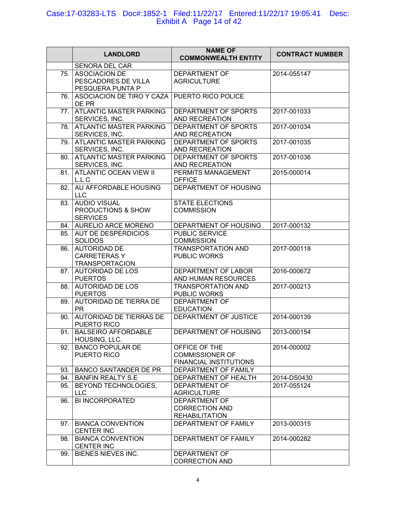## Case:17-03283-LTS Doc#:1852-1 Filed:11/22/17 Entered:11/22/17 19:05:41 Desc: Exhibit A Page 14 of 42

|     | <b>LANDLORD</b>                                                    | <b>NAME OF</b><br><b>COMMONWEALTH ENTITY</b>                             | <b>CONTRACT NUMBER</b> |
|-----|--------------------------------------------------------------------|--------------------------------------------------------------------------|------------------------|
|     | <b>SENORA DEL CAR</b>                                              |                                                                          |                        |
| 75. | <b>ASOCIACION DE</b><br>PESCADORES DE VILLA<br>PESQUERA PUNTA P    | <b>DEPARTMENT OF</b><br><b>AGRICULTURE</b>                               | 2014-055147            |
| 76. | ASOCIACION DE TIRO Y CAZA<br>DE PR                                 | PUERTO RICO POLICE                                                       |                        |
| 77. | <b>ATLANTIC MASTER PARKING</b><br>SERVICES, INC.                   | DEPARTMENT OF SPORTS<br>AND RECREATION                                   | 2017-001033            |
| 78. | ATLANTIC MASTER PARKING<br>SERVICES, INC.                          | DEPARTMENT OF SPORTS<br>AND RECREATION                                   | 2017-001034            |
| 79. | <b>ATLANTIC MASTER PARKING</b><br>SERVICES, INC.                   | DEPARTMENT OF SPORTS<br>AND RECREATION                                   | 2017-001035            |
| 80. | <b>ATLANTIC MASTER PARKING</b><br>SERVICES, INC.                   | DEPARTMENT OF SPORTS<br>AND RECREATION                                   | 2017-001036            |
| 81. | <b>ATLANTIC OCEAN VIEW II</b><br>L.L.C                             | PERMITS MANAGEMENT<br><b>OFFICE</b>                                      | 2015-000014            |
| 82. | AU AFFORDABLE HOUSING<br><b>LLC</b>                                | DEPARTMENT OF HOUSING                                                    |                        |
| 83. | <b>AUDIO VISUAL</b><br>PRODUCTIONS & SHOW<br><b>SERVICES</b>       | <b>STATE ELECTIONS</b><br><b>COMMISSION</b>                              |                        |
|     | 84. AURELIO ARCE MORENO                                            | DEPARTMENT OF HOUSING                                                    | 2017-000132            |
| 85. | <b>AUT DE DESPERDICIOS</b><br><b>SOLIDOS</b>                       | <b>PUBLIC SERVICE</b><br><b>COMMISSION</b>                               |                        |
| 86. | <b>AUTORIDAD DE</b><br><b>CARRETERASY</b><br><b>TRANSPORTACION</b> | <b>TRANSPORTATION AND</b><br><b>PUBLIC WORKS</b>                         | 2017-000118            |
| 87. | <b>AUTORIDAD DE LOS</b><br><b>PUERTOS</b>                          | DEPARTMENT OF LABOR<br>AND HUMAN RESOURCES                               | 2016-000672            |
| 88. | <b>AUTORIDAD DE LOS</b><br><b>PUERTOS</b>                          | <b>TRANSPORTATION AND</b><br>PUBLIC WORKS                                | 2017-000213            |
| 89. | AUTORIDAD DE TIERRA DE<br><b>PR</b>                                | <b>DEPARTMENT OF</b><br><b>EDUCATION</b>                                 |                        |
| 90. | AUTORIDAD DE TIERRAS DE<br>PUERTO RICO                             | DEPARTMENT OF JUSTICE                                                    | 2014-000139            |
|     | 91. BALSEIRO AFFORDABLE<br>HOUSING, LLC.                           | DEPARTMENT OF HOUSING                                                    | 2013-000154            |
| 92. | <b>BANCO POPULAR DE</b><br>PUERTO RICO                             | OFFICE OF THE<br><b>COMMISSIONER OF</b><br><b>FINANCIAL INSTITUTIONS</b> | 2014-000002            |
| 93. | <b>BANCO SANTANDER DE PR</b>                                       | DEPARTMENT OF FAMILY                                                     |                        |
| 94. | <b>BANFIN REALTY S.E</b>                                           | DEPARTMENT OF HEALTH                                                     | 2014-DS0430            |
| 95. | BEYOND TECHNOLOGIES,<br><b>LLC</b>                                 | <b>DEPARTMENT OF</b><br><b>AGRICULTURE</b>                               | 2017-055124            |
| 96. | <b>BI INCORPORATED</b>                                             | DEPARTMENT OF<br><b>CORRECTION AND</b><br><b>REHABILITATION</b>          |                        |
|     | 97. BIANCA CONVENTION<br><b>CENTER INC</b>                         | DEPARTMENT OF FAMILY                                                     | 2013-000315            |
| 98. | <b>BIANCA CONVENTION</b><br><b>CENTER INC</b>                      | DEPARTMENT OF FAMILY                                                     | 2014-000282            |
| 99. | <b>BIENES NIEVES INC.</b>                                          | <b>DEPARTMENT OF</b><br><b>CORRECTION AND</b>                            |                        |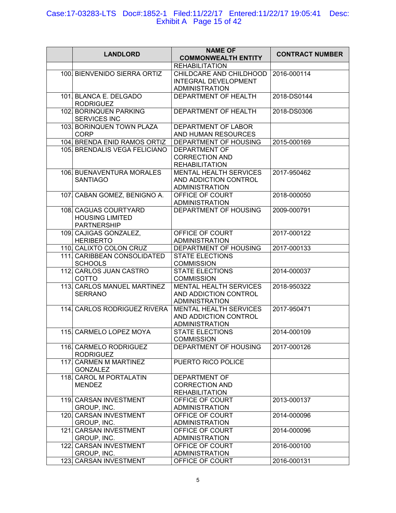## Case:17-03283-LTS Doc#:1852-1 Filed:11/22/17 Entered:11/22/17 19:05:41 Desc: Exhibit A Page 15 of 42

| <b>LANDLORD</b>                                                       | <b>NAME OF</b><br><b>COMMONWEALTH ENTITY</b>                                    | <b>CONTRACT NUMBER</b> |
|-----------------------------------------------------------------------|---------------------------------------------------------------------------------|------------------------|
|                                                                       | <b>REHABILITATION</b>                                                           |                        |
| 100 BIENVENIDO SIERRA ORTIZ                                           | CHILDCARE AND CHILDHOOD<br><b>INTEGRAL DEVELOPMENT</b><br><b>ADMINISTRATION</b> | 2016-000114            |
| 101. BLANCA E. DELGADO<br><b>RODRIGUEZ</b>                            | DEPARTMENT OF HEALTH                                                            | 2018-DS0144            |
| 102. BORINQUEN PARKING<br>SERVICES INC                                | DEPARTMENT OF HEALTH                                                            | 2018-DS0306            |
| 103. BORINQUEN TOWN PLAZA<br><b>CORP</b>                              | DEPARTMENT OF LABOR<br>AND HUMAN RESOURCES                                      |                        |
| 104. BRENDA ENID RAMOS ORTIZ                                          | <b>DEPARTMENT OF HOUSING</b>                                                    | 2015-000169            |
| 105. BRENDALIS VEGA FELICIANO                                         | DEPARTMENT OF<br><b>CORRECTION AND</b><br><b>REHABILITATION</b>                 |                        |
| 106. BUENAVENTURA MORALES<br><b>SANTIAGO</b>                          | <b>MENTAL HEALTH SERVICES</b><br>AND ADDICTION CONTROL<br><b>ADMINISTRATION</b> | 2017-950462            |
| 107. CABAN GOMEZ, BENIGNO A.                                          | OFFICE OF COURT<br><b>ADMINISTRATION</b>                                        | 2018-000050            |
| 108. CAGUAS COURTYARD<br><b>HOUSING LIMITED</b><br><b>PARTNERSHIP</b> | DEPARTMENT OF HOUSING                                                           | 2009-000791            |
| 109. CAJIGAS GONZALEZ,<br><b>HERIBERTO</b>                            | OFFICE OF COURT<br><b>ADMINISTRATION</b>                                        | 2017-000122            |
| 110. CALIXTO COLON CRUZ                                               | DEPARTMENT OF HOUSING                                                           | 2017-000133            |
| 111. CARIBBEAN CONSOLIDATED<br><b>SCHOOLS</b>                         | <b>STATE ELECTIONS</b><br><b>COMMISSION</b>                                     |                        |
| 112. CARLOS JUAN CASTRO<br><b>COTTO</b>                               | <b>STATE ELECTIONS</b><br><b>COMMISSION</b>                                     | 2014-000037            |
| 113. CARLOS MANUEL MARTINEZ<br><b>SERRANO</b>                         | <b>MENTAL HEALTH SERVICES</b><br>AND ADDICTION CONTROL<br><b>ADMINISTRATION</b> | 2018-950322            |
| 114. CARLOS RODRIGUEZ RIVERA                                          | MENTAL HEALTH SERVICES<br>AND ADDICTION CONTROL<br><b>ADMINISTRATION</b>        | 2017-950471            |
| 115 CARMELO LOPEZ MOYA                                                | <b>STATE ELECTIONS</b><br><b>COMMISSION</b>                                     | 2014-000109            |
| 116. CARMELO RODRIGUEZ<br><b>RODRIGUEZ</b>                            | DEPARTMENT OF HOUSING                                                           | 2017-000126            |
| 117 CARMEN M MARTINEZ<br><b>GONZALEZ</b>                              | PUERTO RICO POLICE                                                              |                        |
| 118. CAROL M PORTALATIN<br><b>MENDEZ</b>                              | <b>DEPARTMENT OF</b><br><b>CORRECTION AND</b><br><b>REHABILITATION</b>          |                        |
| 119. CARSAN INVESTMENT<br>GROUP, INC.                                 | OFFICE OF COURT<br><b>ADMINISTRATION</b>                                        | 2013-000137            |
| 120. CARSAN INVESTMENT<br>GROUP, INC.                                 | OFFICE OF COURT<br><b>ADMINISTRATION</b>                                        | 2014-000096            |
| 121. CARSAN INVESTMENT<br>GROUP, INC.                                 | OFFICE OF COURT<br><b>ADMINISTRATION</b>                                        | 2014-000096            |
| 122. CARSAN INVESTMENT<br>GROUP, INC.                                 | OFFICE OF COURT<br><b>ADMINISTRATION</b>                                        | 2016-000100            |
| 123. CARSAN INVESTMENT                                                | OFFICE OF COURT                                                                 | 2016-000131            |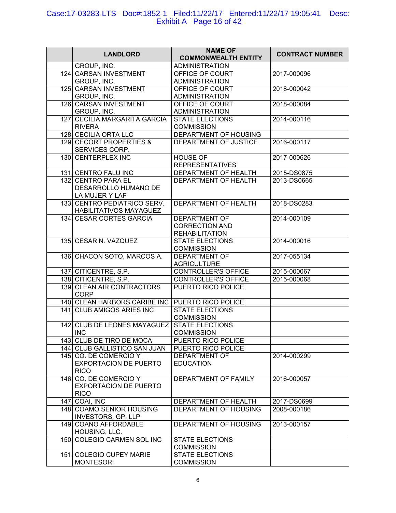#### Case:17-03283-LTS Doc#:1852-1 Filed:11/22/17 Entered:11/22/17 19:05:41 Desc: Exhibit A Page 16 of 42

| <b>LANDLORD</b>               | <b>NAME OF</b><br><b>COMMONWEALTH ENTITY</b> | <b>CONTRACT NUMBER</b> |
|-------------------------------|----------------------------------------------|------------------------|
| GROUP, INC.                   | <b>ADMINISTRATION</b>                        |                        |
| 124. CARSAN INVESTMENT        | OFFICE OF COURT                              | 2017-000096            |
| GROUP, INC.                   | <b>ADMINISTRATION</b>                        |                        |
| 125. CARSAN INVESTMENT        | OFFICE OF COURT                              | 2018-000042            |
| GROUP, INC.                   | <b>ADMINISTRATION</b>                        |                        |
| 126. CARSAN INVESTMENT        | OFFICE OF COURT                              | 2018-000084            |
| GROUP, INC.                   | <b>ADMINISTRATION</b>                        |                        |
| 127. CECILIA MARGARITA GARCIA | <b>STATE ELECTIONS</b>                       | 2014-000116            |
| <b>RIVERA</b>                 | <b>COMMISSION</b>                            |                        |
| 128 CECILIA ORTA LLC          | DEPARTMENT OF HOUSING                        |                        |
| 129. CECORT PROPERTIES &      | DEPARTMENT OF JUSTICE                        | 2016-000117            |
| SERVICES CORP.                |                                              |                        |
| 130. CENTERPLEX INC           | <b>HOUSE OF</b>                              | 2017-000626            |
|                               | <b>REPRESENTATIVES</b>                       |                        |
| 131. CENTRO FALU INC          | DEPARTMENT OF HEALTH                         | 2015-DS0875            |
| 132 CENTRO PARA EL            | DEPARTMENT OF HEALTH                         | 2013-DS0665            |
| DESARROLLO HUMANO DE          |                                              |                        |
| LA MUJER Y LAF                |                                              |                        |
| 133. CENTRO PEDIATRICO SERV.  | DEPARTMENT OF HEALTH                         | 2018-DS0283            |
| HABILITATIVOS MAYAGUEZ        |                                              |                        |
| 134. CESAR CORTES GARCIA      | <b>DEPARTMENT OF</b>                         | 2014-000109            |
|                               | <b>CORRECTION AND</b>                        |                        |
|                               | <b>REHABILITATION</b>                        |                        |
| 135. CESAR N. VAZQUEZ         | <b>STATE ELECTIONS</b>                       | 2014-000016            |
|                               | <b>COMMISSION</b>                            |                        |
| 136. CHACON SOTO, MARCOS A.   | <b>DEPARTMENT OF</b>                         | 2017-055134            |
|                               | <b>AGRICULTURE</b>                           |                        |
| 137. CITICENTRE, S.P.         | <b>CONTROLLER'S OFFICE</b>                   | 2015-000067            |
| 138. CITICENTRE, S.P.         | <b>CONTROLLER'S OFFICE</b>                   | 2015-000068            |
| 139. CLEAN AIR CONTRACTORS    | PUERTO RICO POLICE                           |                        |
| <b>CORP</b>                   |                                              |                        |
| 140. CLEAN HARBORS CARIBE INC | PUERTO RICO POLICE                           |                        |
| 141. CLUB AMIGOS ARIES INC    | <b>STATE ELECTIONS</b>                       |                        |
|                               | <b>COMMISSION</b>                            |                        |
| 142. CLUB DE LEONES MAYAGUEZ  | <b>STATE ELECTIONS</b>                       |                        |
| INC                           | <b>COMMISSION</b>                            |                        |
| 143. CLUB DE TIRO DE MOCA     | PUERTO RICO POLICE                           |                        |
| 144. CLUB GALLISTICO SAN JUAN | PUERTO RICO POLICE                           |                        |
| 145. CO. DE COMERCIO Y        | <b>DEPARTMENT OF</b>                         | 2014-000299            |
| <b>EXPORTACION DE PUERTO</b>  | <b>EDUCATION</b>                             |                        |
| <b>RICO</b>                   |                                              |                        |
| 146 CO. DE COMERCIO Y         | DEPARTMENT OF FAMILY                         | 2016-000057            |
| <b>EXPORTACION DE PUERTO</b>  |                                              |                        |
| <b>RICO</b>                   |                                              |                        |
| $147$ . COAI, INC             | DEPARTMENT OF HEALTH                         | 2017-DS0699            |
| 148 COAMO SENIOR HOUSING      | DEPARTMENT OF HOUSING                        | 2008-000186            |
| <b>INVESTORS, GP, LLP</b>     |                                              |                        |
| 149. COANO AFFORDABLE         | DEPARTMENT OF HOUSING                        | 2013-000157            |
| HOUSING, LLC.                 |                                              |                        |
| 150. COLEGIO CARMEN SOL INC   | <b>STATE ELECTIONS</b>                       |                        |
|                               | <b>COMMISSION</b>                            |                        |
| 151. COLEGIO CUPEY MARIE      | <b>STATE ELECTIONS</b>                       |                        |
| <b>MONTESORI</b>              | <b>COMMISSION</b>                            |                        |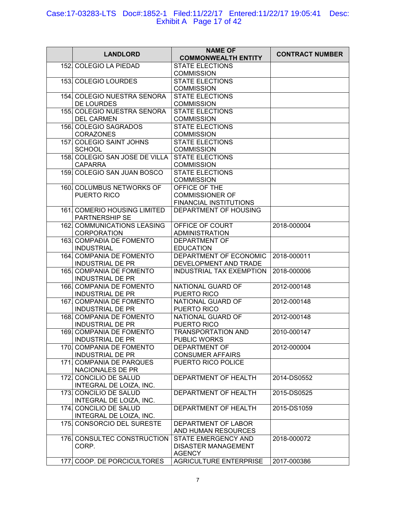#### Case:17-03283-LTS Doc#:1852-1 Filed:11/22/17 Entered:11/22/17 19:05:41 Desc: Exhibit A Page 17 of 42

| <b>LANDLORD</b>                                          | <b>NAME OF</b><br><b>COMMONWEALTH ENTITY</b>    | <b>CONTRACT NUMBER</b> |
|----------------------------------------------------------|-------------------------------------------------|------------------------|
| 152. COLEGIO LA PIEDAD                                   | <b>STATE ELECTIONS</b><br><b>COMMISSION</b>     |                        |
| 153. COLEGIO LOURDES                                     | <b>STATE ELECTIONS</b>                          |                        |
| 154. COLEGIO NUESTRA SENORA                              | <b>COMMISSION</b><br><b>STATE ELECTIONS</b>     |                        |
| DE LOURDES                                               | <b>COMMISSION</b>                               |                        |
| 155. COLEGIO NUESTRA SENORA<br><b>DEL CARMEN</b>         | <b>STATE ELECTIONS</b><br><b>COMMISSION</b>     |                        |
| 156. COLEGIO SAGRADOS<br><b>CORAZONES</b>                | <b>STATE ELECTIONS</b><br><b>COMMISSION</b>     |                        |
| 157. COLEGIO SAINT JOHNS                                 | <b>STATE ELECTIONS</b>                          |                        |
| <b>SCHOOL</b>                                            | <b>COMMISSION</b>                               |                        |
| 158. COLEGIO SAN JOSE DE VILLA<br><b>CAPARRA</b>         | <b>STATE ELECTIONS</b><br><b>COMMISSION</b>     |                        |
| 159. COLEGIO SAN JUAN BOSCO                              | <b>STATE ELECTIONS</b><br><b>COMMISSION</b>     |                        |
| 160. COLUMBUS NETWORKS OF                                | OFFICE OF THE                                   |                        |
| PUERTO RICO                                              | <b>COMMISSIONER OF</b>                          |                        |
| 161. COMERIO HOUSING LIMITED                             | FINANCIAL INSTITUTIONS<br>DEPARTMENT OF HOUSING |                        |
| PARTNERSHIP SE                                           |                                                 |                        |
| <b>162. COMMUNICATIONS LEASING</b><br><b>CORPORATION</b> | OFFICE OF COURT                                 | 2018-000004            |
| 163. COMPAĐIA DE FOMENTO                                 | <b>ADMINISTRATION</b><br><b>DEPARTMENT OF</b>   |                        |
| <b>INDUSTRIAL</b>                                        | <b>EDUCATION</b>                                |                        |
| 164. COMPANIA DE FOMENTO<br><b>INDUSTRIAL DE PR</b>      | DEPARTMENT OF ECONOMIC<br>DEVELOPMENT AND TRADE | 2018-000011            |
| 165. COMPANIA DE FOMENTO<br><b>INDUSTRIAL DE PR</b>      | <b>INDUSTRIAL TAX EXEMPTION</b>                 | 2018-000006            |
| 166. COMPANIA DE FOMENTO                                 | NATIONAL GUARD OF                               | 2012-000148            |
| <b>INDUSTRIAL DE PR</b><br>167 COMPANIA DE FOMENTO       | PUERTO RICO                                     |                        |
| <b>INDUSTRIAL DE PR</b>                                  | NATIONAL GUARD OF<br>PUERTO RICO                | 2012-000148            |
| 168. COMPANIA DE FOMENTO                                 | NATIONAL GUARD OF                               | 2012-000148            |
| <b>INDUSTRIAL DE PR</b><br>169. COMPANIA DE FOMENTO      | PUERTO RICO<br>TRANSPORTATION AND               | 2010-000147            |
| <b>INDUSTRIAL DE PR</b>                                  | PUBLIC WORKS                                    |                        |
| 170. COMPANIA DE FOMENTO<br><b>INDUSTRIAL DE PR</b>      | <b>DEPARTMENT OF</b><br><b>CONSUMER AFFAIRS</b> | 2012-000004            |
| 171. COMPANIA DE PARQUES                                 | PUERTO RICO POLICE                              |                        |
| NACIONALES DE PR                                         |                                                 |                        |
| 172. CONCILIO DE SALUD<br>INTEGRAL DE LOIZA, INC.        | DEPARTMENT OF HEALTH                            | 2014-DS0552            |
| 173. CONCILIO DE SALUD<br>INTEGRAL DE LOIZA, INC.        | DEPARTMENT OF HEALTH                            | 2015-DS0525            |
| 174. CONCILIO DE SALUD<br>INTEGRAL DE LOIZA, INC.        | DEPARTMENT OF HEALTH                            | 2015-DS1059            |
| 175. CONSORCIO DEL SURESTE                               | DEPARTMENT OF LABOR                             |                        |
| 176. CONSULTEC CONSTRUCTION                              | AND HUMAN RESOURCES<br>STATE EMERGENCY AND      | 2018-000072            |
| CORP.                                                    | <b>DISASTER MANAGEMENT</b><br><b>AGENCY</b>     |                        |
| 177. COOP. DE PORCICULTORES                              | <b>AGRICULTURE ENTERPRISE</b>                   | 2017-000386            |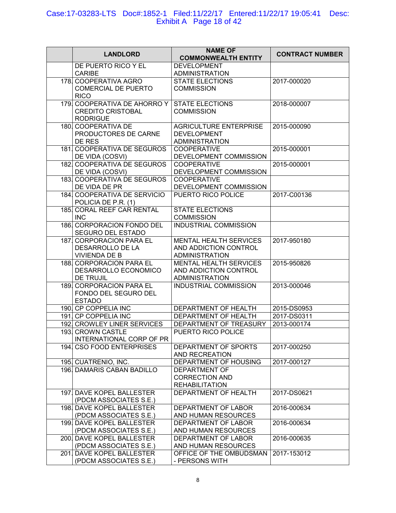#### Case:17-03283-LTS Doc#:1852-1 Filed:11/22/17 Entered:11/22/17 19:05:41 Desc: Exhibit A Page 18 of 42

|                                                     | <b>NAME OF</b>                                  |                            |
|-----------------------------------------------------|-------------------------------------------------|----------------------------|
| <b>LANDLORD</b>                                     | <b>COMMONWEALTH ENTITY</b>                      | <b>CONTRACT NUMBER</b>     |
| DE PUERTO RICO Y EL                                 | <b>DEVELOPMENT</b>                              |                            |
| <b>CARIBE</b>                                       | <b>ADMINISTRATION</b>                           |                            |
| 178. COOPERATIVA AGRO                               | <b>STATE ELECTIONS</b>                          | 2017-000020                |
| <b>COMERCIAL DE PUERTO</b>                          | <b>COMMISSION</b>                               |                            |
| <b>RICO</b><br>179. COOPERATIVA DE AHORRO Y         | <b>STATE ELECTIONS</b>                          | 2018-000007                |
| <b>CREDITO CRISTOBAL</b>                            | <b>COMMISSION</b>                               |                            |
| <b>RODRIGUE</b>                                     |                                                 |                            |
| 180. COOPERATIVA DE                                 | AGRICULTURE ENTERPRISE                          | 2015-000090                |
| PRODUCTORES DE CARNE                                | <b>DEVELOPMENT</b>                              |                            |
| DE RES                                              | <b>ADMINISTRATION</b>                           |                            |
| 181. COOPERATIVA DE SEGUROS                         | <b>COOPERATIVE</b>                              | 2015-000001                |
| DE VIDA (COSVI)                                     | DEVELOPMENT COMMISSION                          |                            |
| 182. COOPERATIVA DE SEGUROS<br>DE VIDA (COSVI)      | <b>COOPERATIVE</b><br>DEVELOPMENT COMMISSION    | 2015-000001                |
| 183. COOPERATIVA DE SEGUROS                         | <b>COOPERATIVE</b>                              |                            |
| DE VIDA DE PR                                       | DEVELOPMENT COMMISSION                          |                            |
| 184 COOPERATIVA DE SERVICIO                         | PUERTO RICO POLICE                              | 2017-C00136                |
| POLICIA DE P.R. (1)                                 |                                                 |                            |
| 185. CORAL REEF CAR RENTAL                          | <b>STATE ELECTIONS</b>                          |                            |
| <b>INC</b>                                          | <b>COMMISSION</b>                               |                            |
| 186. CORPORACION FONDO DEL                          | <b>INDUSTRIAL COMMISSION</b>                    |                            |
| SEGURO DEL ESTADO                                   |                                                 |                            |
| 187. CORPORACION PARA EL<br>DESARROLLO DE LA        | MENTAL HEALTH SERVICES<br>AND ADDICTION CONTROL | 2017-950180                |
| <b>VIVIENDA DE B</b>                                | <b>ADMINISTRATION</b>                           |                            |
| 188. CORPORACION PARA EL                            | <b>MENTAL HEALTH SERVICES</b>                   | 2015-950826                |
| DESARROLLO ECONOMICO                                | AND ADDICTION CONTROL                           |                            |
| DE TRUJIL                                           | <b>ADMINISTRATION</b>                           |                            |
| 189. CORPORACION PARA EL                            | <b>INDUSTRIAL COMMISSION</b>                    | 2013-000046                |
| FONDO DEL SEGURO DEL                                |                                                 |                            |
| <b>ESTADO</b>                                       |                                                 |                            |
| 190. CP COPPELIA INC<br>191. CP COPPELIA INC        | DEPARTMENT OF HEALTH<br>DEPARTMENT OF HEALTH    | 2015-DS0953<br>2017-DS0311 |
| 192. CROWLEY LINER SERVICES                         | DEPARTMENT OF TREASURY                          | 2013-000174                |
| 193 CROWN CASTLE                                    | PUERTO RICO POLICE                              |                            |
| INTERNATIONAL CORP OF PR                            |                                                 |                            |
| 194. CSO FOOD ENTERPRISES                           | DEPARTMENT OF SPORTS                            | 2017-000250                |
|                                                     | AND RECREATION                                  |                            |
| 195. CUATRENIO, INC.                                | <b>DEPARTMENT OF HOUSING</b>                    | 2017-000127                |
| 196. DAMARIS CABAN BADILLO                          | <b>DEPARTMENT OF</b>                            |                            |
|                                                     | <b>CORRECTION AND</b>                           |                            |
| 197. DAVE KOPEL BALLESTER                           | <b>REHABILITATION</b><br>DEPARTMENT OF HEALTH   | 2017-DS0621                |
| (PDCM ASSOCIATES S.E.)                              |                                                 |                            |
| 198. DAVE KOPEL BALLESTER                           | DEPARTMENT OF LABOR                             | 2016-000634                |
| (PDCM ASSOCIATES S.E.)                              | AND HUMAN RESOURCES                             |                            |
| 199. DAVE KOPEL BALLESTER                           | DEPARTMENT OF LABOR                             | 2016-000634                |
| (PDCM ASSOCIATES S.E.)                              | AND HUMAN RESOURCES                             |                            |
| 200. DAVE KOPEL BALLESTER                           | DEPARTMENT OF LABOR                             | 2016-000635                |
| (PDCM ASSOCIATES S.E.)<br>201. DAVE KOPEL BALLESTER | AND HUMAN RESOURCES                             |                            |
| (PDCM ASSOCIATES S.E.)                              | OFFICE OF THE OMBUDSMAN<br>- PERSONS WITH       | 2017-153012                |
|                                                     |                                                 |                            |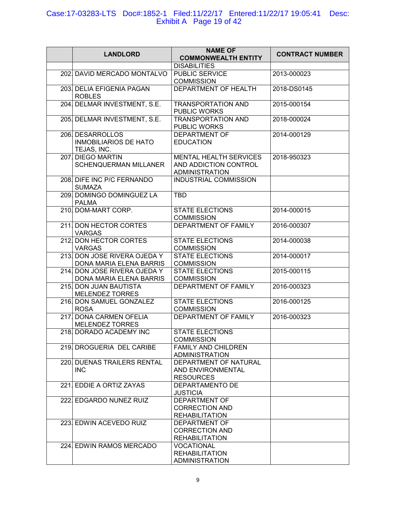### Case:17-03283-LTS Doc#:1852-1 Filed:11/22/17 Entered:11/22/17 19:05:41 Desc: Exhibit A Page 19 of 42

| <b>LANDLORD</b>              | <b>NAME OF</b><br><b>COMMONWEALTH ENTITY</b> | <b>CONTRACT NUMBER</b> |
|------------------------------|----------------------------------------------|------------------------|
|                              | <b>DISABILITIES</b>                          |                        |
| 202. DAVID MERCADO MONTALVO  | <b>PUBLIC SERVICE</b>                        | 2013-000023            |
|                              | <b>COMMISSION</b>                            |                        |
| 203. DELIA EFIGENIA PAGAN    | DEPARTMENT OF HEALTH                         | 2018-DS0145            |
|                              |                                              |                        |
| <b>ROBLES</b>                |                                              |                        |
| 204. DELMAR INVESTMENT, S.E. | <b>TRANSPORTATION AND</b>                    | 2015-000154            |
|                              | PUBLIC WORKS                                 |                        |
| 205. DELMAR INVESTMENT, S.E. | <b>TRANSPORTATION AND</b>                    | 2018-000024            |
|                              | PUBLIC WORKS                                 |                        |
| 206. DESARROLLOS             | DEPARTMENT OF                                | 2014-000129            |
| <b>INMOBILIARIOS DE HATO</b> | <b>EDUCATION</b>                             |                        |
| TEJAS, INC.                  |                                              |                        |
| 207 DIEGO MARTIN             | MENTAL HEALTH SERVICES                       | 2018-950323            |
| SCHENQUERMAN MILLANER        | AND ADDICTION CONTROL                        |                        |
|                              | <b>ADMINISTRATION</b>                        |                        |
|                              |                                              |                        |
| 208. DIFE INC P/C FERNANDO   | <b>INDUSTRIAL COMMISSION</b>                 |                        |
| <b>SUMAZA</b>                |                                              |                        |
| 209. DOMINGO DOMINGUEZ LA    | <b>TBD</b>                                   |                        |
| <b>PALMA</b>                 |                                              |                        |
| 210. DOM-MART CORP.          | <b>STATE ELECTIONS</b>                       | 2014-000015            |
|                              | <b>COMMISSION</b>                            |                        |
| 211. DON HECTOR CORTES       | <b>DEPARTMENT OF FAMILY</b>                  | 2016-000307            |
| <b>VARGAS</b>                |                                              |                        |
| 212. DON HECTOR CORTES       | <b>STATE ELECTIONS</b>                       | 2014-000038            |
| <b>VARGAS</b>                | <b>COMMISSION</b>                            |                        |
|                              |                                              |                        |
| 213. DON JOSE RIVERA OJEDA Y | <b>STATE ELECTIONS</b>                       | 2014-000017            |
| DONA MARIA ELENA BARRIS      | <b>COMMISSION</b>                            |                        |
| 214. DON JOSE RIVERA OJEDA Y | <b>STATE ELECTIONS</b>                       | 2015-000115            |
| DONA MARIA ELENA BARRIS      | <b>COMMISSION</b>                            |                        |
| 215 DON JUAN BAUTISTA        | DEPARTMENT OF FAMILY                         | 2016-000323            |
| <b>MELENDEZ TORRES</b>       |                                              |                        |
| 216. DON SAMUEL GONZALEZ     | <b>STATE ELECTIONS</b>                       | 2016-000125            |
| <b>ROSA</b>                  | <b>COMMISSION</b>                            |                        |
| 217. DONA CARMEN OFELIA      | DEPARTMENT OF FAMILY                         | 2016-000323            |
| <b>MELENDEZ TORRES</b>       |                                              |                        |
|                              |                                              |                        |
| 218. DORADO ACADEMY INC      | <b>STATE ELECTIONS</b>                       |                        |
|                              | <b>COMMISSION</b>                            |                        |
| 219. DROGUERIA DEL CARIBE    | <b>FAMILY AND CHILDREN</b>                   |                        |
|                              | <b>ADMINISTRATION</b>                        |                        |
| 220. DUENAS TRAILERS RENTAL  | DEPARTMENT OF NATURAL                        |                        |
| <b>INC</b>                   | AND ENVIRONMENTAL                            |                        |
|                              | <b>RESOURCES</b>                             |                        |
| 221 EDDIE A ORTIZ ZAYAS      | DEPARTAMENTO DE                              |                        |
|                              | <b>JUSTICIA</b>                              |                        |
| 222. EDGARDO NUNEZ RUIZ      | <b>DEPARTMENT OF</b>                         |                        |
|                              | <b>CORRECTION AND</b>                        |                        |
|                              | <b>REHABILITATION</b>                        |                        |
| 223 EDWIN ACEVEDO RUIZ       | <b>DEPARTMENT OF</b>                         |                        |
|                              | <b>CORRECTION AND</b>                        |                        |
|                              |                                              |                        |
|                              | <b>REHABILITATION</b>                        |                        |
| 224. EDWIN RAMOS MERCADO     | <b>VOCATIONAL</b>                            |                        |
|                              | <b>REHABILITATION</b>                        |                        |
|                              | <b>ADMINISTRATION</b>                        |                        |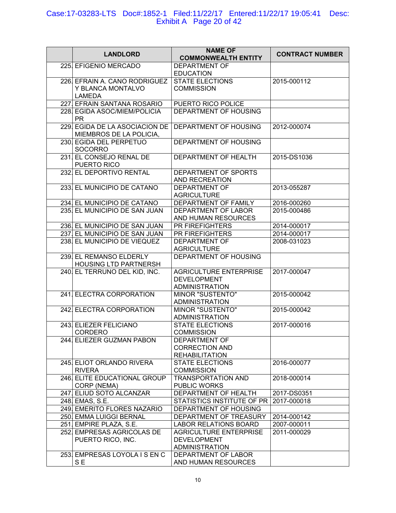#### Case:17-03283-LTS Doc#:1852-1 Filed:11/22/17 Entered:11/22/17 19:05:41 Desc: Exhibit A Page 20 of 42

| <b>LANDLORD</b>                                                     | <b>NAME OF</b><br><b>COMMONWEALTH ENTITY</b>                                 | <b>CONTRACT NUMBER</b> |
|---------------------------------------------------------------------|------------------------------------------------------------------------------|------------------------|
| 225. EFIGENIO MERCADO                                               | <b>DEPARTMENT OF</b><br><b>EDUCATION</b>                                     |                        |
| 226. EFRAIN A. CANO RODRIGUEZ<br>Y BLANCA MONTALVO<br><b>LAMEDA</b> | <b>STATE ELECTIONS</b><br><b>COMMISSION</b>                                  | 2015-000112            |
| 227. EFRAIN SANTANA ROSARIO                                         | PUERTO RICO POLICE                                                           |                        |
| 228. EGIDA ASOC/MIEM/POLICIA<br><b>PR</b>                           | DEPARTMENT OF HOUSING                                                        |                        |
| 229. EGIDA DE LA ASOCIACION DE<br>MIEMBROS DE LA POLICIA,           | DEPARTMENT OF HOUSING                                                        | 2012-000074            |
| 230. EGIDA DEL PERPETUO<br><b>SOCORRO</b>                           | DEPARTMENT OF HOUSING                                                        |                        |
| 231. EL CONSEJO RENAL DE<br>PUERTO RICO                             | DEPARTMENT OF HEALTH                                                         | 2015-DS1036            |
| 232. EL DEPORTIVO RENTAL                                            | DEPARTMENT OF SPORTS<br>AND RECREATION                                       |                        |
| 233. EL MUNICIPIO DE CATANO                                         | <b>DEPARTMENT OF</b><br><b>AGRICULTURE</b>                                   | 2013-055287            |
| 234. EL MUNICIPIO DE CATANO                                         | DEPARTMENT OF FAMILY                                                         | 2016-000260            |
| 235. EL MUNICIPIO DE SAN JUAN                                       | DEPARTMENT OF LABOR                                                          | 2015-000486            |
|                                                                     | AND HUMAN RESOURCES                                                          |                        |
| 236. EL MUNICIPIO DE SAN JUAN                                       | <b>PR FIREFIGHTERS</b>                                                       | 2014-000017            |
| 237 EL MUNICIPIO DE SAN JUAN                                        | PR FIREFIGHTERS                                                              | 2014-000017            |
| 238. EL MUNICIPIO DE VIEQUEZ                                        | <b>DEPARTMENT OF</b><br><b>AGRICULTURE</b>                                   | 2008-031023            |
| 239. EL REMANSO ELDERLY<br><b>HOUSING LTD PARTNERSH</b>             | DEPARTMENT OF HOUSING                                                        |                        |
| 240. EL TERRUNO DEL KID, INC.                                       | <b>AGRICULTURE ENTERPRISE</b><br><b>DEVELOPMENT</b><br><b>ADMINISTRATION</b> | 2017-000047            |
| 241. ELECTRA CORPORATION                                            | <b>MINOR "SUSTENTO"</b><br><b>ADMINISTRATION</b>                             | 2015-000042            |
| 242. ELECTRA CORPORATION                                            | <b>MINOR "SUSTENTO"</b><br><b>ADMINISTRATION</b>                             | 2015-000042            |
| 243. ELIEZER FELICIANO<br><b>CORDERO</b>                            | <b>STATE ELECTIONS</b><br><b>COMMISSION</b>                                  | 2017-000016            |
| 244. ELIEZER GUZMAN PABON                                           | DEPARTMENT OF<br><b>CORRECTION AND</b><br><b>REHABILITATION</b>              |                        |
| 245. ELIOT ORLANDO RIVERA<br><b>RIVERA</b>                          | <b>STATE ELECTIONS</b><br><b>COMMISSION</b>                                  | 2016-000077            |
| 246. ELITE EDUCATIONAL GROUP<br>CORP (NEMA)                         | <b>TRANSPORTATION AND</b><br>PUBLIC WORKS                                    | 2018-000014            |
| 247 ELIUD SOTO ALCANZAR                                             | DEPARTMENT OF HEALTH                                                         | 2017-DS0351            |
| 248. EMAS, S.E.                                                     | STATISTICS INSTITUTE OF PR                                                   | 2017-000018            |
| 249. EMERITO FLORES NAZARIO                                         | DEPARTMENT OF HOUSING                                                        |                        |
| 250. EMMA LUIGGI BERNAL                                             | DEPARTMENT OF TREASURY                                                       | 2014-000142            |
| 251. EMPIRE PLAZA, S.E.                                             | <b>LABOR RELATIONS BOARD</b>                                                 | 2007-000011            |
| 252. EMPRESAS AGRICOLAS DE<br>PUERTO RICO, INC.                     | <b>AGRICULTURE ENTERPRISE</b><br><b>DEVELOPMENT</b><br><b>ADMINISTRATION</b> | 2011-000029            |
| 253. EMPRESAS LOYOLA I S EN C<br>SE.                                | DEPARTMENT OF LABOR<br>AND HUMAN RESOURCES                                   |                        |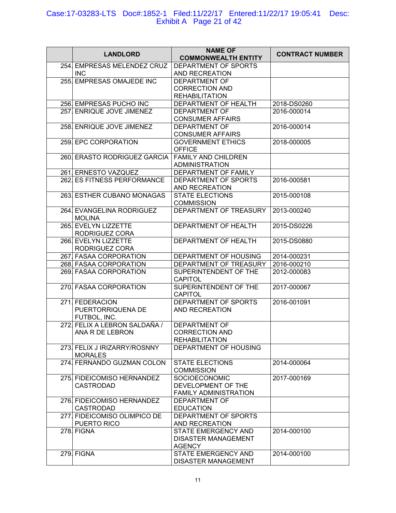| <b>LANDLORD</b>                                | <b>NAME OF</b><br><b>COMMONWEALTH ENTITY</b>        | <b>CONTRACT NUMBER</b> |
|------------------------------------------------|-----------------------------------------------------|------------------------|
| 254. EMPRESAS MELENDEZ CRUZ<br><b>INC</b>      | DEPARTMENT OF SPORTS<br>AND RECREATION              |                        |
| 255. EMPRESAS OMAJEDE INC                      | <b>DEPARTMENT OF</b>                                |                        |
|                                                | <b>CORRECTION AND</b>                               |                        |
|                                                | <b>REHABILITATION</b>                               |                        |
| 256. EMPRESAS PUCHO INC                        | DEPARTMENT OF HEALTH                                | 2018-DS0260            |
| 257. ENRIQUE JOVE JIMENEZ                      | <b>DEPARTMENT OF</b>                                | 2016-000014            |
|                                                | <b>CONSUMER AFFAIRS</b>                             |                        |
| 258. ENRIQUE JOVE JIMENEZ                      | <b>DEPARTMENT OF</b>                                | 2016-000014            |
| 259 EPC CORPORATION                            | <b>CONSUMER AFFAIRS</b><br><b>GOVERNMENT ETHICS</b> | 2018-000005            |
|                                                | <b>OFFICE</b>                                       |                        |
| 260. ERASTO RODRIGUEZ GARCIA                   | <b>FAMILY AND CHILDREN</b>                          |                        |
|                                                | <b>ADMINISTRATION</b>                               |                        |
| 261 ERNESTO VAZQUEZ                            | DEPARTMENT OF FAMILY                                |                        |
| 262. ES FITNESS PERFORMANCE                    | DEPARTMENT OF SPORTS                                | 2016-000581            |
|                                                | AND RECREATION                                      |                        |
| 263. ESTHER CUBANO MONAGAS                     | STATE ELECTIONS                                     | 2015-000108            |
|                                                | <b>COMMISSION</b>                                   |                        |
| 264. EVANGELINA RODRIGUEZ<br><b>MOLINA</b>     | DEPARTMENT OF TREASURY                              | 2013-000240            |
| 265. EVELYN LIZZETTE                           | DEPARTMENT OF HEALTH                                | 2015-DS0226            |
| RODRIGUEZ CORA                                 |                                                     |                        |
| 266. EVELYN LIZZETTE                           | DEPARTMENT OF HEALTH                                | 2015-DS0880            |
| RODRIGUEZ CORA                                 |                                                     |                        |
| 267. FASAA CORPORATION                         | DEPARTMENT OF HOUSING                               | 2014-000231            |
| 268. FASAA CORPORATION                         | DEPARTMENT OF TREASURY                              | 2016-000210            |
| 269. FASAA CORPORATION                         | SUPERINTENDENT OF THE<br><b>CAPITOL</b>             | 2012-000083            |
| 270 FASAA CORPORATION                          | SUPERINTENDENT OF THE                               | 2017-000067            |
|                                                | CAPITOL                                             |                        |
| 271 FEDERACION                                 | DEPARTMENT OF SPORTS                                | 2016-001091            |
| PUERTORRIQUENA DE                              | <b>AND RECREATION</b>                               |                        |
| FUTBOL, INC.                                   |                                                     |                        |
| 272. FELIX A LEBRON SALDAÑA /                  | <b>DEPARTMENT OF</b>                                |                        |
| ANA R DE LEBRON                                | <b>CORRECTION AND</b>                               |                        |
|                                                | <b>REHABILITATION</b>                               |                        |
| 273. FELIX J IRIZARRY/ROSNNY<br><b>MORALES</b> | DEPARTMENT OF HOUSING                               |                        |
| 274. FERNANDO GUZMAN COLON                     | <b>STATE ELECTIONS</b>                              | 2014-000064            |
|                                                | <b>COMMISSION</b>                                   |                        |
| 275. FIDEICOMISO HERNANDEZ                     | SOCIOECONOMIC                                       | 2017-000169            |
| <b>CASTRODAD</b>                               | DEVELOPMENT OF THE                                  |                        |
|                                                | <b>FAMILY ADMINISTRATION</b>                        |                        |
| 276. FIDEICOMISO HERNANDEZ                     | DEPARTMENT OF                                       |                        |
| <b>CASTRODAD</b>                               | <b>EDUCATION</b>                                    |                        |
| 277. FIDEICOMISO OLIMPICO DE                   | DEPARTMENT OF SPORTS                                |                        |
| PUERTO RICO<br>278. FIGNA                      | AND RECREATION<br>STATE EMERGENCY AND               | 2014-000100            |
|                                                | <b>DISASTER MANAGEMENT</b>                          |                        |
|                                                | <b>AGENCY</b>                                       |                        |
| 279. FIGNA                                     | STATE EMERGENCY AND                                 | 2014-000100            |
|                                                | DISASTER MANAGEMENT                                 |                        |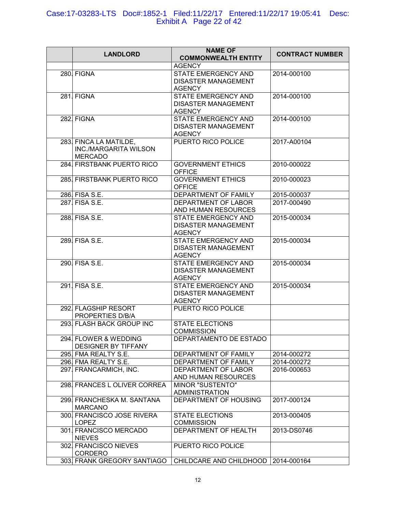#### Case:17-03283-LTS Doc#:1852-1 Filed:11/22/17 Entered:11/22/17 19:05:41 Desc: Exhibit A Page 22 of 42

| <b>LANDLORD</b>                                                   | <b>NAME OF</b><br><b>COMMONWEALTH ENTITY</b>                              | <b>CONTRACT NUMBER</b> |
|-------------------------------------------------------------------|---------------------------------------------------------------------------|------------------------|
|                                                                   | <b>AGENCY</b>                                                             |                        |
| 280. FIGNA                                                        | STATE EMERGENCY AND<br><b>DISASTER MANAGEMENT</b><br><b>AGENCY</b>        | 2014-000100            |
| 281. FIGNA                                                        | STATE EMERGENCY AND<br><b>DISASTER MANAGEMENT</b><br><b>AGENCY</b>        | 2014-000100            |
| 282. FIGNA                                                        | <b>STATE EMERGENCY AND</b><br><b>DISASTER MANAGEMENT</b><br><b>AGENCY</b> | 2014-000100            |
| 283. FINCA LA MATILDE,<br>INC./MARGARITA WILSON<br><b>MERCADO</b> | PUERTO RICO POLICE                                                        | 2017-A00104            |
| 284. FIRSTBANK PUERTO RICO                                        | <b>GOVERNMENT ETHICS</b><br><b>OFFICE</b>                                 | 2010-000022            |
| 285. FIRSTBANK PUERTO RICO                                        | <b>GOVERNMENT ETHICS</b><br><b>OFFICE</b>                                 | 2010-000023            |
| 286. FISA S.E.                                                    | DEPARTMENT OF FAMILY                                                      | 2015-000037            |
| 287 FISA S.E.                                                     | DEPARTMENT OF LABOR<br>AND HUMAN RESOURCES                                | 2017-000490            |
| 288. FISA S.E.                                                    | STATE EMERGENCY AND<br><b>DISASTER MANAGEMENT</b><br><b>AGENCY</b>        | 2015-000034            |
| 289. FISA S.E.                                                    | STATE EMERGENCY AND<br><b>DISASTER MANAGEMENT</b><br><b>AGENCY</b>        | 2015-000034            |
| 290. FISA S.E.                                                    | STATE EMERGENCY AND<br><b>DISASTER MANAGEMENT</b><br><b>AGENCY</b>        | 2015-000034            |
| 291. FISA S.E.                                                    | <b>STATE EMERGENCY AND</b><br><b>DISASTER MANAGEMENT</b><br><b>AGENCY</b> | 2015-000034            |
| 292. FLAGSHIP RESORT<br>PROPERTIES D/B/A                          | PUERTO RICO POLICE                                                        |                        |
| 293. FLASH BACK GROUP INC                                         | <b>STATE ELECTIONS</b><br><b>COMMISSION</b>                               |                        |
| 294. FLOWER & WEDDING<br><b>DESIGNER BY TIFFANY</b>               | DEPARTAMENTO DE ESTADO                                                    |                        |
| 295. FMA REALTY S.E.                                              | DEPARTMENT OF FAMILY                                                      | 2014-000272            |
| 296. FMA REALTY S.E.                                              | DEPARTMENT OF FAMILY                                                      | 2014-000272            |
| 297. FRANCARMICH, INC.                                            | DEPARTMENT OF LABOR<br>AND HUMAN RESOURCES                                | 2016-000653            |
| 298. FRANCES L OLIVER CORREA                                      | MINOR "SUSTENTO"<br><b>ADMINISTRATION</b>                                 |                        |
| 299. FRANCHESKA M. SANTANA<br><b>MARCANO</b>                      | DEPARTMENT OF HOUSING                                                     | 2017-000124            |
| 300. FRANCISCO JOSE RIVERA<br><b>LOPEZ</b>                        | <b>STATE ELECTIONS</b><br><b>COMMISSION</b>                               | 2013-000405            |
| 301. FRANCISCO MERCADO<br><b>NIEVES</b>                           | DEPARTMENT OF HEALTH                                                      | 2013-DS0746            |
| 302. FRANCISCO NIEVES<br><b>CORDERO</b>                           | PUERTO RICO POLICE                                                        |                        |
| 303. FRANK GREGORY SANTIAGO                                       | CHILDCARE AND CHILDHOOD                                                   | 2014-000164            |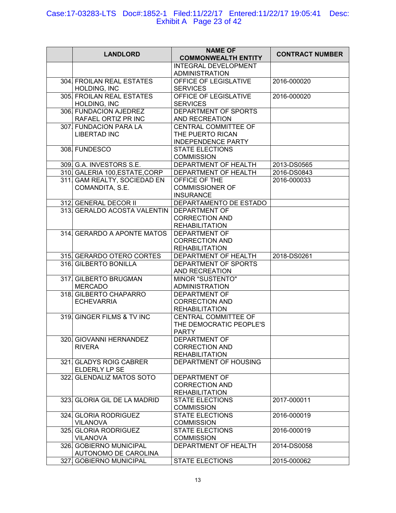## Case:17-03283-LTS Doc#:1852-1 Filed:11/22/17 Entered:11/22/17 19:05:41 Desc: Exhibit A Page 23 of 42

| <b>LANDLORD</b>                                 | <b>NAME OF</b><br><b>COMMONWEALTH ENTITY</b>                           | <b>CONTRACT NUMBER</b> |
|-------------------------------------------------|------------------------------------------------------------------------|------------------------|
|                                                 | <b>INTEGRAL DEVELOPMENT</b><br><b>ADMINISTRATION</b>                   |                        |
| 304. FROILAN REAL ESTATES<br>HOLDING, INC       | OFFICE OF LEGISLATIVE<br><b>SERVICES</b>                               | 2016-000020            |
| 305. FROILAN REAL ESTATES<br>HOLDING, INC       | OFFICE OF LEGISLATIVE<br><b>SERVICES</b>                               | 2016-000020            |
| 306. FUNDACION AJEDREZ<br>RAFAEL ORTIZ PR INC   | DEPARTMENT OF SPORTS<br>AND RECREATION                                 |                        |
| 307. FUNDACION PARA LA<br><b>LIBERTAD INC</b>   | CENTRAL COMMITTEE OF<br>THE PUERTO RICAN<br><b>INDEPENDENCE PARTY</b>  |                        |
| 308. FUNDESCO                                   | <b>STATE ELECTIONS</b><br><b>COMMISSION</b>                            |                        |
| 309. G.A. INVESTORS S.E.                        | DEPARTMENT OF HEALTH                                                   | 2013-DS0565            |
| 310 GALERIA 100, ESTATE, CORP                   | DEPARTMENT OF HEALTH                                                   | 2016-DS0843            |
| 311. GAM REALTY, SOCIEDAD EN<br>COMANDITA, S.E. | OFFICE OF THE<br><b>COMMISSIONER OF</b><br><b>INSURANCE</b>            | 2016-000033            |
| 312 GENERAL DECOR II                            | DEPARTAMENTO DE ESTADO                                                 |                        |
| 313 GERALDO ACOSTA VALENTIN                     | <b>DEPARTMENT OF</b><br><b>CORRECTION AND</b><br><b>REHABILITATION</b> |                        |
| 314. GERARDO A APONTE MATOS                     | <b>DEPARTMENT OF</b><br><b>CORRECTION AND</b><br><b>REHABILITATION</b> |                        |
| 315. GERARDO OTERO CORTES                       | DEPARTMENT OF HEALTH                                                   | 2018-DS0261            |
| 316 GILBERTO BONILLA                            | DEPARTMENT OF SPORTS<br>AND RECREATION                                 |                        |
| 317 GILBERTO BRUGMAN<br><b>MERCADO</b>          | <b>MINOR "SUSTENTO"</b><br><b>ADMINISTRATION</b>                       |                        |
| 318. GILBERTO CHAPARRO<br><b>ECHEVARRIA</b>     | <b>DEPARTMENT OF</b><br><b>CORRECTION AND</b><br><b>REHABILITATION</b> |                        |
| 319. GINGER FILMS & TV INC                      | CENTRAL COMMITTEE OF<br>THE DEMOCRATIC PEOPLE'S<br><b>PARTY</b>        |                        |
| 320. GIOVANNI HERNANDEZ<br><b>RIVERA</b>        | DEPARTMENT OF<br><b>CORRECTION AND</b><br><b>REHABILITATION</b>        |                        |
| 321. GLADYS ROIG CABRER<br>ELDERLY LP SE        | DEPARTMENT OF HOUSING                                                  |                        |
| 322. GLENDALIZ MATOS SOTO                       | <b>DEPARTMENT OF</b><br><b>CORRECTION AND</b><br><b>REHABILITATION</b> |                        |
| 323. GLORIA GIL DE LA MADRID                    | <b>STATE ELECTIONS</b><br><b>COMMISSION</b>                            | 2017-000011            |
| 324 GLORIA RODRIGUEZ<br><b>VILANOVA</b>         | <b>STATE ELECTIONS</b><br><b>COMMISSION</b>                            | 2016-000019            |
| 325 GLORIA RODRIGUEZ<br><b>VILANOVA</b>         | <b>STATE ELECTIONS</b><br><b>COMMISSION</b>                            | 2016-000019            |
| 326. GOBIERNO MUNICIPAL<br>AUTONOMO DE CAROLINA | DEPARTMENT OF HEALTH                                                   | 2014-DS0058            |
| 327. GOBIERNO MUNICIPAL                         | <b>STATE ELECTIONS</b>                                                 | 2015-000062            |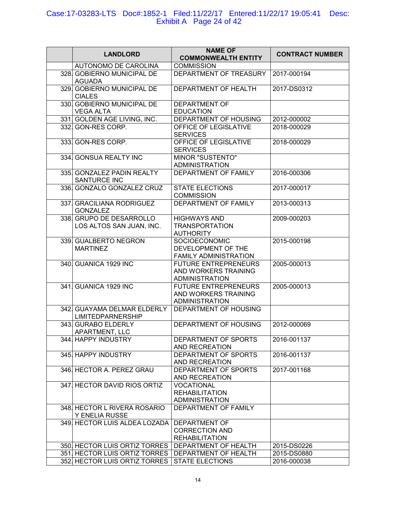### Case:17-03283-LTS Doc#:1852-1 Filed:11/22/17 Entered:11/22/17 19:05:41 Desc: Exhibit A Page 24 of 42

| <b>LANDLORD</b>                                         | <b>NAME OF</b><br><b>COMMONWEALTH ENTITY</b>                                 | <b>CONTRACT NUMBER</b> |
|---------------------------------------------------------|------------------------------------------------------------------------------|------------------------|
| <b>AUTONOMO DE CAROLINA</b>                             | <b>COMMISSION</b>                                                            |                        |
| 328. GOBIERNO MUNICIPAL DE<br><b>AGUADA</b>             | DEPARTMENT OF TREASURY                                                       | 2017-000194            |
| 329. GOBIERNO MUNICIPAL DE<br><b>CIALES</b>             | DEPARTMENT OF HEALTH                                                         | 2017-DS0312            |
| 330. GOBIERNO MUNICIPAL DE<br><b>VEGA ALTA</b>          | DEPARTMENT OF<br><b>EDUCATION</b>                                            |                        |
| 331. GOLDEN AGE LIVING, INC.                            | <b>DEPARTMENT OF HOUSING</b>                                                 | 2012-000002            |
| 332. GON-RES CORP.                                      | OFFICE OF LEGISLATIVE<br><b>SERVICES</b>                                     | 2018-000029            |
| 333. GON-RES CORP.                                      | OFFICE OF LEGISLATIVE<br><b>SERVICES</b>                                     | 2018-000029            |
| 334. GONSUA REALTY INC                                  | <b>MINOR "SUSTENTO"</b><br><b>ADMINISTRATION</b>                             |                        |
| 335. GONZALEZ PADIN REALTY<br>SANTURCE INC              | DEPARTMENT OF FAMILY                                                         | 2016-000306            |
| 336 GONZALO GONZALEZ CRUZ                               | <b>STATE ELECTIONS</b><br><b>COMMISSION</b>                                  | 2017-000017            |
| 337. GRACILIANA RODRIGUEZ<br><b>GONZALEZ</b>            | <b>DEPARTMENT OF FAMILY</b>                                                  | 2013-000313            |
| 338 GRUPO DE DESARROLLO<br>LOS ALTOS SAN JUAN, INC.     | <b>HIGHWAYS AND</b><br><b>TRANSPORTATION</b><br><b>AUTHORITY</b>             | 2009-000203            |
| 339. GUALBERTO NEGRON<br><b>MARTINEZ</b>                | SOCIOECONOMIC<br>DEVELOPMENT OF THE<br>FAMILY ADMINISTRATION                 | 2015-000198            |
| 340. GUANICA 1929 INC                                   | <b>FUTURE ENTREPRENEURS</b><br>AND WORKERS TRAINING<br><b>ADMINISTRATION</b> | 2005-000013            |
| 341. GUANICA 1929 INC                                   | <b>FUTURE ENTREPRENEURS</b><br>AND WORKERS TRAINING<br><b>ADMINISTRATION</b> | 2005-000013            |
| 342. GUAYAMA DELMAR ELDERLY<br><b>LIMITEDPARNERSHIP</b> | DEPARTMENT OF HOUSING                                                        |                        |
| 343 GURABO ELDERLY<br>APARTMENT, LLC                    | DEPARTMENT OF HOUSING                                                        | 2012-000069            |
| 344. HAPPY INDUSTRY                                     | DEPARTMENT OF SPORTS<br>AND RECREATION                                       | 2016-001137            |
| 345. HAPPY INDUSTRY                                     | DEPARTMENT OF SPORTS<br>AND RECREATION                                       | 2016-001137            |
| 346. HECTOR A. PEREZ GRAU                               | DEPARTMENT OF SPORTS<br>AND RECREATION                                       | 2017-001168            |
| 347. HECTOR DAVID RIOS ORTIZ                            | <b>VOCATIONAL</b><br><b>REHABILITATION</b><br><b>ADMINISTRATION</b>          |                        |
| 348. HECTOR L RIVERA ROSARIO<br><b>Y ENELIA RUSSE</b>   | DEPARTMENT OF FAMILY                                                         |                        |
| 349. HECTOR LUIS ALDEA LOZADA                           | DEPARTMENT OF<br><b>CORRECTION AND</b><br><b>REHABILITATION</b>              |                        |
| 350. HECTOR LUIS ORTIZ TORRES                           | DEPARTMENT OF HEALTH                                                         | 2015-DS0226            |
| 351 HECTOR LUIS ORTIZ TORRES   DEPARTMENT OF HEALTH     |                                                                              | 2015-DS0880            |
| 352 HECTOR LUIS ORTIZ TORRES STATE ELECTIONS            |                                                                              | 2016-000038            |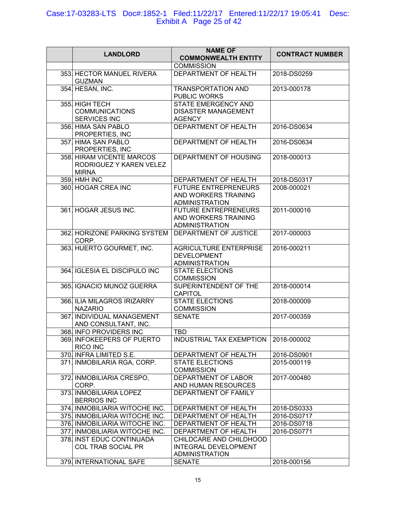## Case:17-03283-LTS Doc#:1852-1 Filed:11/22/17 Entered:11/22/17 19:05:41 Desc: Exhibit A Page 25 of 42

|                                                                      | <b>NAME OF</b>                                                               |                        |
|----------------------------------------------------------------------|------------------------------------------------------------------------------|------------------------|
| <b>LANDLORD</b>                                                      | <b>COMMONWEALTH ENTITY</b>                                                   | <b>CONTRACT NUMBER</b> |
|                                                                      | <b>COMMISSION</b>                                                            |                        |
| 353. HECTOR MANUEL RIVERA<br><b>GUZMAN</b>                           | DEPARTMENT OF HEALTH                                                         | 2018-DS0259            |
| 354 HESAN, INC.                                                      | <b>TRANSPORTATION AND</b><br>PUBLIC WORKS                                    | 2013-000178            |
| 355. HIGH TECH                                                       | STATE EMERGENCY AND                                                          |                        |
| <b>COMMUNICATIONS</b><br>SERVICES INC                                | <b>DISASTER MANAGEMENT</b><br><b>AGENCY</b>                                  |                        |
| 356. HIMA SAN PABLO<br>PROPERTIES, INC                               | DEPARTMENT OF HEALTH                                                         | 2016-DS0634            |
| 357. HIMA SAN PABLO<br>PROPERTIES, INC                               | DEPARTMENT OF HEALTH                                                         | 2016-DS0634            |
| 358. HIRAM VICENTE MARCOS<br>RODRIGUEZ Y KAREN VELEZ<br><b>MIRNA</b> | DEPARTMENT OF HOUSING                                                        | 2018-000013            |
| 359. HMH INC                                                         | DEPARTMENT OF HEALTH                                                         | 2018-DS0317            |
| 360. HOGAR CREA INC                                                  | <b>FUTURE ENTREPRENEURS</b><br>AND WORKERS TRAINING<br><b>ADMINISTRATION</b> | 2008-000021            |
| 361. HOGAR JESUS INC.                                                | <b>FUTURE ENTREPRENEURS</b><br>AND WORKERS TRAINING<br><b>ADMINISTRATION</b> | 2011-000016            |
| 362. HORIZONE PARKING SYSTEM<br>CORP.                                | DEPARTMENT OF JUSTICE                                                        | 2017-000003            |
| 363 HUERTO GOURMET, INC.                                             | <b>AGRICULTURE ENTERPRISE</b><br><b>DEVELOPMENT</b><br><b>ADMINISTRATION</b> | 2016-000211            |
| 364. IGLESIA EL DISCIPULO INC                                        | <b>STATE ELECTIONS</b><br><b>COMMISSION</b>                                  |                        |
| 365. IGNACIO MUNOZ GUERRA                                            | SUPERINTENDENT OF THE<br><b>CAPITOL</b>                                      | 2018-000014            |
| 366. ILIA MILAGROS IRIZARRY<br><b>NAZARIO</b>                        | <b>STATE ELECTIONS</b><br><b>COMMISSION</b>                                  | 2018-000009            |
| 367. INDIVIDUAL MANAGEMENT<br>AND CONSULTANT, INC.                   | <b>SENATE</b>                                                                | 2017-000359            |
| 368. INFO PROVIDERS INC                                              | TBD                                                                          |                        |
| 369. INFOKEEPERS OF PUERTO<br><b>RICO INC</b>                        | INDUSTRIAL TAX EXEMPTION                                                     | 2018-000002            |
| 370. INFRA LIMITED S.E.                                              | DEPARTMENT OF HEALTH                                                         | 2016-DS0901            |
| 371. INMOBILARIA RGA, CORP.                                          | <b>STATE ELECTIONS</b><br><b>COMMISSION</b>                                  | 2015-000119            |
| 372. INMOBILIARIA CRESPO,<br>CORP.                                   | DEPARTMENT OF LABOR<br>AND HUMAN RESOURCES                                   | 2017-000480            |
| 373. INMOBILIARIA LOPEZ<br><b>BERRIOS INC</b>                        | DEPARTMENT OF FAMILY                                                         |                        |
| 374. INMOBILIARIA WITOCHE INC.                                       | DEPARTMENT OF HEALTH                                                         | 2018-DS0333            |
| 375. INMOBILIARIA WITOCHE INC.                                       | DEPARTMENT OF HEALTH                                                         | 2016-DS0717            |
| 376. INMOBILIARIA WITOCHE INC.                                       | <b>DEPARTMENT OF HEALTH</b>                                                  | 2016-DS0718            |
| 377. INMOBILIARIA WITOCHE INC.                                       | DEPARTMENT OF HEALTH                                                         | 2016-DS0771            |
| 378. INST EDUC CONTINUADA<br><b>COL TRAB SOCIAL PR</b>               | CHILDCARE AND CHILDHOOD<br>INTEGRAL DEVELOPMENT<br><b>ADMINISTRATION</b>     |                        |
| 379. INTERNATIONAL SAFE                                              | <b>SENATE</b>                                                                | 2018-000156            |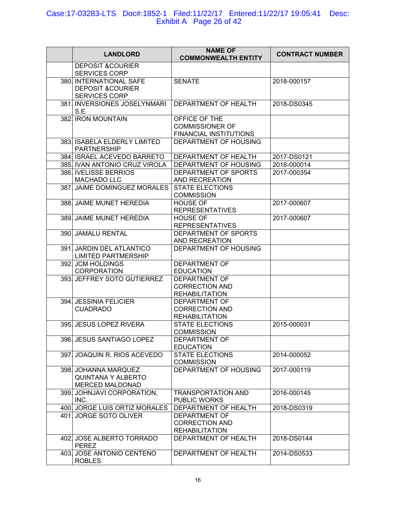## Case:17-03283-LTS Doc#:1852-1 Filed:11/22/17 Entered:11/22/17 19:05:41 Desc: Exhibit A Page 26 of 42

| <b>LANDLORD</b>                                                                | <b>NAME OF</b><br><b>COMMONWEALTH ENTITY</b>                           | <b>CONTRACT NUMBER</b> |
|--------------------------------------------------------------------------------|------------------------------------------------------------------------|------------------------|
| <b>DEPOSIT &amp;COURIER</b><br><b>SERVICES CORP</b>                            |                                                                        |                        |
| 380. INTERNATIONAL SAFE<br><b>DEPOSIT &amp;COURIER</b><br><b>SERVICES CORP</b> | <b>SENATE</b>                                                          | 2018-000157            |
| 381. INVERSIONES JOSELYNMARI<br>S.E.                                           | DEPARTMENT OF HEALTH                                                   | 2018-DS0345            |
| 382. IRON MOUNTAIN                                                             | OFFICE OF THE<br><b>COMMISSIONER OF</b><br>FINANCIAL INSTITUTIONS      |                        |
| 383. ISABELA ELDERLY LIMITED<br><b>PARTNERSHIP</b>                             | DEPARTMENT OF HOUSING                                                  |                        |
| 384. ISRAEL ACEVEDO BARRETO                                                    | DEPARTMENT OF HEALTH                                                   | 2017-DS0121            |
| 385. IVAN ANTONIO CRUZ VIROLA                                                  | DEPARTMENT OF HOUSING                                                  | 2018-000014            |
| 386. IVELISSE BERRIOS<br>MACHADO LLC                                           | DEPARTMENT OF SPORTS<br>AND RECREATION                                 | 2017-000354            |
| 387. JAIME DOMINGUEZ MORALES                                                   | <b>STATE ELECTIONS</b><br><b>COMMISSION</b>                            |                        |
| 388. JAIME MUNET HEREDIA                                                       | <b>HOUSE OF</b><br><b>REPRESENTATIVES</b>                              | 2017-000607            |
| 389. JAIME MUNET HEREDIA                                                       | <b>HOUSE OF</b><br><b>REPRESENTATIVES</b>                              | 2017-000607            |
| 390. JAMALU RENTAL                                                             | DEPARTMENT OF SPORTS<br>AND RECREATION                                 |                        |
| 391. JARDIN DEL ATLANTICO<br><b>LIMITED PARTMERSHIP</b>                        | DEPARTMENT OF HOUSING                                                  |                        |
| 392. JCM HOLDINGS<br><b>CORPORATION</b>                                        | <b>DEPARTMENT OF</b><br><b>EDUCATION</b>                               |                        |
| 393. JEFFREY SOTO GUTIERREZ                                                    | DEPARTMENT OF<br><b>CORRECTION AND</b><br><b>REHABILITATION</b>        |                        |
| 394. JESSINIA FELICIER<br><b>CUADRADO</b>                                      | <b>DEPARTMENT OF</b><br><b>CORRECTION AND</b><br><b>REHABILITATION</b> |                        |
| 395. JESUS LOPEZ RIVERA                                                        | <b>STATE ELECTIONS</b><br><b>COMMISSION</b>                            | 2015-000031            |
| 396. JESUS SANTIAGO LOPEZ                                                      | DEPARTMENT OF<br><b>EDUCATION</b>                                      |                        |
| 397. JOAQUIN R. RIOS ACEVEDO                                                   | <b>STATE ELECTIONS</b><br><b>COMMISSION</b>                            | 2014-000052            |
| 398. JOHANNA MARQUEZ<br><b>QUINTANA Y ALBERTO</b><br>MERCED MALDONAD           | DEPARTMENT OF HOUSING                                                  | 2017-000119            |
| 399. JOHNJAVI CORPORATION,<br>INC.                                             | <b>TRANSPORTATION AND</b><br><b>PUBLIC WORKS</b>                       | 2016-000145            |
| 400 JORGE LUIS ORTIZ MORALES                                                   | DEPARTMENT OF HEALTH                                                   | 2018-DS0319            |
| 401. JORGE SOTO OLIVER                                                         | DEPARTMENT OF<br><b>CORRECTION AND</b><br><b>REHABILITATION</b>        |                        |
| 402 JOSE ALBERTO TORRADO<br><b>PEREZ</b>                                       | DEPARTMENT OF HEALTH                                                   | 2018-DS0144            |
| 403 JOSE ANTONIO CENTENO<br><b>ROBLES</b>                                      | DEPARTMENT OF HEALTH                                                   | 2014-DS0533            |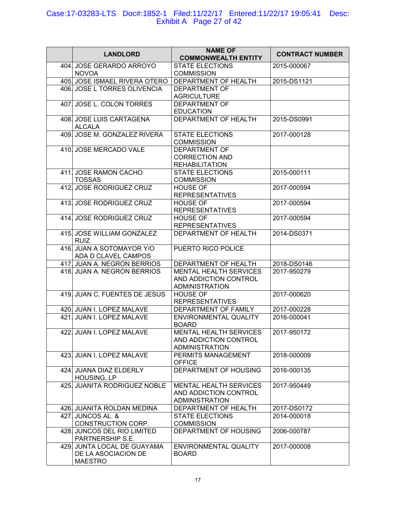## Case:17-03283-LTS Doc#:1852-1 Filed:11/22/17 Entered:11/22/17 19:05:41 Desc: Exhibit A Page 27 of 42

| <b>LANDLORD</b>                                                      | <b>NAME OF</b><br><b>COMMONWEALTH ENTITY</b>                                    | <b>CONTRACT NUMBER</b> |
|----------------------------------------------------------------------|---------------------------------------------------------------------------------|------------------------|
| 404. JOSE GERARDO ARROYO<br><b>NOVOA</b>                             | <b>STATE ELECTIONS</b><br><b>COMMISSION</b>                                     | 2015-000067            |
| 405. JOSE ISMAEL RIVERA OTERO                                        | DEPARTMENT OF HEALTH                                                            | 2015-DS1121            |
| 406. JOSE L TORRES OLIVENCIA                                         | DEPARTMENT OF                                                                   |                        |
|                                                                      | <b>AGRICULTURE</b>                                                              |                        |
| 407. JOSE L. COLON TORRES                                            | DEPARTMENT OF<br><b>EDUCATION</b>                                               |                        |
| 408. JOSE LUIS CARTAGENA<br><b>ALCALA</b>                            | DEPARTMENT OF HEALTH                                                            | 2015-DS0991            |
| 409. JOSE M. GONZALEZ RIVERA                                         | <b>STATE ELECTIONS</b><br><b>COMMISSION</b>                                     | 2017-000128            |
| 410. JOSE MERCADO VALE                                               | <b>DEPARTMENT OF</b><br><b>CORRECTION AND</b><br><b>REHABILITATION</b>          |                        |
| 411. JOSE RAMON CACHO<br><b>TOSSAS</b>                               | <b>STATE ELECTIONS</b><br><b>COMMISSION</b>                                     | 2015-000111            |
| 412. JOSE RODRIGUEZ CRUZ                                             | <b>HOUSE OF</b><br><b>REPRESENTATIVES</b>                                       | 2017-000594            |
| 413. JOSE RODRIGUEZ CRUZ                                             | <b>HOUSE OF</b><br><b>REPRESENTATIVES</b>                                       | 2017-000594            |
| 414. JOSE RODRIGUEZ CRUZ                                             | <b>HOUSE OF</b><br><b>REPRESENTATIVES</b>                                       | 2017-000594            |
| 415. JOSE WILLIAM GONZALEZ<br><b>RUIZ</b>                            | DEPARTMENT OF HEALTH                                                            | 2014-DS0371            |
| 416. JUAN A SOTOMAYOR Y/O<br>ADA D CLAVEL CAMPOS                     | PUERTO RICO POLICE                                                              |                        |
| 417. JUAN A. NEGRON BERRIOS                                          | DEPARTMENT OF HEALTH                                                            | 2018-DS0146            |
| 418. JUAN A. NEGRON BERRIOS                                          | <b>MENTAL HEALTH SERVICES</b><br>AND ADDICTION CONTROL<br><b>ADMINISTRATION</b> | 2017-950279            |
| 419. JUAN C. FUENTES DE JESUS                                        | <b>HOUSE OF</b><br><b>REPRESENTATIVES</b>                                       | 2017-000620            |
| 420. JUAN I. LOPEZ MALAVE                                            | DEPARTMENT OF FAMILY                                                            | 2017-000228            |
| 421. JUAN I. LOPEZ MALAVE                                            | <b>ENVIRONMENTAL QUALITY</b><br><b>BOARD</b>                                    | 2016-000041            |
| 422. JUAN I. LOPEZ MALAVE                                            | <b>MENTAL HEALTH SERVICES</b><br>AND ADDICTION CONTROL<br><b>ADMINISTRATION</b> | 2017-950172            |
| 423. JUAN I. LOPEZ MALAVE                                            | PERMITS MANAGEMENT<br><b>OFFICE</b>                                             | 2018-000009            |
| 424. JUANA DIAZ ELDERLY<br>HOUSING, LP                               | DEPARTMENT OF HOUSING                                                           | 2016-000135            |
| 425. JUANITA RODRIGUEZ NOBLE                                         | <b>MENTAL HEALTH SERVICES</b><br>AND ADDICTION CONTROL<br><b>ADMINISTRATION</b> | 2017-950449            |
| 426. JUANITA ROLDAN MEDINA                                           | DEPARTMENT OF HEALTH                                                            | 2017-DS0172            |
| 427. JUNCOS AL. &<br>CONSTRUCTION CORP.                              | <b>STATE ELECTIONS</b><br><b>COMMISSION</b>                                     | 2014-000018            |
| 428. JUNCOS DEL RIO LIMITED<br>PARTNERSHIP S.E.                      | DEPARTMENT OF HOUSING                                                           | 2006-000787            |
| 429. JUNTA LOCAL DE GUAYAMA<br>DE LA ASOCIACION DE<br><b>MAESTRO</b> | ENVIRONMENTAL QUALITY<br><b>BOARD</b>                                           | 2017-000008            |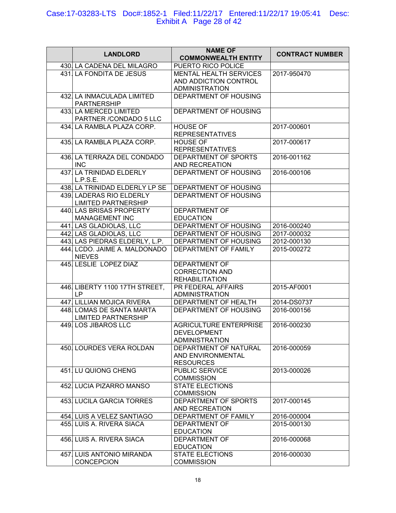#### Case:17-03283-LTS Doc#:1852-1 Filed:11/22/17 Entered:11/22/17 19:05:41 Desc: Exhibit A Page 28 of 42

| <b>LANDLORD</b>                                         | <b>NAME OF</b><br><b>COMMONWEALTH ENTITY</b>                                    | <b>CONTRACT NUMBER</b> |
|---------------------------------------------------------|---------------------------------------------------------------------------------|------------------------|
| 430. LA CADENA DEL MILAGRO                              | PUERTO RICO POLICE                                                              |                        |
| 431. LA FONDITA DE JESUS                                | <b>MENTAL HEALTH SERVICES</b><br>AND ADDICTION CONTROL<br><b>ADMINISTRATION</b> | 2017-950470            |
| 432. LA INMACULADA LIMITED<br><b>PARTNERSHIP</b>        | DEPARTMENT OF HOUSING                                                           |                        |
| 433. LA MERCED LIMITED<br>PARTNER / CONDADO 5 LLC       | DEPARTMENT OF HOUSING                                                           |                        |
| 434. LA RAMBLA PLAZA CORP.                              | <b>HOUSE OF</b><br><b>REPRESENTATIVES</b>                                       | 2017-000601            |
| 435. LA RAMBLA PLAZA CORP.                              | <b>HOUSE OF</b><br><b>REPRESENTATIVES</b>                                       | 2017-000617            |
| 436. LA TERRAZA DEL CONDADO<br><b>INC</b>               | DEPARTMENT OF SPORTS<br>AND RECREATION                                          | 2016-001162            |
| 437. LA TRINIDAD ELDERLY<br>L.P.S.E.                    | DEPARTMENT OF HOUSING                                                           | 2016-000106            |
| 438. LA TRINIDAD ELDERLY LP SE                          | DEPARTMENT OF HOUSING                                                           |                        |
| 439. LADERAS RIO ELDERLY<br><b>LIMITED PARTNERSHIP</b>  | DEPARTMENT OF HOUSING                                                           |                        |
| 440. LAS BRISAS PROPERTY<br>MANAGEMENT INC              | <b>DEPARTMENT OF</b><br><b>EDUCATION</b>                                        |                        |
| 441. LAS GLADIOLAS, LLC                                 | DEPARTMENT OF HOUSING                                                           | 2016-000240            |
| 442. LAS GLADIOLAS, LLC                                 | <b>DEPARTMENT OF HOUSING</b>                                                    | 2017-000032            |
| 443. LAS PIEDRAS ELDERLY, L.P.                          | DEPARTMENT OF HOUSING                                                           | 2012-000130            |
| 444. LCDO. JAIME A. MALDONADO<br><b>NIEVES</b>          | DEPARTMENT OF FAMILY                                                            | 2015-000272            |
| 445 LESLIE LOPEZ DIAZ                                   | DEPARTMENT OF<br><b>CORRECTION AND</b><br><b>REHABILITATION</b>                 |                        |
| 446. LIBERTY 1100 17TH STREET,<br><b>LP</b>             | PR FEDERAL AFFAIRS<br><b>ADMINISTRATION</b>                                     | 2015-AF0001            |
| 447. LILLIAN MOJICA RIVERA                              | DEPARTMENT OF HEALTH                                                            | 2014-DS0737            |
| 448. LOMAS DE SANTA MARTA<br><b>LIMITED PARTNERSHIP</b> | DEPARTMENT OF HOUSING                                                           | 2016-000156            |
| 449. LOS JIBAROS LLC                                    | <b>AGRICULTURE ENTERPRISE</b><br><b>DEVELOPMENT</b><br><b>ADMINISTRATION</b>    | 2016-000230            |
| 450. LOURDES VERA ROLDAN                                | DEPARTMENT OF NATURAL<br>AND ENVIRONMENTAL<br><b>RESOURCES</b>                  | 2016-000059            |
| 451. LU QUIONG CHENG                                    | PUBLIC SERVICE<br><b>COMMISSION</b>                                             | 2013-000026            |
| 452. LUCIA PIZARRO MANSO                                | <b>STATE ELECTIONS</b><br><b>COMMISSION</b>                                     |                        |
| 453. LUCILA GARCIA TORRES                               | DEPARTMENT OF SPORTS<br>AND RECREATION                                          | 2017-000145            |
| 454. LUIS A VELEZ SANTIAGO                              | DEPARTMENT OF FAMILY                                                            | 2016-000004            |
| 455. LUIS A. RIVERA SIACA                               | <b>DEPARTMENT OF</b><br><b>EDUCATION</b>                                        | 2015-000130            |
| 456. LUIS A. RIVERA SIACA                               | <b>DEPARTMENT OF</b><br><b>EDUCATION</b>                                        | 2016-000068            |
| 457. LUIS ANTONIO MIRANDA<br>CONCEPCION                 | <b>STATE ELECTIONS</b><br><b>COMMISSION</b>                                     | 2016-000030            |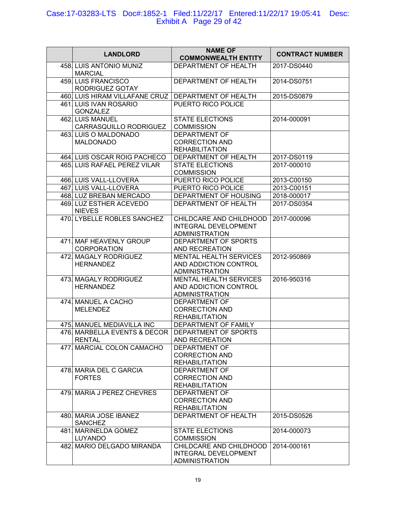## Case:17-03283-LTS Doc#:1852-1 Filed:11/22/17 Entered:11/22/17 19:05:41 Desc: Exhibit A Page 29 of 42

| <b>LANDLORD</b>                               | <b>NAME OF</b><br><b>COMMONWEALTH ENTITY</b>                                    | <b>CONTRACT NUMBER</b> |
|-----------------------------------------------|---------------------------------------------------------------------------------|------------------------|
| 458 LUIS ANTONIO MUNIZ<br><b>MARCIAL</b>      | DEPARTMENT OF HEALTH                                                            | 2017-DS0440            |
| 459. LUIS FRANCISCO<br>RODRIGUEZ GOTAY        | DEPARTMENT OF HEALTH                                                            | 2014-DS0751            |
| 460. LUIS HIRAM VILLAFANE CRUZ                | DEPARTMENT OF HEALTH                                                            | 2015-DS0879            |
| 461. LUIS IVAN ROSARIO                        | PUERTO RICO POLICE                                                              |                        |
| <b>GONZALEZ</b>                               |                                                                                 |                        |
| 462. LUIS MANUEL<br>CARRASQUILLO RODRIGUEZ    | <b>STATE ELECTIONS</b><br><b>COMMISSION</b>                                     | 2014-000091            |
| 463. LUIS O MALDONADO                         | <b>DEPARTMENT OF</b>                                                            |                        |
| <b>MALDONADO</b>                              | <b>CORRECTION AND</b>                                                           |                        |
|                                               | <b>REHABILITATION</b>                                                           |                        |
| 464. LUIS OSCAR ROIG PACHECO                  | DEPARTMENT OF HEALTH                                                            | 2017-DS0119            |
| 465. LUIS RAFAEL PEREZ VILAR                  | <b>STATE ELECTIONS</b>                                                          | 2017-000010            |
|                                               | <b>COMMISSION</b>                                                               |                        |
| 466. LUIS VALL-LLOVERA                        | PUERTO RICO POLICE                                                              | 2013-C00150            |
| 467. LUIS VALL-LLOVERA                        | PUERTO RICO POLICE                                                              | 2013-C00151            |
| 468. LUZ BREBAN MERCADO                       | DEPARTMENT OF HOUSING                                                           | 2018-000017            |
| 469. LUZ ESTHER ACEVEDO<br><b>NIEVES</b>      | DEPARTMENT OF HEALTH                                                            | 2017-DS0354            |
| 470. LYBELLE ROBLES SANCHEZ                   | CHILDCARE AND CHILDHOOD<br><b>INTEGRAL DEVELOPMENT</b><br><b>ADMINISTRATION</b> | 2017-000096            |
| 471. MAF HEAVENLY GROUP<br><b>CORPORATION</b> | DEPARTMENT OF SPORTS<br>AND RECREATION                                          |                        |
| 472. MAGALY RODRIGUEZ<br><b>HERNANDEZ</b>     | <b>MENTAL HEALTH SERVICES</b><br>AND ADDICTION CONTROL<br><b>ADMINISTRATION</b> | 2012-950869            |
| 473. MAGALY RODRIGUEZ<br><b>HERNANDEZ</b>     | <b>MENTAL HEALTH SERVICES</b><br>AND ADDICTION CONTROL<br><b>ADMINISTRATION</b> | 2016-950316            |
| 474. MANUEL A CACHO<br><b>MELENDEZ</b>        | <b>DEPARTMENT OF</b><br><b>CORRECTION AND</b><br><b>REHABILITATION</b>          |                        |
| 475   MANUEL MEDIAVILLA INC                   | DEPARTMENT OF FAMILY                                                            |                        |
| 476 MARBELLA EVENTS & DECOR                   | DEPARTMENT OF SPORTS                                                            |                        |
| <b>RENTAL</b>                                 | AND RECREATION                                                                  |                        |
| 477. MARCIAL COLON CAMACHO                    | <b>DEPARTMENT OF</b><br><b>CORRECTION AND</b>                                   |                        |
|                                               | <b>REHABILITATION</b>                                                           |                        |
| 478. MARIA DEL C GARCIA                       | <b>DEPARTMENT OF</b>                                                            |                        |
| <b>FORTES</b>                                 | <b>CORRECTION AND</b>                                                           |                        |
|                                               | <b>REHABILITATION</b>                                                           |                        |
| 479. MARIA J PEREZ CHEVRES                    | <b>DEPARTMENT OF</b>                                                            |                        |
|                                               | <b>CORRECTION AND</b><br><b>REHABILITATION</b>                                  |                        |
| 480. MARIA JOSE IBANEZ<br><b>SANCHEZ</b>      | DEPARTMENT OF HEALTH                                                            | 2015-DS0526            |
| 481. MARINELDA GOMEZ<br><b>LUYANDO</b>        | <b>STATE ELECTIONS</b><br><b>COMMISSION</b>                                     | 2014-000073            |
| 482. MARIO DELGADO MIRANDA                    | CHILDCARE AND CHILDHOOD<br>INTEGRAL DEVELOPMENT<br><b>ADMINISTRATION</b>        | 2014-000161            |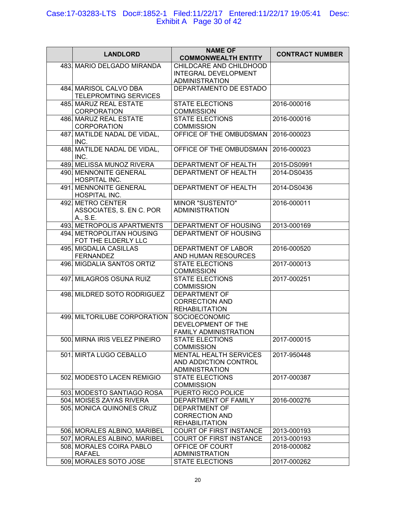#### Case:17-03283-LTS Doc#:1852-1 Filed:11/22/17 Entered:11/22/17 19:05:41 Desc: Exhibit A Page 30 of 42

| <b>LANDLORD</b>                                           | <b>NAME OF</b><br><b>COMMONWEALTH ENTITY</b>                                    | <b>CONTRACT NUMBER</b> |
|-----------------------------------------------------------|---------------------------------------------------------------------------------|------------------------|
| 483. MARIO DELGADO MIRANDA                                | CHILDCARE AND CHILDHOOD<br><b>INTEGRAL DEVELOPMENT</b><br><b>ADMINISTRATION</b> |                        |
| 484. MARISOL CALVO DBA<br>TELEPROMTING SERVICES           | DEPARTAMENTO DE ESTADO                                                          |                        |
| 485. MARUZ REAL ESTATE<br><b>CORPORATION</b>              | <b>STATE ELECTIONS</b><br><b>COMMISSION</b>                                     | 2016-000016            |
| 486 MARUZ REAL ESTATE<br><b>CORPORATION</b>               | <b>STATE ELECTIONS</b><br><b>COMMISSION</b>                                     | 2016-000016            |
| 487. MATILDE NADAL DE VIDAL,<br>INC.                      | OFFICE OF THE OMBUDSMAN                                                         | 2016-000023            |
| 488. MATILDE NADAL DE VIDAL,<br>INC.                      | OFFICE OF THE OMBUDSMAN                                                         | 2016-000023            |
| 489. MELISSA MUNOZ RIVERA                                 | DEPARTMENT OF HEALTH                                                            | 2015-DS0991            |
| 490. MENNONITE GENERAL<br>HOSPITAL INC.                   | DEPARTMENT OF HEALTH                                                            | 2014-DS0435            |
| 491. MENNONITE GENERAL<br>HOSPITAL INC.                   | DEPARTMENT OF HEALTH                                                            | 2014-DS0436            |
| 492. METRO CENTER<br>ASSOCIATES, S. EN C. POR<br>A., S.E. | <b>MINOR "SUSTENTO"</b><br><b>ADMINISTRATION</b>                                | 2016-000011            |
| 493. METROPOLIS APARTMENTS                                | DEPARTMENT OF HOUSING                                                           | 2013-000169            |
| 494. METROPOLITAN HOUSING<br>FOT THE ELDERLY LLC          | <b>DEPARTMENT OF HOUSING</b>                                                    |                        |
| 495. MIGDALIA CASILLAS<br><b>FERNANDEZ</b>                | DEPARTMENT OF LABOR<br>AND HUMAN RESOURCES                                      | 2016-000520            |
| 496. MIGDALIA SANTOS ORTIZ                                | <b>STATE ELECTIONS</b><br><b>COMMISSION</b>                                     | 2017-000013            |
| 497. MILAGROS OSUNA RUIZ                                  | <b>STATE ELECTIONS</b><br><b>COMMISSION</b>                                     | 2017-000251            |
| 498. MILDRED SOTO RODRIGUEZ                               | DEPARTMENT OF<br><b>CORRECTION AND</b><br><b>REHABILITATION</b>                 |                        |
| 499. MILTORILUBE CORPORATION                              | <b>SOCIOECONOMIC</b><br>DEVELOPMENT OF THE<br><b>FAMILY ADMINISTRATION</b>      |                        |
| 500 MIRNA IRIS VELEZ PINEIRO                              | <b>STATE ELECTIONS</b><br><b>COMMISSION</b>                                     | 2017-000015            |
| 501. MIRTA LUGO CEBALLO                                   | <b>MENTAL HEALTH SERVICES</b><br>AND ADDICTION CONTROL<br><b>ADMINISTRATION</b> | 2017-950448            |
| 502 MODESTO LACEN REMIGIO                                 | <b>STATE ELECTIONS</b><br><b>COMMISSION</b>                                     | 2017-000387            |
| 503 MODESTO SANTIAGO ROSA                                 | PUERTO RICO POLICE                                                              |                        |
| 504. MOISES ZAYAS RIVERA                                  | DEPARTMENT OF FAMILY                                                            | 2016-000276            |
| 505. MONICA QUINONES CRUZ                                 | <b>DEPARTMENT OF</b><br>CORRECTION AND<br><b>REHABILITATION</b>                 |                        |
| 506. MORALES ALBINO, MARIBEL                              | <b>COURT OF FIRST INSTANCE</b>                                                  | 2013-000193            |
| 507. MORALES ALBINO, MARIBEL                              | <b>COURT OF FIRST INSTANCE</b>                                                  | 2013-000193            |
| 508. MORALES COIRA PABLO<br><b>RAFAEL</b>                 | OFFICE OF COURT<br><b>ADMINISTRATION</b>                                        | 2018-000082            |
| 509. MORALES SOTO JOSE                                    | <b>STATE ELECTIONS</b>                                                          | 2017-000262            |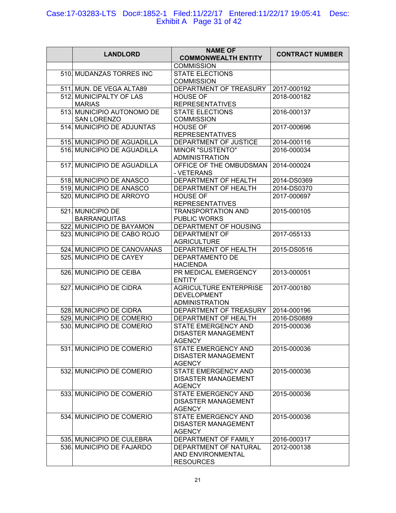## Case:17-03283-LTS Doc#:1852-1 Filed:11/22/17 Entered:11/22/17 19:05:41 Desc: Exhibit A Page 31 of 42

| <b>LANDLORD</b>                           | <b>NAME OF</b><br><b>COMMONWEALTH ENTITY</b>                                 | <b>CONTRACT NUMBER</b> |
|-------------------------------------------|------------------------------------------------------------------------------|------------------------|
|                                           | <b>COMMISSION</b>                                                            |                        |
| 510. MUDANZAS TORRES INC                  | <b>STATE ELECTIONS</b><br><b>COMMISSION</b>                                  |                        |
| 511. MUN. DE VEGA ALTA89                  | DEPARTMENT OF TREASURY                                                       | 2017-000192            |
| 512. MUNICIPALTY OF LAS<br><b>MARIAS</b>  | <b>HOUSE OF</b><br><b>REPRESENTATIVES</b>                                    | 2018-000182            |
| 513. MUNICIPIO AUTONOMO DE<br>SAN LORENZO | <b>STATE ELECTIONS</b><br><b>COMMISSION</b>                                  | 2016-000137            |
| 514. MUNICIPIO DE ADJUNTAS                | <b>HOUSE OF</b><br><b>REPRESENTATIVES</b>                                    | 2017-000696            |
| 515. MUNICIPIO DE AGUADILLA               | DEPARTMENT OF JUSTICE                                                        | 2014-000116            |
| 516. MUNICIPIO DE AGUADILLA               | <b>MINOR "SUSTENTO"</b><br><b>ADMINISTRATION</b>                             | 2016-000034            |
| 517. MUNICIPIO DE AGUADILLA               | OFFICE OF THE OMBUDSMAN<br>- VETERANS                                        | 2014-000024            |
| 518. MUNICIPIO DE ANASCO                  | DEPARTMENT OF HEALTH                                                         | 2014-DS0369            |
| 519. MUNICIPIO DE ANASCO                  | DEPARTMENT OF HEALTH                                                         | 2014-DS0370            |
| 520. MUNICIPIO DE ARROYO                  | <b>HOUSE OF</b><br><b>REPRESENTATIVES</b>                                    | 2017-000697            |
| 521. MUNICIPIO DE<br><b>BARRANQUITAS</b>  | <b>TRANSPORTATION AND</b><br>PUBLIC WORKS                                    | 2015-000105            |
| 522. MUNICIPIO DE BAYAMON                 | DEPARTMENT OF HOUSING                                                        |                        |
| 523. MUNICIPIO DE CABO ROJO               | <b>DEPARTMENT OF</b><br><b>AGRICULTURE</b>                                   | 2017-055133            |
| 524. MUNICIPIO DE CANOVANAS               | DEPARTMENT OF HEALTH                                                         | 2015-DS0516            |
| 525. MUNICIPIO DE CAYEY                   | DEPARTAMENTO DE<br><b>HACIENDA</b>                                           |                        |
| 526. MUNICIPIO DE CEIBA                   | PR MEDICAL EMERGENCY<br><b>ENTITY</b>                                        | 2013-000051            |
| 527. MUNICIPIO DE CIDRA                   | <b>AGRICULTURE ENTERPRISE</b><br><b>DEVELOPMENT</b><br><b>ADMINISTRATION</b> | 2017-000180            |
| 528. MUNICIPIO DE CIDRA                   | DEPARTMENT OF TREASURY                                                       | 2014-000196            |
| 529. MUNICIPIO DE COMERIO                 | DEPARTMENT OF HEALTH                                                         | 2016-DS0889            |
| 530. MUNICIPIO DE COMERIO                 | STATE EMERGENCY AND<br><b>DISASTER MANAGEMENT</b><br><b>AGENCY</b>           | 2015-000036            |
| 531. MUNICIPIO DE COMERIO                 | STATE EMERGENCY AND<br><b>DISASTER MANAGEMENT</b><br><b>AGENCY</b>           | 2015-000036            |
| 532. MUNICIPIO DE COMERIO                 | <b>STATE EMERGENCY AND</b><br><b>DISASTER MANAGEMENT</b><br><b>AGENCY</b>    | 2015-000036            |
| 533. MUNICIPIO DE COMERIO                 | <b>STATE EMERGENCY AND</b><br><b>DISASTER MANAGEMENT</b><br><b>AGENCY</b>    | 2015-000036            |
| 534. MUNICIPIO DE COMERIO                 | STATE EMERGENCY AND<br><b>DISASTER MANAGEMENT</b><br><b>AGENCY</b>           | 2015-000036            |
| 535 MUNICIPIO DE CULEBRA                  | DEPARTMENT OF FAMILY                                                         | 2016-000317            |
| 536. MUNICIPIO DE FAJARDO                 | DEPARTMENT OF NATURAL<br>AND ENVIRONMENTAL<br><b>RESOURCES</b>               | 2012-000138            |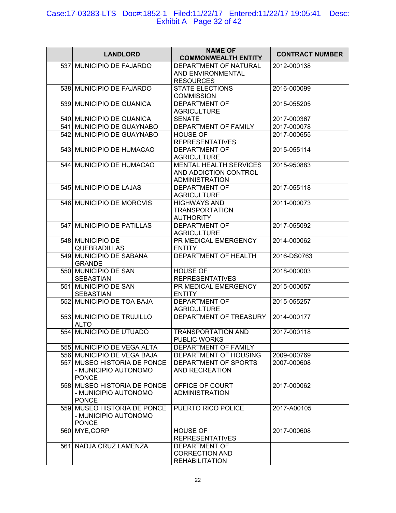## Case:17-03283-LTS Doc#:1852-1 Filed:11/22/17 Entered:11/22/17 19:05:41 Desc: Exhibit A Page 32 of 42

| <b>LANDLORD</b>              | <b>NAME OF</b><br><b>COMMONWEALTH ENTITY</b> | <b>CONTRACT NUMBER</b> |
|------------------------------|----------------------------------------------|------------------------|
| 537. MUNICIPIO DE FAJARDO    | DEPARTMENT OF NATURAL                        | 2012-000138            |
|                              | AND ENVIRONMENTAL                            |                        |
|                              | <b>RESOURCES</b>                             |                        |
| 538. MUNICIPIO DE FAJARDO    | <b>STATE ELECTIONS</b>                       | 2016-000099            |
|                              | <b>COMMISSION</b>                            |                        |
| 539. MUNICIPIO DE GUANICA    | <b>DEPARTMENT OF</b>                         | 2015-055205            |
|                              | <b>AGRICULTURE</b>                           |                        |
| 540. MUNICIPIO DE GUANICA    | <b>SENATE</b>                                | 2017-000367            |
|                              |                                              |                        |
| 541. MUNICIPIO DE GUAYNABO   | DEPARTMENT OF FAMILY                         | 2017-000078            |
| 542. MUNICIPIO DE GUAYNABO   | <b>HOUSE OF</b>                              | 2017-000655            |
|                              | <b>REPRESENTATIVES</b>                       |                        |
| 543. MUNICIPIO DE HUMACAO    | <b>DEPARTMENT OF</b>                         | 2015-055114            |
|                              | <b>AGRICULTURE</b>                           |                        |
| 544. MUNICIPIO DE HUMACAO    | <b>MENTAL HEALTH SERVICES</b>                | 2015-950883            |
|                              | AND ADDICTION CONTROL                        |                        |
|                              | <b>ADMINISTRATION</b>                        |                        |
| 545. MUNICIPIO DE LAJAS      | <b>DEPARTMENT OF</b>                         | 2017-055118            |
|                              | <b>AGRICULTURE</b>                           |                        |
| 546. MUNICIPIO DE MOROVIS    | <b>HIGHWAYS AND</b>                          | 2011-000073            |
|                              | <b>TRANSPORTATION</b>                        |                        |
|                              | <b>AUTHORITY</b>                             |                        |
| 547. MUNICIPIO DE PATILLAS   | <b>DEPARTMENT OF</b>                         | 2017-055092            |
|                              | <b>AGRICULTURE</b>                           |                        |
|                              |                                              |                        |
| 548. MUNICIPIO DE            | PR MEDICAL EMERGENCY                         | 2014-000062            |
| QUEBRADILLAS                 | <b>ENTITY</b>                                |                        |
| 549. MUNICIPIO DE SABANA     | DEPARTMENT OF HEALTH                         | 2016-DS0763            |
| <b>GRANDE</b>                |                                              |                        |
| 550. MUNICIPIO DE SAN        | <b>HOUSE OF</b>                              | 2018-000003            |
| <b>SEBASTIAN</b>             | <b>REPRESENTATIVES</b>                       |                        |
| 551. MUNICIPIO DE SAN        | PR MEDICAL EMERGENCY                         | 2015-000057            |
| <b>SEBASTIAN</b>             | <b>ENTITY</b>                                |                        |
| 552. MUNICIPIO DE TOA BAJA   | <b>DEPARTMENT OF</b>                         | 2015-055257            |
|                              | <b>AGRICULTURE</b>                           |                        |
| 553. MUNICIPIO DE TRUJILLO   | DEPARTMENT OF TREASURY                       | 2014-000177            |
| <b>ALTO</b>                  |                                              |                        |
| 554. MUNICIPIO DE UTUADO     | <b>TRANSPORTATION AND</b>                    | 2017-000118            |
|                              | <b>PUBLIC WORKS</b>                          |                        |
| 555. MUNICIPIO DE VEGA ALTA  | DEPARTMENT OF FAMILY                         |                        |
| 556. MUNICIPIO DE VEGA BAJA  |                                              |                        |
|                              | DEPARTMENT OF HOUSING                        | 2009-000769            |
| 557. MUSEO HISTORIA DE PONCE | DEPARTMENT OF SPORTS                         | 2007-000608            |
| - MUNICIPIO AUTONOMO         | AND RECREATION                               |                        |
| <b>PONCE</b>                 |                                              |                        |
| 558. MUSEO HISTORIA DE PONCE | OFFICE OF COURT                              | 2017-000062            |
| - MUNICIPIO AUTONOMO         | <b>ADMINISTRATION</b>                        |                        |
| <b>PONCE</b>                 |                                              |                        |
| 559. MUSEO HISTORIA DE PONCE | PUERTO RICO POLICE                           | 2017-A00105            |
| - MUNICIPIO AUTONOMO         |                                              |                        |
| <b>PONCE</b>                 |                                              |                        |
| 560. MYE, CORP               | <b>HOUSE OF</b>                              | 2017-000608            |
|                              | <b>REPRESENTATIVES</b>                       |                        |
| 561. NADJA CRUZ LAMENZA      | DEPARTMENT OF                                |                        |
|                              | <b>CORRECTION AND</b>                        |                        |
|                              | <b>REHABILITATION</b>                        |                        |
|                              |                                              |                        |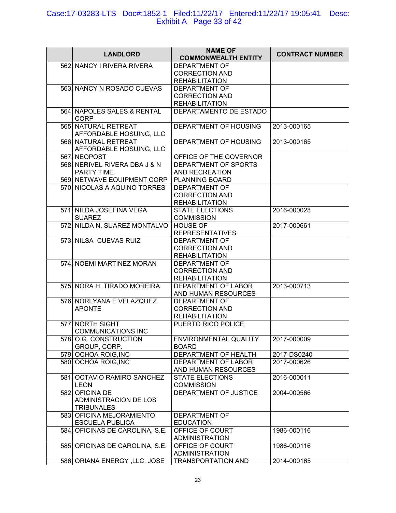#### Case:17-03283-LTS Doc#:1852-1 Filed:11/22/17 Entered:11/22/17 19:05:41 Desc: Exhibit A Page 33 of 42

| <b>LANDLORD</b>                                | <b>NAME OF</b><br><b>COMMONWEALTH ENTITY</b> | <b>CONTRACT NUMBER</b> |
|------------------------------------------------|----------------------------------------------|------------------------|
| 562 NANCY I RIVERA RIVERA                      | <b>DEPARTMENT OF</b>                         |                        |
|                                                | <b>CORRECTION AND</b>                        |                        |
|                                                | <b>REHABILITATION</b>                        |                        |
| 563. NANCY N ROSADO CUEVAS                     | <b>DEPARTMENT OF</b>                         |                        |
|                                                | <b>CORRECTION AND</b>                        |                        |
|                                                |                                              |                        |
|                                                | <b>REHABILITATION</b>                        |                        |
| 564. NAPOLES SALES & RENTAL<br><b>CORP</b>     | DEPARTAMENTO DE ESTADO                       |                        |
| 565 NATURAL RETREAT<br>AFFORDABLE HOSUING, LLC | DEPARTMENT OF HOUSING                        | 2013-000165            |
| 566 NATURAL RETREAT<br>AFFORDABLE HOSUING, LLC | DEPARTMENT OF HOUSING                        | 2013-000165            |
| 567. NEOPOST                                   | OFFICE OF THE GOVERNOR                       |                        |
| 568. NERIVEL RIVERA DBA J & N                  | DEPARTMENT OF SPORTS                         |                        |
| PARTY TIME                                     |                                              |                        |
|                                                | AND RECREATION                               |                        |
| 569 NETWAVE EQUIPMENT CORP                     | PLANNING BOARD                               |                        |
| 570. NICOLAS A AQUINO TORRES                   | <b>DEPARTMENT OF</b>                         |                        |
|                                                | <b>CORRECTION AND</b>                        |                        |
|                                                | <b>REHABILITATION</b>                        |                        |
| 571. NILDA JOSEFINA VEGA                       | <b>STATE ELECTIONS</b>                       | 2016-000028            |
| <b>SUAREZ</b>                                  | <b>COMMISSION</b>                            |                        |
| 572. NILDA N. SUAREZ MONTALVO                  | <b>HOUSE OF</b>                              | 2017-000661            |
|                                                |                                              |                        |
|                                                | <b>REPRESENTATIVES</b>                       |                        |
| 573 NILSA CUEVAS RUIZ                          | <b>DEPARTMENT OF</b>                         |                        |
|                                                | <b>CORRECTION AND</b>                        |                        |
|                                                | <b>REHABILITATION</b>                        |                        |
| 574. NOEMI MARTINEZ MORAN                      | <b>DEPARTMENT OF</b>                         |                        |
|                                                | <b>CORRECTION AND</b>                        |                        |
|                                                | <b>REHABILITATION</b>                        |                        |
| 575 NORA H. TIRADO MOREIRA                     | DEPARTMENT OF LABOR                          | 2013-000713            |
|                                                | AND HUMAN RESOURCES                          |                        |
|                                                |                                              |                        |
| 576. NORLYANA E VELAZQUEZ                      | <b>DEPARTMENT OF</b>                         |                        |
| <b>APONTE</b>                                  | <b>CORRECTION AND</b>                        |                        |
|                                                | <b>REHABILITATION</b>                        |                        |
| 577. NORTH SIGHT                               | PUERTO RICO POLICE                           |                        |
| <b>COMMUNICATIONS INC</b>                      |                                              |                        |
| 578 O.G. CONSTRUCTION                          | ENVIRONMENTAL QUALITY                        | 2017-000009            |
| GROUP, CORP.                                   | <b>BOARD</b>                                 |                        |
| 579. OCHOA ROIG, INC                           | DEPARTMENT OF HEALTH                         | 2017-DS0240            |
| 580. OCHOA ROIG, INC                           |                                              | 2017-000626            |
|                                                | DEPARTMENT OF LABOR                          |                        |
|                                                | AND HUMAN RESOURCES                          |                        |
| 581 OCTAVIO RAMIRO SANCHEZ                     | <b>STATE ELECTIONS</b>                       | 2016-000011            |
| <b>LEON</b>                                    | <b>COMMISSION</b>                            |                        |
| 582. OFICINA DE                                | DEPARTMENT OF JUSTICE                        | 2004-000566            |
| ADMINISTRACION DE LOS                          |                                              |                        |
| <b>TRIBUNALES</b>                              |                                              |                        |
| 583. OFICINA MEJORAMIENTO                      | DEPARTMENT OF                                |                        |
|                                                |                                              |                        |
| <b>ESCUELA PUBLICA</b>                         | <b>EDUCATION</b>                             |                        |
| 584. OFICINAS DE CAROLINA, S.E.                | OFFICE OF COURT                              | 1986-000116            |
|                                                | <b>ADMINISTRATION</b>                        |                        |
| 585. OFICINAS DE CAROLINA, S.E.                | OFFICE OF COURT                              | 1986-000116            |
|                                                | <b>ADMINISTRATION</b>                        |                        |
| 586. ORIANA ENERGY, LLC. JOSE                  | <b>TRANSPORTATION AND</b>                    | 2014-000165            |
|                                                |                                              |                        |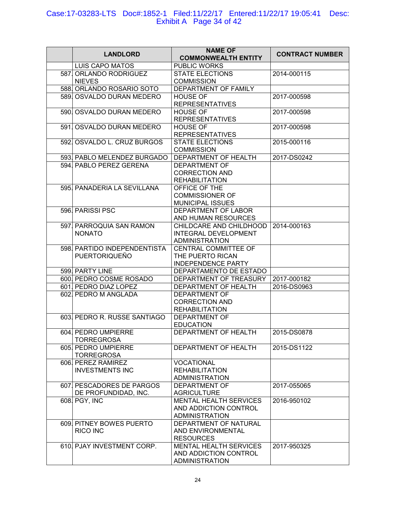#### Case:17-03283-LTS Doc#:1852-1 Filed:11/22/17 Entered:11/22/17 19:05:41 Desc: Exhibit A Page 34 of 42

| <b>LANDLORD</b>                                     | <b>NAME OF</b><br><b>COMMONWEALTH ENTITY</b>                                    | <b>CONTRACT NUMBER</b> |
|-----------------------------------------------------|---------------------------------------------------------------------------------|------------------------|
| <b>LUIS CAPO MATOS</b>                              | <b>PUBLIC WORKS</b>                                                             |                        |
| 587 ORLANDO RODRIGUEZ<br><b>NIEVES</b>              | <b>STATE ELECTIONS</b><br><b>COMMISSION</b>                                     | 2014-000115            |
| 588 ORLANDO ROSARIO SOTO                            | <b>DEPARTMENT OF FAMILY</b>                                                     |                        |
| 589. OSVALDO DURAN MEDERO                           | <b>HOUSE OF</b><br><b>REPRESENTATIVES</b>                                       | 2017-000598            |
| 590. OSVALDO DURAN MEDERO                           | <b>HOUSE OF</b><br><b>REPRESENTATIVES</b>                                       | 2017-000598            |
| 591. OSVALDO DURAN MEDERO                           | <b>HOUSE OF</b><br><b>REPRESENTATIVES</b>                                       | 2017-000598            |
| 592. OSVALDO L. CRUZ BURGOS                         | <b>STATE ELECTIONS</b><br><b>COMMISSION</b>                                     | 2015-000116            |
| 593. PABLO MELENDEZ BURGADO                         | DEPARTMENT OF HEALTH                                                            | 2017-DS0242            |
| 594. PABLO PEREZ GERENA                             | <b>DEPARTMENT OF</b><br><b>CORRECTION AND</b><br><b>REHABILITATION</b>          |                        |
| 595. PANADERIA LA SEVILLANA                         | OFFICE OF THE<br><b>COMMISSIONER OF</b><br><b>MUNICIPAL ISSUES</b>              |                        |
| 596. PARISSI PSC                                    | DEPARTMENT OF LABOR<br>AND HUMAN RESOURCES                                      |                        |
| 597. PARROQUIA SAN RAMON<br><b>NONATO</b>           | CHILDCARE AND CHILDHOOD<br><b>INTEGRAL DEVELOPMENT</b><br><b>ADMINISTRATION</b> | 2014-000163            |
| 598 PARTIDO INDEPENDENTISTA<br><b>PUERTORIQUEÑO</b> | CENTRAL COMMITTEE OF<br>THE PUERTO RICAN<br><b>INDEPENDENCE PARTY</b>           |                        |
| 599. PARTY LINE                                     | DEPARTAMENTO DE ESTADO                                                          |                        |
| 600 PEDRO COSME ROSADO                              | DEPARTMENT OF TREASURY                                                          | 2017-000182            |
| 601. PEDRO DIAZ LOPEZ                               | DEPARTMENT OF HEALTH                                                            | 2016-DS0963            |
| 602. PEDRO M ANGLADA                                | <b>DEPARTMENT OF</b><br><b>CORRECTION AND</b><br><b>REHABILITATION</b>          |                        |
| 603. PEDRO R. RUSSE SANTIAGO                        | DEPARTMENT OF<br><b>EDUCATION</b>                                               |                        |
| 604. PEDRO UMPIERRE<br><b>TORREGROSA</b>            | DEPARTMENT OF HEALTH                                                            | 2015-DS0878            |
| 605. PEDRO UMPIERRE<br><b>TORREGROSA</b>            | DEPARTMENT OF HEALTH                                                            | 2015-DS1122            |
| 606. PEREZ RAMIREZ<br><b>INVESTMENTS INC</b>        | <b>VOCATIONAL</b><br><b>REHABILITATION</b><br><b>ADMINISTRATION</b>             |                        |
| 607 PESCADORES DE PARGOS<br>DE PROFUNDIDAD, INC.    | <b>DEPARTMENT OF</b><br><b>AGRICULTURE</b>                                      | 2017-055065            |
| 608. PGY, INC                                       | <b>MENTAL HEALTH SERVICES</b><br>AND ADDICTION CONTROL<br><b>ADMINISTRATION</b> | 2016-950102            |
| 609. PITNEY BOWES PUERTO<br>RICO INC                | DEPARTMENT OF NATURAL<br>AND ENVIRONMENTAL<br><b>RESOURCES</b>                  |                        |
| 610. PJAY INVESTMENT CORP.                          | <b>MENTAL HEALTH SERVICES</b><br>AND ADDICTION CONTROL<br><b>ADMINISTRATION</b> | 2017-950325            |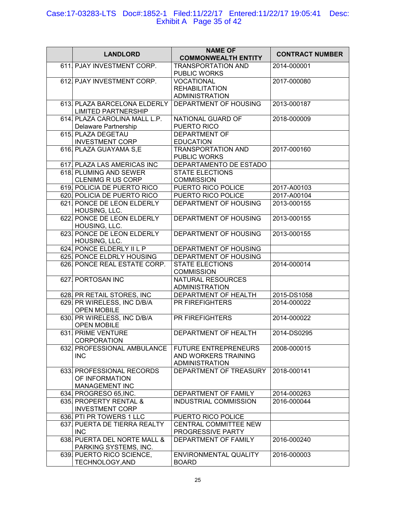## Case:17-03283-LTS Doc#:1852-1 Filed:11/22/17 Entered:11/22/17 19:05:41 Desc: Exhibit A Page 35 of 42

| <b>LANDLORD</b>                                               | <b>NAME OF</b><br><b>COMMONWEALTH ENTITY</b>                                 | <b>CONTRACT NUMBER</b> |
|---------------------------------------------------------------|------------------------------------------------------------------------------|------------------------|
| 611. PJAY INVESTMENT CORP.                                    | <b>TRANSPORTATION AND</b><br>PUBLIC WORKS                                    | 2014-000001            |
| 612. PJAY INVESTMENT CORP.                                    | <b>VOCATIONAL</b><br><b>REHABILITATION</b><br><b>ADMINISTRATION</b>          | 2017-000080            |
| 613. PLAZA BARCELONA ELDERLY<br><b>LIMITED PARTNERSHIP</b>    | DEPARTMENT OF HOUSING                                                        | 2013-000187            |
| 614. PLAZA CAROLINA MALL L.P.<br>Delaware Partnership         | NATIONAL GUARD OF<br>PUERTO RICO                                             | 2018-000009            |
| 615. PLAZA DEGETAU<br><b>INVESTMENT CORP</b>                  | <b>DEPARTMENT OF</b><br><b>EDUCATION</b>                                     |                        |
| 616. PLAZA GUAYAMA S,E                                        | <b>TRANSPORTATION AND</b><br>PUBLIC WORKS                                    | 2017-000160            |
| 617. PLAZA LAS AMERICAS INC                                   | DEPARTAMENTO DE ESTADO                                                       |                        |
| 618. PLUMING AND SEWER<br><b>CLENIMG R US CORP</b>            | <b>STATE ELECTIONS</b><br><b>COMMISSION</b>                                  |                        |
| 619. POLICIA DE PUERTO RICO                                   | PUERTO RICO POLICE                                                           | 2017-A00103            |
| 620. POLICIA DE PUERTO RICO                                   | <b>PUERTO RICO POLICE</b>                                                    | 2017-A00104            |
| 621. PONCE DE LEON ELDERLY<br>HOUSING, LLC.                   | DEPARTMENT OF HOUSING                                                        | 2013-000155            |
| 622. PONCE DE LEON ELDERLY<br>HOUSING, LLC.                   | DEPARTMENT OF HOUSING                                                        | 2013-000155            |
| 623. PONCE DE LEON ELDERLY<br>HOUSING, LLC.                   | DEPARTMENT OF HOUSING                                                        | 2013-000155            |
| 624. PONCE ELDERLY II L P                                     | DEPARTMENT OF HOUSING                                                        |                        |
| 625. PONCE ELDRLY HOUSING                                     | DEPARTMENT OF HOUSING                                                        |                        |
| 626. PONCE REAL ESTATE CORP.                                  | <b>STATE ELECTIONS</b><br><b>COMMISSION</b>                                  | 2014-000014            |
| 627. PORTOSAN INC                                             | <b>NATURAL RESOURCES</b><br><b>ADMINISTRATION</b>                            |                        |
| 628. PR RETAIL STORES, INC                                    | DEPARTMENT OF HEALTH                                                         | 2015-DS1058            |
| 629. PR WIRELESS, INC D/B/A<br><b>OPEN MOBILE</b>             | PR FIREFIGHTERS                                                              | 2014-000022            |
| 630. PR WIRELESS, INC D/B/A<br><b>OPEN MOBILE</b>             | <b>PR FIREFIGHTERS</b>                                                       | 2014-000022            |
| 631. PRIME VENTURE<br><b>CORPORATION</b>                      | DEPARTMENT OF HEALTH                                                         | 2014-DS0295            |
| 632. PROFESSIONAL AMBULANCE<br><b>INC</b>                     | <b>FUTURE ENTREPRENEURS</b><br>AND WORKERS TRAINING<br><b>ADMINISTRATION</b> | 2008-000015            |
| 633. PROFESSIONAL RECORDS<br>OF INFORMATION<br>MANAGEMENT INC | DEPARTMENT OF TREASURY                                                       | 2018-000141            |
| 634. PROGRESO 65, INC.                                        | DEPARTMENT OF FAMILY                                                         | 2014-000263            |
| 635. PROPERTY RENTAL &<br><b>INVESTMENT CORP</b>              | <b>INDUSTRIAL COMMISSION</b>                                                 | 2016-000044            |
| 636. PTI PR TOWERS 1 LLC                                      | PUERTO RICO POLICE                                                           |                        |
| 637. PUERTA DE TIERRA REALTY<br><b>INC</b>                    | <b>CENTRAL COMMITTEE NEW</b><br>PROGRESSIVE PARTY                            |                        |
| 638. PUERTA DEL NORTE MALL &<br>PARKING SYSTEMS, INC.         | DEPARTMENT OF FAMILY                                                         | 2016-000240            |
| 639. PUERTO RICO SCIENCE,<br>TECHNOLOGY, AND                  | ENVIRONMENTAL QUALITY<br><b>BOARD</b>                                        | 2016-000003            |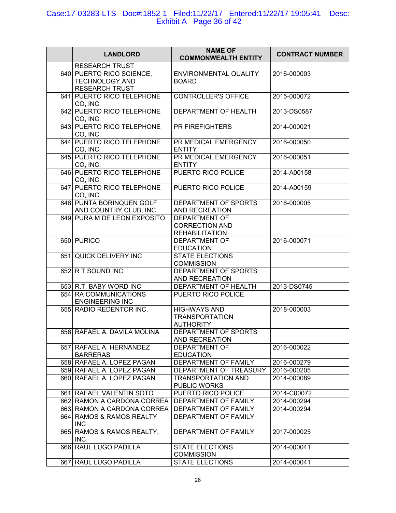## Case:17-03283-LTS Doc#:1852-1 Filed:11/22/17 Entered:11/22/17 19:05:41 Desc: Exhibit A Page 36 of 42

| <b>LANDLORD</b>                                                       | <b>NAME OF</b><br><b>COMMONWEALTH ENTITY</b>                           | <b>CONTRACT NUMBER</b> |
|-----------------------------------------------------------------------|------------------------------------------------------------------------|------------------------|
| <b>RESEARCH TRUST</b>                                                 |                                                                        |                        |
| 640. PUERTO RICO SCIENCE,<br>TECHNOLOGY, AND<br><b>RESEARCH TRUST</b> | ENVIRONMENTAL QUALITY<br><b>BOARD</b>                                  | 2016-000003            |
| 641. PUERTO RICO TELEPHONE<br>CO, INC.                                | CONTROLLER'S OFFICE                                                    | 2015-000072            |
| 642. PUERTO RICO TELEPHONE<br>CO, INC.                                | DEPARTMENT OF HEALTH                                                   | 2013-DS0587            |
| 643. PUERTO RICO TELEPHONE<br>CO, INC.                                | PR FIREFIGHTERS                                                        | 2014-000021            |
| 644. PUERTO RICO TELEPHONE<br>CO, INC.                                | PR MEDICAL EMERGENCY<br><b>ENTITY</b>                                  | 2016-000050            |
| 645. PUERTO RICO TELEPHONE<br>CO, INC.                                | PR MEDICAL EMERGENCY<br><b>ENTITY</b>                                  | 2016-000051            |
| 646. PUERTO RICO TELEPHONE<br>CO, INC.                                | <b>PUERTO RICO POLICE</b>                                              | 2014-A00158            |
| 647. PUERTO RICO TELEPHONE<br>CO, INC.                                | <b>PUERTO RICO POLICE</b>                                              | 2014-A00159            |
| 648. PUNTA BORINQUEN GOLF<br>AND COUNTRY CLUB, INC.                   | DEPARTMENT OF SPORTS<br><b>AND RECREATION</b>                          | 2016-000005            |
| 649. PURA M DE LEON EXPOSITO                                          | <b>DEPARTMENT OF</b><br><b>CORRECTION AND</b><br><b>REHABILITATION</b> |                        |
| 650. PURICO                                                           | <b>DEPARTMENT OF</b><br><b>EDUCATION</b>                               | 2016-000071            |
| 651. QUICK DELIVERY INC                                               | <b>STATE ELECTIONS</b><br><b>COMMISSION</b>                            |                        |
| 652 R T SOUND INC                                                     | DEPARTMENT OF SPORTS<br>AND RECREATION                                 |                        |
| 653. R.T. BABY WORD INC                                               | DEPARTMENT OF HEALTH                                                   | 2013-DS0745            |
| 654. RA COMMUNICATIONS<br><b>ENGINEERING INC</b>                      | PUERTO RICO POLICE                                                     |                        |
| 655. RADIO REDENTOR INC.                                              | <b>HIGHWAYS AND</b><br><b>TRANSPORTATION</b><br><b>AUTHORITY</b>       | 2018-000003            |
| 656. RAFAEL A. DAVILA MOLINA                                          | DEPARTMENT OF SPORTS<br>AND RECREATION                                 |                        |
| 657. RAFAEL A. HERNANDEZ<br><b>BARRERAS</b>                           | <b>DEPARTMENT OF</b><br><b>EDUCATION</b>                               | 2016-000022            |
| 658. RAFAEL A. LOPEZ PAGAN                                            | DEPARTMENT OF FAMILY                                                   | 2016-000279            |
| 659. RAFAEL A. LOPEZ PAGAN                                            | DEPARTMENT OF TREASURY                                                 | 2016-000205            |
| 660. RAFAEL A. LOPEZ PAGAN                                            | <b>TRANSPORTATION AND</b><br>PUBLIC WORKS                              | 2014-000089            |
| 661. RAFAEL VALENTIN SOTO                                             | PUERTO RICO POLICE                                                     | 2014-C00072            |
| 662. RAMON A CARDONA CORREA                                           | DEPARTMENT OF FAMILY                                                   | 2014-000294            |
| 663. RAMON A CARDONA CORREA                                           | DEPARTMENT OF FAMILY                                                   | 2014-000294            |
| 664. RAMOS & RAMOS REALTY<br><b>INC</b>                               | DEPARTMENT OF FAMILY                                                   |                        |
| 665. RAMOS & RAMOS REALTY,<br>INC.                                    | DEPARTMENT OF FAMILY                                                   | 2017-000025            |
| 666. RAUL LUGO PADILLA                                                | <b>STATE ELECTIONS</b><br><b>COMMISSION</b>                            | 2014-000041            |
| 667. RAUL LUGO PADILLA                                                | <b>STATE ELECTIONS</b>                                                 | 2014-000041            |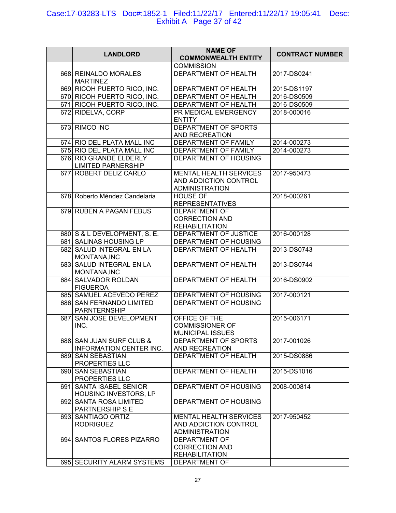## Case:17-03283-LTS Doc#:1852-1 Filed:11/22/17 Entered:11/22/17 19:05:41 Desc: Exhibit A Page 37 of 42

|                                                             | <b>NAME OF</b>                                                                  |                        |
|-------------------------------------------------------------|---------------------------------------------------------------------------------|------------------------|
| <b>LANDLORD</b>                                             | <b>COMMONWEALTH ENTITY</b>                                                      | <b>CONTRACT NUMBER</b> |
|                                                             | <b>COMMISSION</b>                                                               |                        |
| 668. REINALDO MORALES<br><b>MARTINEZ</b>                    | DEPARTMENT OF HEALTH                                                            | 2017-DS0241            |
| 669. RICOH PUERTO RICO, INC.                                | DEPARTMENT OF HEALTH                                                            | 2015-DS1197            |
| 670. RICOH PUERTO RICO, INC.                                | DEPARTMENT OF HEALTH                                                            | 2016-DS0509            |
| 671. RICOH PUERTO RICO, INC.                                | DEPARTMENT OF HEALTH                                                            | 2016-DS0509            |
| 672. RIDELVA, CORP                                          | PR MEDICAL EMERGENCY<br><b>ENTITY</b>                                           | 2018-000016            |
| 673. RIMCO INC                                              | DEPARTMENT OF SPORTS<br>AND RECREATION                                          |                        |
| 674. RIO DEL PLATA MALL INC                                 | DEPARTMENT OF FAMILY                                                            | 2014-000273            |
| 675 RIO DEL PLATA MALL INC                                  | DEPARTMENT OF FAMILY                                                            | 2014-000273            |
| 676. RIO GRANDE ELDERLY<br><b>LIMITED PARNERSHIP</b>        | DEPARTMENT OF HOUSING                                                           |                        |
| 677. ROBERT DELIZ CARLO                                     | <b>MENTAL HEALTH SERVICES</b><br>AND ADDICTION CONTROL<br><b>ADMINISTRATION</b> | 2017-950473            |
| 678. Roberto Méndez Candelaria                              | <b>HOUSE OF</b><br><b>REPRESENTATIVES</b>                                       | 2018-000261            |
| 679. RUBEN A PAGAN FEBUS                                    | <b>DEPARTMENT OF</b><br><b>CORRECTION AND</b><br><b>REHABILITATION</b>          |                        |
| 680. S & L DEVELOPMENT, S. E.                               | DEPARTMENT OF JUSTICE                                                           | 2016-000128            |
| 681. SALINAS HOUSING LP                                     | DEPARTMENT OF HOUSING                                                           |                        |
| 682. SALUD INTEGRAL EN LA<br>MONTANA, INC                   | DEPARTMENT OF HEALTH                                                            | 2013-DS0743            |
| 683. SALUD INTEGRAL EN LA<br>MONTANA, INC                   | DEPARTMENT OF HEALTH                                                            | 2013-DS0744            |
| 684. SALVADOR ROLDAN<br><b>FIGUEROA</b>                     | DEPARTMENT OF HEALTH                                                            | 2016-DS0902            |
| 685. SAMUEL ACEVEDO PEREZ                                   | DEPARTMENT OF HOUSING                                                           | 2017-000121            |
| 686. SAN FERNANDO LIMITED<br><b>PARNTERNSHIP</b>            | DEPARTMENT OF HOUSING                                                           |                        |
| 687. SAN JOSE DEVELOPMENT<br>INC.                           | OFFICE OF THE<br><b>COMMISSIONER OF</b>                                         | 2015-006171            |
| 688. SAN JUAN SURF CLUB &<br><b>INFORMATION CENTER INC.</b> | <b>MUNICIPAL ISSUES</b><br>DEPARTMENT OF SPORTS<br>AND RECREATION               | 2017-001026            |
| 689. SAN SEBASTIAN<br>PROPERTIES LLC                        | DEPARTMENT OF HEALTH                                                            | 2015-DS0886            |
| 690. SAN SEBASTIAN<br>PROPERTIES LLC                        | DEPARTMENT OF HEALTH                                                            | 2015-DS1016            |
| 691. SANTA ISABEL SENIOR<br>HOUSING INVESTORS, LP           | DEPARTMENT OF HOUSING                                                           | 2008-000814            |
| 692. SANTA ROSA LIMITED<br>PARTNERSHIP S E                  | DEPARTMENT OF HOUSING                                                           |                        |
| 693. SANTIAGO ORTIZ<br><b>RODRIGUEZ</b>                     | <b>MENTAL HEALTH SERVICES</b><br>AND ADDICTION CONTROL<br><b>ADMINISTRATION</b> | 2017-950452            |
| 694. SANTOS FLORES PIZARRO                                  | <b>DEPARTMENT OF</b><br><b>CORRECTION AND</b><br><b>REHABILITATION</b>          |                        |
| 695 SECURITY ALARM SYSTEMS                                  | DEPARTMENT OF                                                                   |                        |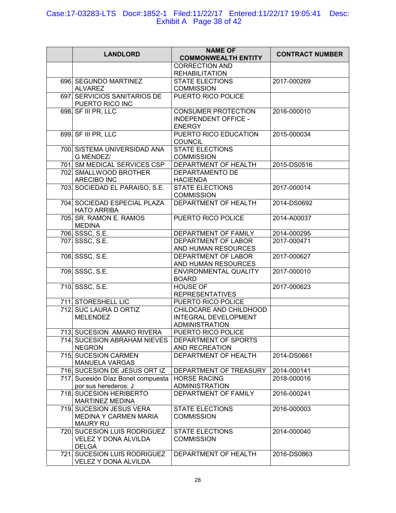# Case:17-03283-LTS Doc#:1852-1 Filed:11/22/17 Entered:11/22/17 19:05:41 Desc: Exhibit A Page 38 of 42

| <b>LANDLORD</b>                                                             | <b>NAME OF</b><br><b>COMMONWEALTH ENTITY</b>                             | <b>CONTRACT NUMBER</b> |
|-----------------------------------------------------------------------------|--------------------------------------------------------------------------|------------------------|
|                                                                             | <b>CORRECTION AND</b><br><b>REHABILITATION</b>                           |                        |
| 696. SEGUNDO MARTINEZ<br><b>ALVAREZ</b>                                     | <b>STATE ELECTIONS</b><br><b>COMMISSION</b>                              | 2017-000269            |
| 697. SERVICIOS SANITARIOS DE<br>PUERTO RICO INC                             | PUERTO RICO POLICE                                                       |                        |
| 698. SF III PR, LLC                                                         | <b>CONSUMER PROTECTION</b><br>INDEPENDENT OFFICE -<br><b>ENERGY</b>      | 2016-000010            |
| 699. SF III PR, LLC                                                         | PUERTO RICO EDUCATION<br><b>COUNCIL</b>                                  | 2015-000034            |
| 700. SISTEMA UNIVERSIDAD ANA<br>G MENDEZ/                                   | <b>STATE ELECTIONS</b><br><b>COMMISSION</b>                              |                        |
| 701. SM MEDICAL SERVICES CSP                                                | DEPARTMENT OF HEALTH                                                     | 2015-DS0516            |
| 702. SMALLWOOD BROTHER<br><b>ARECIBO INC</b>                                | <b>DEPARTAMENTO DE</b><br><b>HACIENDA</b>                                |                        |
| 703. SOCIEDAD EL PARAISO, S.E.                                              | <b>STATE ELECTIONS</b><br><b>COMMISSION</b>                              | 2017-000014            |
| 704. SOCIEDAD ESPECIAL PLAZA<br><b>HATO ARRIBA</b>                          | <b>DEPARTMENT OF HEALTH</b>                                              | 2014-DS0692            |
| 705 SR. RAMON E. RAMOS<br><b>MEDINA</b>                                     | PUERTO RICO POLICE                                                       | 2014-A00037            |
| 706. SSSC, S.E.                                                             | DEPARTMENT OF FAMILY                                                     | 2014-000295            |
| 707. SSSC, S.E.                                                             | DEPARTMENT OF LABOR<br>AND HUMAN RESOURCES                               | 2017-000471            |
| 708. SSSC, S.E.                                                             | DEPARTMENT OF LABOR<br>AND HUMAN RESOURCES                               | 2017-000627            |
| 709. SSSC, S.E.                                                             | ENVIRONMENTAL QUALITY<br><b>BOARD</b>                                    | 2017-000010            |
| 710. SSSC, S.E.                                                             | <b>HOUSE OF</b><br><b>REPRESENTATIVES</b>                                | 2017-000623            |
| 711. STORESHELL LIC                                                         | PUERTO RICO POLICE                                                       |                        |
| 712. SUC LAURA D ORTIZ<br><b>MELENDEZ</b>                                   | CHILDCARE AND CHILDHOOD<br>INTEGRAL DEVELOPMENT<br><b>ADMINISTRATION</b> |                        |
| 713 SUCESION AMARO RIVERA                                                   | PUERTO RICO POLICE                                                       |                        |
| 714. SUCESION ABRAHAM NIEVES<br><b>NEGRON</b>                               | DEPARTMENT OF SPORTS<br><b>AND RECREATION</b>                            |                        |
| 715. SUCESION CARMEN<br><b>MANUELA VARGAS</b>                               | DEPARTMENT OF HEALTH                                                     | 2014-DS0661            |
| 716. SUCESION DE JESUS ORT IZ                                               | DEPARTMENT OF TREASURY                                                   | 2014-000141            |
| 717 Sucesión Díaz Bonet compuesta<br>por sus herederos: J                   | <b>HORSE RACING</b><br><b>ADMINISTRATION</b>                             | 2018-000016            |
| 718. SUCESION HERIBERTO<br><b>MARTINEZ MEDINA</b>                           | DEPARTMENT OF FAMILY                                                     | 2016-000241            |
| 719. SUCESION JESUS VERA<br><b>MEDINA Y CARMEN MARIA</b><br><b>MAURY RU</b> | <b>STATE ELECTIONS</b><br><b>COMMISSION</b>                              | 2016-000003            |
| 720. SUCESION LUIS RODRIGUEZ<br>VELEZ Y DONA ALVILDA<br><b>DELGA</b>        | <b>STATE ELECTIONS</b><br><b>COMMISSION</b>                              | 2014-000040            |
| 721. SUCESION LUIS RODRIGUEZ<br>VELEZ Y DONA ALVILDA                        | DEPARTMENT OF HEALTH                                                     | 2016-DS0863            |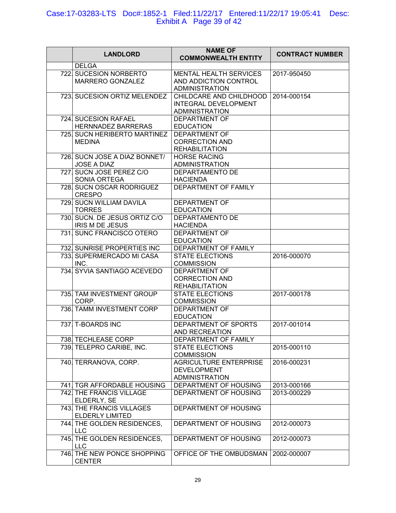# Case:17-03283-LTS Doc#:1852-1 Filed:11/22/17 Entered:11/22/17 19:05:41 Desc: Exhibit A Page 39 of 42

|                                                          | <b>NAME OF</b>                                 |                        |
|----------------------------------------------------------|------------------------------------------------|------------------------|
| <b>LANDLORD</b>                                          | <b>COMMONWEALTH ENTITY</b>                     | <b>CONTRACT NUMBER</b> |
| <b>DELGA</b>                                             |                                                |                        |
| 722. SUCESION NORBERTO                                   | <b>MENTAL HEALTH SERVICES</b>                  | 2017-950450            |
| MARRERO GONZALEZ                                         | AND ADDICTION CONTROL                          |                        |
|                                                          | <b>ADMINISTRATION</b>                          |                        |
| 723. SUCESION ORTIZ MELENDEZ                             | CHILDCARE AND CHILDHOOD                        | 2014-000154            |
|                                                          | <b>INTEGRAL DEVELOPMENT</b>                    |                        |
|                                                          | <b>ADMINISTRATION</b>                          |                        |
| 724. SUCESION RAFAEL                                     | <b>DEPARTMENT OF</b>                           |                        |
| <b>HERNNADEZ BARRERAS</b>                                | <b>EDUCATION</b>                               |                        |
| 725 SUCN HERIBERTO MARTINEZ                              | <b>DEPARTMENT OF</b>                           |                        |
| <b>MEDINA</b>                                            | <b>CORRECTION AND</b>                          |                        |
|                                                          | <b>REHABILITATION</b>                          |                        |
| 726. SUCN JOSE A DIAZ BONNET/                            | <b>HORSE RACING</b>                            |                        |
| JOSE A DIAZ                                              | <b>ADMINISTRATION</b>                          |                        |
| 727. SUCN JOSE PEREZ C/O                                 | DEPARTAMENTO DE                                |                        |
| SONIA ORTEGA<br>728. SUCN OSCAR RODRIGUEZ                | <b>HACIENDA</b><br>DEPARTMENT OF FAMILY        |                        |
| <b>CRESPO</b>                                            |                                                |                        |
| 729. SUCN WILLIAM DAVILA                                 | <b>DEPARTMENT OF</b>                           |                        |
| <b>TORRES</b>                                            | <b>EDUCATION</b>                               |                        |
| 730. SUCN. DE JESUS ORTIZ C/O                            | DEPARTAMENTO DE                                |                        |
| <b>IRIS M DE JESUS</b>                                   | <b>HACIENDA</b>                                |                        |
| 731. SUNC FRANCISCO OTERO                                | <b>DEPARTMENT OF</b>                           |                        |
|                                                          | <b>EDUCATION</b>                               |                        |
| 732. SUNRISE PROPERTIES INC                              | DEPARTMENT OF FAMILY                           |                        |
| 733. SUPERMERCADO MI CASA                                | <b>STATE ELECTIONS</b>                         | 2016-000070            |
| INC.                                                     | <b>COMMISSION</b>                              |                        |
| 734 SYVIA SANTIAGO ACEVEDO                               | <b>DEPARTMENT OF</b>                           |                        |
|                                                          | <b>CORRECTION AND</b>                          |                        |
|                                                          | <b>REHABILITATION</b>                          |                        |
| 735. TAM INVESTMENT GROUP                                | <b>STATE ELECTIONS</b>                         | 2017-000178            |
| CORP.                                                    | <b>COMMISSION</b>                              |                        |
| 736. TAMM INVESTMENT CORP                                | <b>DEPARTMENT OF</b>                           |                        |
|                                                          | <b>EDUCATION</b>                               |                        |
| 737. T-BOARDS INC                                        | DEPARTMENT OF SPORTS                           | 2017-001014            |
|                                                          | AND RECREATION                                 |                        |
| 738. TECHLEASE CORP                                      | DEPARTMENT OF FAMILY                           |                        |
| 739. TELEPRO CARIBE, INC.                                | <b>STATE ELECTIONS</b>                         | 2015-000110            |
|                                                          | <b>COMMISSION</b>                              |                        |
| 740. TERRANOVA, CORP.                                    | <b>AGRICULTURE ENTERPRISE</b>                  | 2016-000231            |
|                                                          | <b>DEVELOPMENT</b>                             |                        |
|                                                          | <b>ADMINISTRATION</b>                          |                        |
| 741   TGR AFFORDABLE HOUSING<br>742. THE FRANCIS VILLAGE | DEPARTMENT OF HOUSING<br>DEPARTMENT OF HOUSING | 2013-000166            |
| ELDERLY, SE                                              |                                                | 2013-000229            |
| 743. THE FRANCIS VILLAGES                                | DEPARTMENT OF HOUSING                          |                        |
| <b>ELDERLY LIMITED</b>                                   |                                                |                        |
| 744. THE GOLDEN RESIDENCES,                              | DEPARTMENT OF HOUSING                          | 2012-000073            |
| <b>LLC</b>                                               |                                                |                        |
| 745. THE GOLDEN RESIDENCES,                              | DEPARTMENT OF HOUSING                          | 2012-000073            |
| <b>LLC</b>                                               |                                                |                        |
| 746. THE NEW PONCE SHOPPING                              | OFFICE OF THE OMBUDSMAN                        | 2002-000007            |
| <b>CENTER</b>                                            |                                                |                        |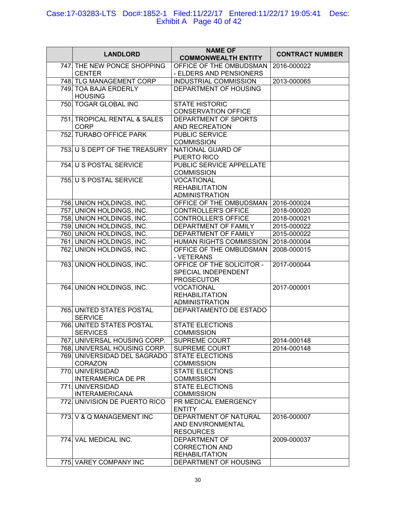#### Case:17-03283-LTS Doc#:1852-1 Filed:11/22/17 Entered:11/22/17 19:05:41 Desc: Exhibit A Page 40 of 42

| <b>LANDLORD</b>                                    | <b>NAME OF</b><br><b>COMMONWEALTH ENTITY</b>                           | <b>CONTRACT NUMBER</b> |
|----------------------------------------------------|------------------------------------------------------------------------|------------------------|
| 747. THE NEW PONCE SHOPPING<br><b>CENTER</b>       | OFFICE OF THE OMBUDSMAN<br>- ELDERS AND PENSIONERS                     | 2016-000022            |
| 748. TLG MANAGEMENT CORP                           | <b>INDUSTRIAL COMMISSION</b>                                           | 2013-000065            |
| 749. TOA BAJA ERDERLY<br><b>HOUSING</b>            | DEPARTMENT OF HOUSING                                                  |                        |
| 750. TOGAR GLOBAL INC                              | <b>STATE HISTORIC</b><br><b>CONSERVATION OFFICE</b>                    |                        |
| 751. TROPICAL RENTAL & SALES<br><b>CORP</b>        | DEPARTMENT OF SPORTS<br>AND RECREATION                                 |                        |
| 752. TURABO OFFICE PARK                            | PUBLIC SERVICE<br><b>COMMISSION</b>                                    |                        |
| 753. U S DEPT OF THE TREASURY                      | NATIONAL GUARD OF<br>PUERTO RICO                                       |                        |
| 754. U S POSTAL SERVICE                            | PUBLIC SERVICE APPELLATE<br><b>COMMISSION</b>                          |                        |
| 755. U S POSTAL SERVICE                            | <b>VOCATIONAL</b><br><b>REHABILITATION</b><br><b>ADMINISTRATION</b>    |                        |
| 756. UNION HOLDINGS, INC.                          | OFFICE OF THE OMBUDSMAN                                                | 2016-000024            |
| 757. UNION HOLDINGS, INC.                          | <b>CONTROLLER'S OFFICE</b>                                             | 2018-000020            |
| 758. UNION HOLDINGS, INC.                          | <b>CONTROLLER'S OFFICE</b>                                             | 2018-000021            |
| 759. UNION HOLDINGS, INC.                          | DEPARTMENT OF FAMILY                                                   | 2015-000022            |
| 760. UNION HOLDINGS, INC.                          | DEPARTMENT OF FAMILY                                                   | 2015-000022            |
| 761. UNION HOLDINGS, INC.                          | HUMAN RIGHTS COMMISSION                                                | 2018-000004            |
| 762. UNION HOLDINGS, INC.                          | OFFICE OF THE OMBUDSMAN<br>- VETERANS                                  | 2008-000015            |
| 763. UNION HOLDINGS, INC.                          | OFFICE OF THE SOLICITOR -<br>SPECIAL INDEPENDENT<br><b>PROSECUTOR</b>  | 2017-000044            |
| 764. UNION HOLDINGS, INC.                          | <b>VOCATIONAL</b><br><b>REHABILITATION</b><br><b>ADMINISTRATION</b>    | 2017-000001            |
| 765. UNITED STATES POSTAL<br><b>SERVICE</b>        | DEPARTAMENTO DE ESTADO                                                 |                        |
| <b>766 UNITED STATES POSTAL</b><br><b>SERVICES</b> | <b>STATE ELECTIONS</b><br><b>COMMISSION</b>                            |                        |
| 767. UNIVERSAL HOUSING CORP.                       | <b>SUPREME COURT</b>                                                   | 2014-000148            |
| 768. UNIVERSAL HOUSING CORP.                       | <b>SUPREME COURT</b>                                                   | 2014-000148            |
| 769. UNIVERSIDAD DEL SAGRADO<br><b>CORAZON</b>     | <b>STATE ELECTIONS</b><br><b>COMMISSION</b>                            |                        |
| 770 UNIVERSIDAD<br><b>INTERAMERICA DE PR</b>       | <b>STATE ELECTIONS</b><br><b>COMMISSION</b>                            |                        |
| 771. UNIVERSIDAD<br><b>INTERAMERICANA</b>          | <b>STATE ELECTIONS</b><br><b>COMMISSION</b>                            |                        |
| 772 UNIVISION DE PUERTO RICO                       | PR MEDICAL EMERGENCY<br><b>ENTITY</b>                                  |                        |
| 773. V & Q MANAGEMENT INC                          | DEPARTMENT OF NATURAL<br>AND ENVIRONMENTAL<br><b>RESOURCES</b>         | 2016-000007            |
| 774. VAL MEDICAL INC.                              | <b>DEPARTMENT OF</b><br><b>CORRECTION AND</b><br><b>REHABILITATION</b> | 2009-000037            |
| 775. VAREY COMPANY INC                             | DEPARTMENT OF HOUSING                                                  |                        |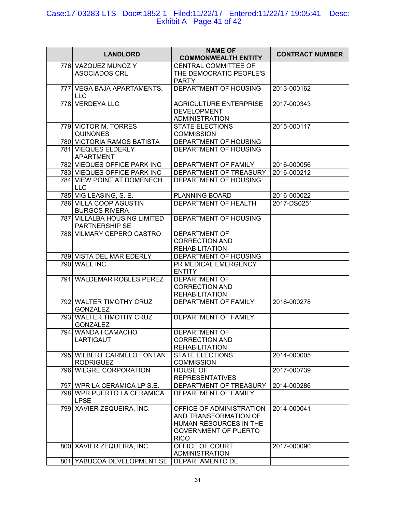#### Case:17-03283-LTS Doc#:1852-1 Filed:11/22/17 Entered:11/22/17 19:05:41 Desc: Exhibit A Page 41 of 42

| <b>LANDLORD</b>                                        | <b>NAME OF</b><br><b>COMMONWEALTH ENTITY</b>                                                                              | <b>CONTRACT NUMBER</b> |
|--------------------------------------------------------|---------------------------------------------------------------------------------------------------------------------------|------------------------|
| 776. VAZQUEZ MUNOZ Y<br><b>ASOCIADOS CRL</b>           | <b>CENTRAL COMMITTEE OF</b><br>THE DEMOCRATIC PEOPLE'S<br><b>PARTY</b>                                                    |                        |
| 777. VEGA BAJA APARTAMENTS,<br><b>LLC</b>              | DEPARTMENT OF HOUSING                                                                                                     | 2013-000162            |
| 778. VERDEYA LLC                                       | <b>AGRICULTURE ENTERPRISE</b><br><b>DEVELOPMENT</b><br><b>ADMINISTRATION</b>                                              | 2017-000343            |
| 779. VICTOR M. TORRES<br><b>QUINONES</b>               | <b>STATE ELECTIONS</b><br><b>COMMISSION</b>                                                                               | 2015-000117            |
| 780. VICTORIA RAMOS BATISTA                            | DEPARTMENT OF HOUSING                                                                                                     |                        |
| 781. VIEQUES ELDERLY<br><b>APARTMENT</b>               | DEPARTMENT OF HOUSING                                                                                                     |                        |
| 782. VIEQUES OFFICE PARK INC                           | DEPARTMENT OF FAMILY                                                                                                      | 2016-000056            |
| 783 VIEQUES OFFICE PARK INC                            | DEPARTMENT OF TREASURY                                                                                                    | 2016-000212            |
| 784. VIEW POINT AT DOMENECH<br><b>LLC</b>              | DEPARTMENT OF HOUSING                                                                                                     |                        |
| 785. VIG LEASING, S. E.                                | PLANNING BOARD                                                                                                            | 2016-000022            |
| 786. VILLA COOP AGUSTIN<br><b>BURGOS RIVERA</b>        | DEPARTMENT OF HEALTH                                                                                                      | 2017-DS0251            |
| 787. VILLALBA HOUSING LIMITED<br><b>PARTNERSHIP SE</b> | DEPARTMENT OF HOUSING                                                                                                     |                        |
| 788. VILMARY CEPERO CASTRO                             | <b>DEPARTMENT OF</b><br><b>CORRECTION AND</b><br><b>REHABILITATION</b>                                                    |                        |
| 789. VISTA DEL MAR EDERLY                              | DEPARTMENT OF HOUSING                                                                                                     |                        |
| 790. WAEL INC                                          | PR MEDICAL EMERGENCY<br><b>ENTITY</b>                                                                                     |                        |
| 791. WALDEMAR ROBLES PEREZ                             | <b>DEPARTMENT OF</b><br><b>CORRECTION AND</b><br><b>REHABILITATION</b>                                                    |                        |
| 792. WALTER TIMOTHY CRUZ<br><b>GONZALEZ</b>            | <b>DEPARTMENT OF FAMILY</b>                                                                                               | 2016-000278            |
| 793. WALTER TIMOTHY CRUZ<br><b>GONZALEZ</b>            | DEPARTMENT OF FAMILY                                                                                                      |                        |
| 794. WANDA I CAMACHO<br><b>LARTIGAUT</b>               | DEPARTMENT OF<br><b>CORRECTION AND</b><br><b>REHABILITATION</b>                                                           |                        |
| 795. WILBERT CARMELO FONTAN<br><b>RODRIGUEZ</b>        | <b>STATE ELECTIONS</b><br><b>COMMISSION</b>                                                                               | 2014-000005            |
| 796. WILGRE CORPORATION                                | <b>HOUSE OF</b><br><b>REPRESENTATIVES</b>                                                                                 | 2017-000739            |
| 797. WPR LA CERAMICA LP S.E.                           | DEPARTMENT OF TREASURY                                                                                                    | 2014-000286            |
| 798. WPR PUERTO LA CERAMICA<br><b>LPSE</b>             | DEPARTMENT OF FAMILY                                                                                                      |                        |
| 799. XAVIER ZEQUEIRA, INC.                             | OFFICE OF ADMINISTRATION<br>AND TRANSFORMATION OF<br>HUMAN RESOURCES IN THE<br><b>GOVERNMENT OF PUERTO</b><br><b>RICO</b> | 2014-000041            |
| 800. XAVIER ZEQUEIRA, INC.                             | OFFICE OF COURT<br><b>ADMINISTRATION</b>                                                                                  | 2017-000090            |
| 801 YABUCOA DEVELOPMENT SE                             | DEPARTAMENTO DE                                                                                                           |                        |